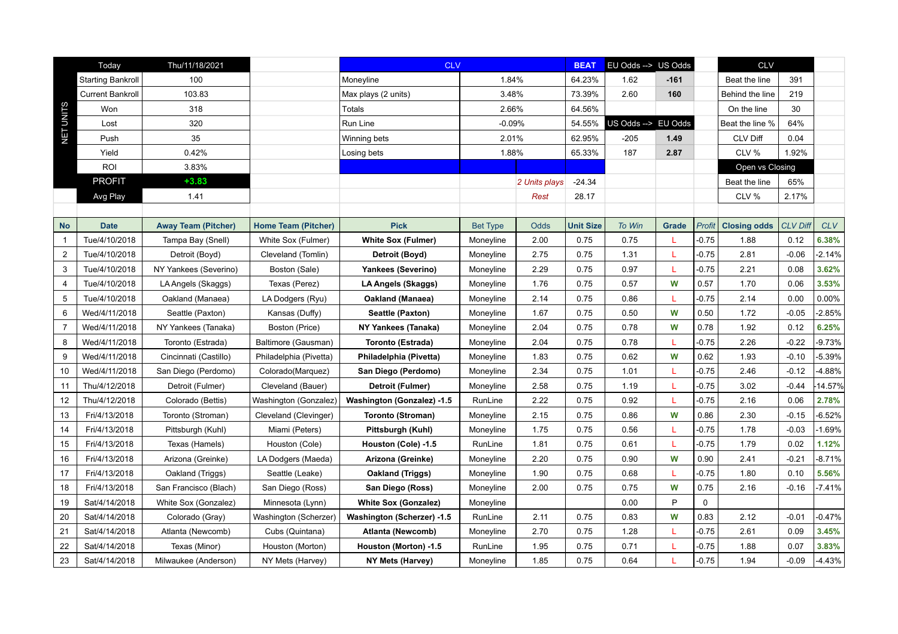|                | Today                    | Thu/11/18/2021             |                            | <b>CLV</b>                  |                 |               | <b>BEAT</b>      | EU Odds --> US Odds |              |             | <b>CLV</b>          |                 |            |
|----------------|--------------------------|----------------------------|----------------------------|-----------------------------|-----------------|---------------|------------------|---------------------|--------------|-------------|---------------------|-----------------|------------|
|                | <b>Starting Bankroll</b> | 100                        |                            | Moneyline                   | 1.84%           |               | 64.23%           | 1.62                | $-161$       |             | Beat the line       | 391             |            |
|                | <b>Current Bankroll</b>  | 103.83                     |                            | Max plays (2 units)         | 3.48%           |               | 73.39%           | 2.60                | 160          |             | Behind the line     | 219             |            |
|                | Won                      | 318                        |                            | Totals                      | 2.66%           |               | 64.56%           |                     |              |             | On the line         | 30              |            |
| NET UNITS      | Lost                     | 320                        |                            | Run Line                    | $-0.09%$        |               | 54.55%           | US Odds --> EU Odds |              |             | Beat the line %     | 64%             |            |
|                | Push                     | 35                         |                            | Winning bets                | 2.01%           |               | 62.95%           | $-205$              | 1.49         |             | <b>CLV Diff</b>     | 0.04            |            |
|                | Yield                    | 0.42%                      |                            | Losing bets                 | 1.88%           |               | 65.33%           | 187                 | 2.87         |             | CLV %               | 1.92%           |            |
|                | ROI                      | 3.83%                      |                            |                             |                 |               |                  |                     |              |             | Open vs Closing     |                 |            |
|                | <b>PROFIT</b>            | $+3.83$                    |                            |                             |                 | 2 Units plays | $-24.34$         |                     |              |             | Beat the line       | 65%             |            |
|                | Avg Play                 | 1.41                       |                            |                             |                 | Rest          | 28.17            |                     |              |             | CLV %               | 2.17%           |            |
|                |                          |                            |                            |                             |                 |               |                  |                     |              |             |                     |                 |            |
| <b>No</b>      | <b>Date</b>              | <b>Away Team (Pitcher)</b> | <b>Home Team (Pitcher)</b> | <b>Pick</b>                 | <b>Bet Type</b> | Odds          | <b>Unit Size</b> | To Win              | <b>Grade</b> | Profit      | <b>Closing odds</b> | <b>CLV Diff</b> | <b>CLV</b> |
| $\overline{1}$ | Tue/4/10/2018            | Tampa Bay (Snell)          | White Sox (Fulmer)         | <b>White Sox (Fulmer)</b>   | Moneyline       | 2.00          | 0.75             | 0.75                | L            | $-0.75$     | 1.88                | 0.12            | 6.38%      |
| $\overline{2}$ | Tue/4/10/2018            | Detroit (Boyd)             | Cleveland (Tomlin)         | Detroit (Boyd)              | Moneyline       | 2.75          | 0.75             | 1.31                | L            | $-0.75$     | 2.81                | $-0.06$         | $-2.14%$   |
| 3              | Tue/4/10/2018            | NY Yankees (Severino)      | Boston (Sale)              | <b>Yankees (Severino)</b>   | Moneyline       | 2.29          | 0.75             | 0.97                | L            | $-0.75$     | 2.21                | 0.08            | 3.62%      |
| 4              | Tue/4/10/2018            | LA Angels (Skaggs)         | Texas (Perez)              | LA Angels (Skaggs)          | Moneyline       | 1.76          | 0.75             | 0.57                | W            | 0.57        | 1.70                | 0.06            | 3.53%      |
| 5              | Tue/4/10/2018            | Oakland (Manaea)           | LA Dodgers (Ryu)           | <b>Oakland (Manaea)</b>     | Moneyline       | 2.14          | 0.75             | 0.86                | L            | $-0.75$     | 2.14                | 0.00            | 0.00%      |
| 6              | Wed/4/11/2018            | Seattle (Paxton)           | Kansas (Duffy)             | Seattle (Paxton)            | Moneyline       | 1.67          | 0.75             | 0.50                | W            | 0.50        | 1.72                | $-0.05$         | $-2.85%$   |
| $\overline{7}$ | Wed/4/11/2018            | NY Yankees (Tanaka)        | Boston (Price)             | NY Yankees (Tanaka)         | Moneyline       | 2.04          | 0.75             | 0.78                | W            | 0.78        | 1.92                | 0.12            | 6.25%      |
| 8              | Wed/4/11/2018            | Toronto (Estrada)          | Baltimore (Gausman)        | Toronto (Estrada)           | Moneyline       | 2.04          | 0.75             | 0.78                | L            | $-0.75$     | 2.26                | $-0.22$         | $-9.73%$   |
| 9              | Wed/4/11/2018            | Cincinnati (Castillo)      | Philadelphia (Pivetta)     | Philadelphia (Pivetta)      | Moneyline       | 1.83          | 0.75             | 0.62                | W            | 0.62        | 1.93                | $-0.10$         | $-5.39%$   |
| 10             | Wed/4/11/2018            | San Diego (Perdomo)        | Colorado(Marquez)          | San Diego (Perdomo)         | Moneyline       | 2.34          | 0.75             | 1.01                | L            | $-0.75$     | 2.46                | $-0.12$         | 4.88%      |
| 11             | Thu/4/12/2018            | Detroit (Fulmer)           | Cleveland (Bauer)          | Detroit (Fulmer)            | Moneyline       | 2.58          | 0.75             | 1.19                | L            | $-0.75$     | 3.02                | $-0.44$         | 14.57%     |
| 12             | Thu/4/12/2018            | Colorado (Bettis)          | Washington (Gonzalez)      | Washington (Gonzalez) -1.5  | RunLine         | 2.22          | 0.75             | 0.92                | L            | $-0.75$     | 2.16                | 0.06            | 2.78%      |
| 13             | Fri/4/13/2018            | Toronto (Stroman)          | Cleveland (Clevinger)      | Toronto (Stroman)           | Moneyline       | 2.15          | 0.75             | 0.86                | W            | 0.86        | 2.30                | $-0.15$         | $-6.52%$   |
| 14             | Fri/4/13/2018            | Pittsburgh (Kuhl)          | Miami (Peters)             | Pittsburgh (Kuhl)           | Moneyline       | 1.75          | 0.75             | 0.56                |              | $-0.75$     | 1.78                | $-0.03$         | $-1.69%$   |
| 15             | Fri/4/13/2018            | Texas (Hamels)             | Houston (Cole)             | Houston (Cole) -1.5         | RunLine         | 1.81          | 0.75             | 0.61                | L            | $-0.75$     | 1.79                | 0.02            | 1.12%      |
| 16             | Fri/4/13/2018            | Arizona (Greinke)          | LA Dodgers (Maeda)         | Arizona (Greinke)           | Moneyline       | 2.20          | 0.75             | 0.90                | W            | 0.90        | 2.41                | $-0.21$         | $-8.71%$   |
| 17             | Fri/4/13/2018            | Oakland (Triggs)           | Seattle (Leake)            | Oakland (Triggs)            | Moneyline       | 1.90          | 0.75             | 0.68                | L            | $-0.75$     | 1.80                | 0.10            | 5.56%      |
| 18             | Fri/4/13/2018            | San Francisco (Blach)      | San Diego (Ross)           | San Diego (Ross)            | Moneyline       | 2.00          | 0.75             | 0.75                | W            | 0.75        | 2.16                | $-0.16$         | $-7.41%$   |
| 19             | Sat/4/14/2018            | White Sox (Gonzalez)       | Minnesota (Lynn)           | <b>White Sox (Gonzalez)</b> | Moneyline       |               |                  | 0.00                | P            | $\mathbf 0$ |                     |                 |            |
| 20             | Sat/4/14/2018            | Colorado (Gray)            | Washington (Scherzer)      | Washington (Scherzer) -1.5  | RunLine         | 2.11          | 0.75             | 0.83                | W            | 0.83        | 2.12                | $-0.01$         | $-0.47%$   |
| 21             | Sat/4/14/2018            | Atlanta (Newcomb)          | Cubs (Quintana)            | Atlanta (Newcomb)           | Moneyline       | 2.70          | 0.75             | 1.28                |              | $-0.75$     | 2.61                | 0.09            | 3.45%      |
| 22             | Sat/4/14/2018            | Texas (Minor)              | Houston (Morton)           | Houston (Morton) -1.5       | RunLine         | 1.95          | 0.75             | 0.71                |              | $-0.75$     | 1.88                | 0.07            | 3.83%      |
| 23             | Sat/4/14/2018            | Milwaukee (Anderson)       | NY Mets (Harvey)           | NY Mets (Harvey)            | Moneyline       | 1.85          | 0.75             | 0.64                | L            | $-0.75$     | 1.94                | $-0.09$         | $-4.43%$   |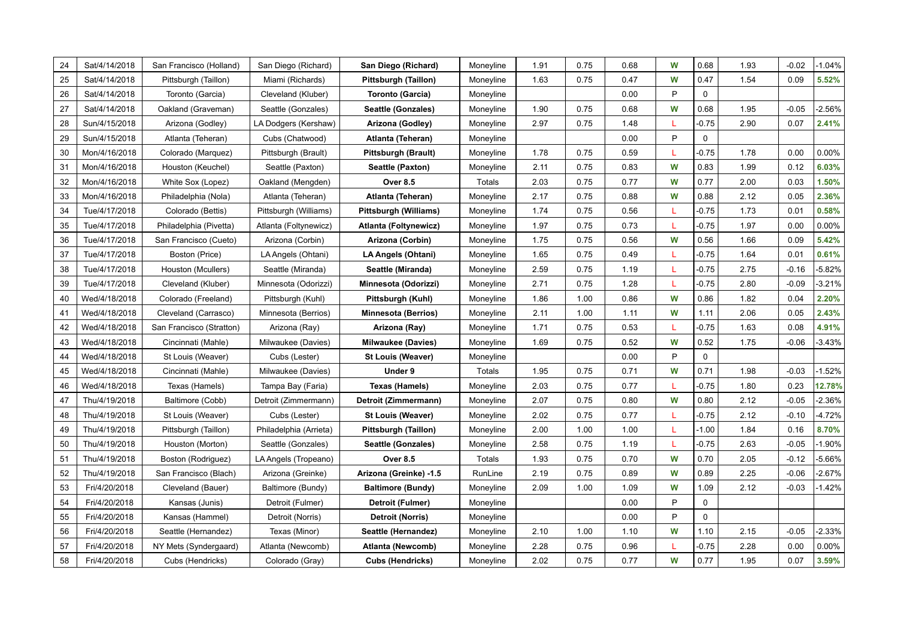| 24 | Sat/4/14/2018 | San Francisco (Holland)  | San Diego (Richard)    | San Diego (Richard)        | Moneyline | 1.91 | 0.75 | 0.68 | W | 0.68        | 1.93 | $-0.02$ | $-1.04%$ |
|----|---------------|--------------------------|------------------------|----------------------------|-----------|------|------|------|---|-------------|------|---------|----------|
| 25 | Sat/4/14/2018 | Pittsburgh (Taillon)     | Miami (Richards)       | Pittsburgh (Taillon)       | Moneyline | 1.63 | 0.75 | 0.47 | W | 0.47        | 1.54 | 0.09    | 5.52%    |
| 26 | Sat/4/14/2018 | Toronto (Garcia)         | Cleveland (Kluber)     | Toronto (Garcia)           | Moneyline |      |      | 0.00 | P | $\mathbf 0$ |      |         |          |
| 27 | Sat/4/14/2018 | Oakland (Graveman)       | Seattle (Gonzales)     | Seattle (Gonzales)         | Moneyline | 1.90 | 0.75 | 0.68 | W | 0.68        | 1.95 | $-0.05$ | $-2.56%$ |
| 28 | Sun/4/15/2018 | Arizona (Godley)         | LA Dodgers (Kershaw)   | Arizona (Godley)           | Moneyline | 2.97 | 0.75 | 1.48 | L | $-0.75$     | 2.90 | 0.07    | 2.41%    |
| 29 | Sun/4/15/2018 | Atlanta (Teheran)        | Cubs (Chatwood)        | Atlanta (Teheran)          | Moneyline |      |      | 0.00 | P | 0           |      |         |          |
| 30 | Mon/4/16/2018 | Colorado (Marquez)       | Pittsburgh (Brault)    | Pittsburgh (Brault)        | Moneyline | 1.78 | 0.75 | 0.59 | L | $-0.75$     | 1.78 | 0.00    | 0.00%    |
| 31 | Mon/4/16/2018 | Houston (Keuchel)        | Seattle (Paxton)       | Seattle (Paxton)           | Moneyline | 2.11 | 0.75 | 0.83 | W | 0.83        | 1.99 | 0.12    | 6.03%    |
| 32 | Mon/4/16/2018 | White Sox (Lopez)        | Oakland (Mengden)      | <b>Over 8.5</b>            | Totals    | 2.03 | 0.75 | 0.77 | W | 0.77        | 2.00 | 0.03    | 1.50%    |
| 33 | Mon/4/16/2018 | Philadelphia (Nola)      | Atlanta (Teheran)      | Atlanta (Teheran)          | Moneyline | 2.17 | 0.75 | 0.88 | W | 0.88        | 2.12 | 0.05    | 2.36%    |
| 34 | Tue/4/17/2018 | Colorado (Bettis)        | Pittsburgh (Williams)  | Pittsburgh (Williams)      | Moneyline | 1.74 | 0.75 | 0.56 | L | $-0.75$     | 1.73 | 0.01    | 0.58%    |
| 35 | Tue/4/17/2018 | Philadelphia (Pivetta)   | Atlanta (Foltynewicz)  | Atlanta (Foltynewicz)      | Moneyline | 1.97 | 0.75 | 0.73 | L | $-0.75$     | 1.97 | 0.00    | 0.00%    |
| 36 | Tue/4/17/2018 | San Francisco (Cueto)    | Arizona (Corbin)       | Arizona (Corbin)           | Moneyline | 1.75 | 0.75 | 0.56 | W | 0.56        | 1.66 | 0.09    | 5.42%    |
| 37 | Tue/4/17/2018 | Boston (Price)           | LA Angels (Ohtani)     | LA Angels (Ohtani)         | Moneyline | 1.65 | 0.75 | 0.49 | L | $-0.75$     | 1.64 | 0.01    | 0.61%    |
| 38 | Tue/4/17/2018 | Houston (Mcullers)       | Seattle (Miranda)      | Seattle (Miranda)          | Moneyline | 2.59 | 0.75 | 1.19 | L | $-0.75$     | 2.75 | $-0.16$ | $-5.82%$ |
| 39 | Tue/4/17/2018 | Cleveland (Kluber)       | Minnesota (Odorizzi)   | Minnesota (Odorizzi)       | Moneyline | 2.71 | 0.75 | 1.28 | L | $-0.75$     | 2.80 | $-0.09$ | $-3.21%$ |
| 40 | Wed/4/18/2018 | Colorado (Freeland)      | Pittsburgh (Kuhl)      | Pittsburgh (Kuhl)          | Moneyline | 1.86 | 1.00 | 0.86 | W | 0.86        | 1.82 | 0.04    | 2.20%    |
| 41 | Wed/4/18/2018 | Cleveland (Carrasco)     | Minnesota (Berrios)    | <b>Minnesota (Berrios)</b> | Moneyline | 2.11 | 1.00 | 1.11 | W | 1.11        | 2.06 | 0.05    | 2.43%    |
| 42 | Wed/4/18/2018 | San Francisco (Stratton) | Arizona (Ray)          | Arizona (Ray)              | Moneyline | 1.71 | 0.75 | 0.53 | L | $-0.75$     | 1.63 | 0.08    | 4.91%    |
| 43 | Wed/4/18/2018 | Cincinnati (Mahle)       | Milwaukee (Davies)     | <b>Milwaukee (Davies)</b>  | Moneyline | 1.69 | 0.75 | 0.52 | W | 0.52        | 1.75 | $-0.06$ | $-3.43%$ |
| 44 | Wed/4/18/2018 | St Louis (Weaver)        | Cubs (Lester)          | St Louis (Weaver)          | Moneyline |      |      | 0.00 | P | 0           |      |         |          |
| 45 | Wed/4/18/2018 | Cincinnati (Mahle)       | Milwaukee (Davies)     | Under 9                    | Totals    | 1.95 | 0.75 | 0.71 | W | 0.71        | 1.98 | $-0.03$ | $-1.52%$ |
| 46 | Wed/4/18/2018 | Texas (Hamels)           | Tampa Bay (Faria)      | Texas (Hamels)             | Moneyline | 2.03 | 0.75 | 0.77 | L | $-0.75$     | 1.80 | 0.23    | 12.78%   |
| 47 | Thu/4/19/2018 | Baltimore (Cobb)         | Detroit (Zimmermann)   | Detroit (Zimmermann)       | Moneyline | 2.07 | 0.75 | 0.80 | W | 0.80        | 2.12 | $-0.05$ | $-2.36%$ |
| 48 | Thu/4/19/2018 | St Louis (Weaver)        | Cubs (Lester)          | St Louis (Weaver)          | Moneyline | 2.02 | 0.75 | 0.77 | L | $-0.75$     | 2.12 | $-0.10$ | $-4.72%$ |
| 49 | Thu/4/19/2018 | Pittsburgh (Taillon)     | Philadelphia (Arrieta) | Pittsburgh (Taillon)       | Moneyline | 2.00 | 1.00 | 1.00 | L | $-1.00$     | 1.84 | 0.16    | 8.70%    |
| 50 | Thu/4/19/2018 | Houston (Morton)         | Seattle (Gonzales)     | Seattle (Gonzales)         | Moneyline | 2.58 | 0.75 | 1.19 | L | $-0.75$     | 2.63 | $-0.05$ | $-1.90%$ |
| 51 | Thu/4/19/2018 | Boston (Rodriguez)       | LA Angels (Tropeano)   | <b>Over 8.5</b>            | Totals    | 1.93 | 0.75 | 0.70 | W | 0.70        | 2.05 | $-0.12$ | $-5.66%$ |
| 52 | Thu/4/19/2018 | San Francisco (Blach)    | Arizona (Greinke)      | Arizona (Greinke) -1.5     | RunLine   | 2.19 | 0.75 | 0.89 | W | 0.89        | 2.25 | $-0.06$ | $-2.67%$ |
| 53 | Fri/4/20/2018 | Cleveland (Bauer)        | Baltimore (Bundy)      | <b>Baltimore (Bundy)</b>   | Moneyline | 2.09 | 1.00 | 1.09 | W | 1.09        | 2.12 | $-0.03$ | $-1.42%$ |
| 54 | Fri/4/20/2018 | Kansas (Junis)           | Detroit (Fulmer)       | Detroit (Fulmer)           | Moneyline |      |      | 0.00 | P | 0           |      |         |          |
| 55 | Fri/4/20/2018 | Kansas (Hammel)          | Detroit (Norris)       | Detroit (Norris)           | Moneyline |      |      | 0.00 | P | 0           |      |         |          |
| 56 | Fri/4/20/2018 | Seattle (Hernandez)      | Texas (Minor)          | Seattle (Hernandez)        | Moneyline | 2.10 | 1.00 | 1.10 | W | 1.10        | 2.15 | $-0.05$ | $-2.33%$ |
| 57 | Fri/4/20/2018 | NY Mets (Syndergaard)    | Atlanta (Newcomb)      | Atlanta (Newcomb)          | Moneyline | 2.28 | 0.75 | 0.96 | L | $-0.75$     | 2.28 | 0.00    | $0.00\%$ |
| 58 | Fri/4/20/2018 | Cubs (Hendricks)         | Colorado (Gray)        | <b>Cubs (Hendricks)</b>    | Moneyline | 2.02 | 0.75 | 0.77 | W | 0.77        | 1.95 | 0.07    | 3.59%    |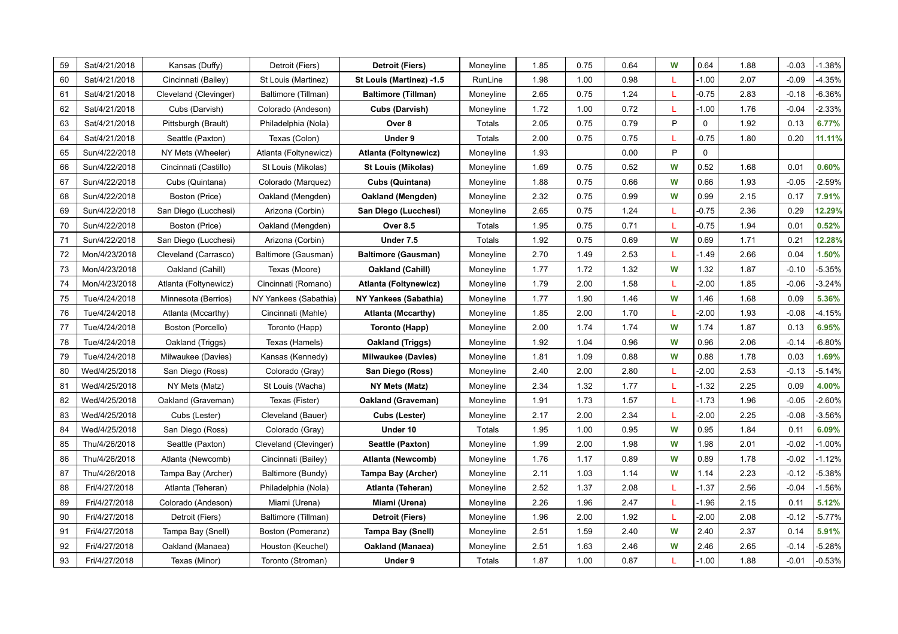| 59 | Sat/4/21/2018 | Kansas (Duffy)        | Detroit (Fiers)       | Detroit (Fiers)            | Moneyline | 1.85 | 0.75 | 0.64 | W | 0.64        | 1.88 | $-0.03$ | $-1.38%$ |
|----|---------------|-----------------------|-----------------------|----------------------------|-----------|------|------|------|---|-------------|------|---------|----------|
| 60 | Sat/4/21/2018 | Cincinnati (Bailey)   | St Louis (Martinez)   | St Louis (Martinez) -1.5   | RunLine   | 1.98 | 1.00 | 0.98 | L | $-1.00$     | 2.07 | $-0.09$ | $-4.35%$ |
| 61 | Sat/4/21/2018 | Cleveland (Clevinger) | Baltimore (Tillman)   | <b>Baltimore (Tillman)</b> | Moneyline | 2.65 | 0.75 | 1.24 | L | $-0.75$     | 2.83 | $-0.18$ | $-6.36%$ |
| 62 | Sat/4/21/2018 | Cubs (Darvish)        | Colorado (Andeson)    | Cubs (Darvish)             | Moneyline | 1.72 | 1.00 | 0.72 | L | $-1.00$     | 1.76 | $-0.04$ | $-2.33%$ |
| 63 | Sat/4/21/2018 | Pittsburgh (Brault)   | Philadelphia (Nola)   | Over 8                     | Totals    | 2.05 | 0.75 | 0.79 | P | $\mathbf 0$ | 1.92 | 0.13    | 6.77%    |
| 64 | Sat/4/21/2018 | Seattle (Paxton)      | Texas (Colon)         | Under 9                    | Totals    | 2.00 | 0.75 | 0.75 | L | $-0.75$     | 1.80 | 0.20    | 11.11%   |
| 65 | Sun/4/22/2018 | NY Mets (Wheeler)     | Atlanta (Foltynewicz) | Atlanta (Foltynewicz)      | Moneyline | 1.93 |      | 0.00 | P | $\mathbf 0$ |      |         |          |
| 66 | Sun/4/22/2018 | Cincinnati (Castillo) | St Louis (Mikolas)    | St Louis (Mikolas)         | Moneyline | 1.69 | 0.75 | 0.52 | W | 0.52        | 1.68 | 0.01    | 0.60%    |
| 67 | Sun/4/22/2018 | Cubs (Quintana)       | Colorado (Marquez)    | <b>Cubs (Quintana)</b>     | Moneyline | 1.88 | 0.75 | 0.66 | W | 0.66        | 1.93 | $-0.05$ | $-2.59%$ |
| 68 | Sun/4/22/2018 | Boston (Price)        | Oakland (Mengden)     | Oakland (Mengden)          | Moneyline | 2.32 | 0.75 | 0.99 | W | 0.99        | 2.15 | 0.17    | 7.91%    |
| 69 | Sun/4/22/2018 | San Diego (Lucchesi)  | Arizona (Corbin)      | San Diego (Lucchesi)       | Moneyline | 2.65 | 0.75 | 1.24 | L | $-0.75$     | 2.36 | 0.29    | 12.29%   |
| 70 | Sun/4/22/2018 | Boston (Price)        | Oakland (Mengden)     | <b>Over 8.5</b>            | Totals    | 1.95 | 0.75 | 0.71 | L | $-0.75$     | 1.94 | 0.01    | 0.52%    |
| 71 | Sun/4/22/2018 | San Diego (Lucchesi)  | Arizona (Corbin)      | Under 7.5                  | Totals    | 1.92 | 0.75 | 0.69 | W | 0.69        | 1.71 | 0.21    | 12.28%   |
| 72 | Mon/4/23/2018 | Cleveland (Carrasco)  | Baltimore (Gausman)   | <b>Baltimore (Gausman)</b> | Moneyline | 2.70 | 1.49 | 2.53 | L | $-1.49$     | 2.66 | 0.04    | 1.50%    |
| 73 | Mon/4/23/2018 | Oakland (Cahill)      | Texas (Moore)         | Oakland (Cahill)           | Moneyline | 1.77 | 1.72 | 1.32 | W | 1.32        | 1.87 | $-0.10$ | $-5.35%$ |
| 74 | Mon/4/23/2018 | Atlanta (Foltynewicz) | Cincinnati (Romano)   | Atlanta (Foltynewicz)      | Moneyline | 1.79 | 2.00 | 1.58 | L | $-2.00$     | 1.85 | $-0.06$ | $-3.24%$ |
| 75 | Tue/4/24/2018 | Minnesota (Berrios)   | NY Yankees (Sabathia) | NY Yankees (Sabathia)      | Moneyline | 1.77 | 1.90 | 1.46 | W | 1.46        | 1.68 | 0.09    | 5.36%    |
| 76 | Tue/4/24/2018 | Atlanta (Mccarthy)    | Cincinnati (Mahle)    | <b>Atlanta (Mccarthy)</b>  | Moneyline | 1.85 | 2.00 | 1.70 | L | $-2.00$     | 1.93 | $-0.08$ | $-4.15%$ |
| 77 | Tue/4/24/2018 | Boston (Porcello)     | Toronto (Happ)        | <b>Toronto (Happ)</b>      | Moneyline | 2.00 | 1.74 | 1.74 | W | 1.74        | 1.87 | 0.13    | 6.95%    |
| 78 | Tue/4/24/2018 | Oakland (Triggs)      | Texas (Hamels)        | Oakland (Triggs)           | Moneyline | 1.92 | 1.04 | 0.96 | W | 0.96        | 2.06 | $-0.14$ | $-6.80%$ |
| 79 | Tue/4/24/2018 | Milwaukee (Davies)    | Kansas (Kennedy)      | <b>Milwaukee (Davies)</b>  | Moneyline | 1.81 | 1.09 | 0.88 | W | 0.88        | 1.78 | 0.03    | 1.69%    |
| 80 | Wed/4/25/2018 | San Diego (Ross)      | Colorado (Gray)       | San Diego (Ross)           | Moneyline | 2.40 | 2.00 | 2.80 | L | $-2.00$     | 2.53 | $-0.13$ | $-5.14%$ |
| 81 | Wed/4/25/2018 | NY Mets (Matz)        | St Louis (Wacha)      | NY Mets (Matz)             | Moneyline | 2.34 | 1.32 | 1.77 | L | $-1.32$     | 2.25 | 0.09    | 4.00%    |
| 82 | Wed/4/25/2018 | Oakland (Graveman)    | Texas (Fister)        | Oakland (Graveman)         | Moneyline | 1.91 | 1.73 | 1.57 | L | $-1.73$     | 1.96 | $-0.05$ | $-2.60%$ |
| 83 | Wed/4/25/2018 | Cubs (Lester)         | Cleveland (Bauer)     | Cubs (Lester)              | Moneyline | 2.17 | 2.00 | 2.34 | L | $-2.00$     | 2.25 | $-0.08$ | $-3.56%$ |
| 84 | Wed/4/25/2018 | San Diego (Ross)      | Colorado (Gray)       | Under 10                   | Totals    | 1.95 | 1.00 | 0.95 | W | 0.95        | 1.84 | 0.11    | 6.09%    |
| 85 | Thu/4/26/2018 | Seattle (Paxton)      | Cleveland (Clevinger) | Seattle (Paxton)           | Moneyline | 1.99 | 2.00 | 1.98 | W | 1.98        | 2.01 | $-0.02$ | $-1.00%$ |
| 86 | Thu/4/26/2018 | Atlanta (Newcomb)     | Cincinnati (Bailey)   | Atlanta (Newcomb)          | Moneyline | 1.76 | 1.17 | 0.89 | W | 0.89        | 1.78 | $-0.02$ | $-1.12%$ |
| 87 | Thu/4/26/2018 | Tampa Bay (Archer)    | Baltimore (Bundy)     | Tampa Bay (Archer)         | Moneyline | 2.11 | 1.03 | 1.14 | W | 1.14        | 2.23 | $-0.12$ | $-5.38%$ |
| 88 | Fri/4/27/2018 | Atlanta (Teheran)     | Philadelphia (Nola)   | Atlanta (Teheran)          | Moneyline | 2.52 | 1.37 | 2.08 | L | $-1.37$     | 2.56 | $-0.04$ | $-1.56%$ |
| 89 | Fri/4/27/2018 | Colorado (Andeson)    | Miami (Urena)         | Miami (Urena)              | Moneyline | 2.26 | 1.96 | 2.47 | L | $-1.96$     | 2.15 | 0.11    | 5.12%    |
| 90 | Fri/4/27/2018 | Detroit (Fiers)       | Baltimore (Tillman)   | Detroit (Fiers)            | Moneyline | 1.96 | 2.00 | 1.92 | L | $-2.00$     | 2.08 | $-0.12$ | $-5.77%$ |
| 91 | Fri/4/27/2018 | Tampa Bay (Snell)     | Boston (Pomeranz)     | Tampa Bay (Snell)          | Moneyline | 2.51 | 1.59 | 2.40 | W | 2.40        | 2.37 | 0.14    | 5.91%    |
| 92 | Fri/4/27/2018 | Oakland (Manaea)      | Houston (Keuchel)     | Oakland (Manaea)           | Moneyline | 2.51 | 1.63 | 2.46 | W | 2.46        | 2.65 | $-0.14$ | $-5.28%$ |
| 93 | Fri/4/27/2018 | Texas (Minor)         | Toronto (Stroman)     | Under 9                    | Totals    | 1.87 | 1.00 | 0.87 | L | $-1.00$     | 1.88 | $-0.01$ | $-0.53%$ |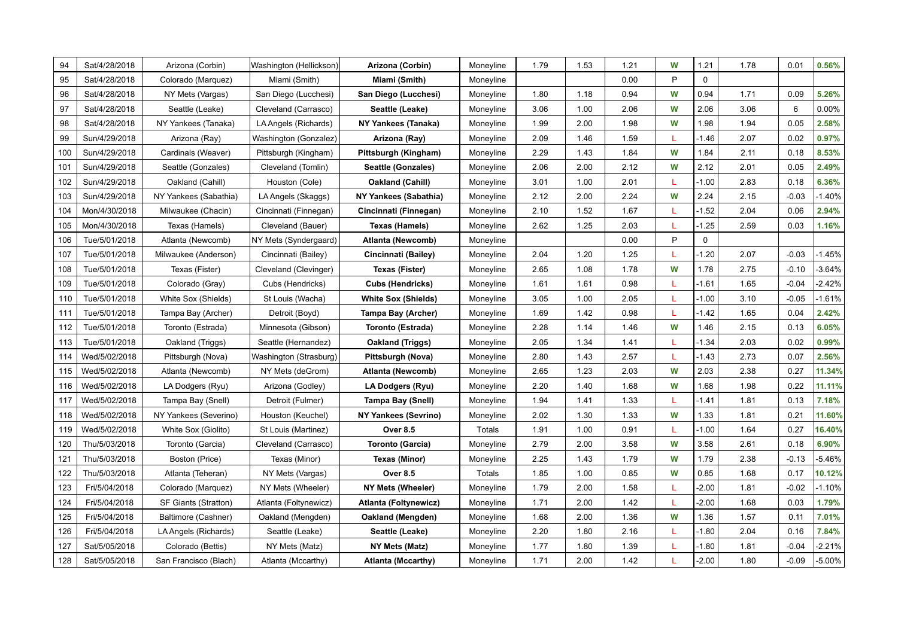| 94  | Sat/4/28/2018 | Arizona (Corbin)      | Washington (Hellickson) | Arizona (Corbin)            | Moneyline | 1.79 | 1.53 | 1.21 | W | 1.21    | 1.78 | 0.01    | 0.56%    |
|-----|---------------|-----------------------|-------------------------|-----------------------------|-----------|------|------|------|---|---------|------|---------|----------|
| 95  | Sat/4/28/2018 | Colorado (Marquez)    | Miami (Smith)           | Miami (Smith)               | Moneyline |      |      | 0.00 | P | 0       |      |         |          |
| 96  | Sat/4/28/2018 | NY Mets (Vargas)      | San Diego (Lucchesi)    | San Diego (Lucchesi)        | Moneyline | 1.80 | 1.18 | 0.94 | W | 0.94    | 1.71 | 0.09    | 5.26%    |
| 97  | Sat/4/28/2018 | Seattle (Leake)       | Cleveland (Carrasco)    | Seattle (Leake)             | Moneyline | 3.06 | 1.00 | 2.06 | W | 2.06    | 3.06 | 6       | 0.00%    |
| 98  | Sat/4/28/2018 | NY Yankees (Tanaka)   | LA Angels (Richards)    | NY Yankees (Tanaka)         | Moneyline | 1.99 | 2.00 | 1.98 | W | 1.98    | 1.94 | 0.05    | 2.58%    |
| 99  | Sun/4/29/2018 | Arizona (Ray)         | Washington (Gonzalez)   | Arizona (Ray)               | Moneyline | 2.09 | 1.46 | 1.59 | L | $-1.46$ | 2.07 | 0.02    | 0.97%    |
| 100 | Sun/4/29/2018 | Cardinals (Weaver)    | Pittsburgh (Kingham)    | Pittsburgh (Kingham)        | Moneyline | 2.29 | 1.43 | 1.84 | W | 1.84    | 2.11 | 0.18    | 8.53%    |
| 101 | Sun/4/29/2018 | Seattle (Gonzales)    | Cleveland (Tomlin)      | Seattle (Gonzales)          | Moneyline | 2.06 | 2.00 | 2.12 | W | 2.12    | 2.01 | 0.05    | 2.49%    |
| 102 | Sun/4/29/2018 | Oakland (Cahill)      | Houston (Cole)          | Oakland (Cahill)            | Moneyline | 3.01 | 1.00 | 2.01 | L | $-1.00$ | 2.83 | 0.18    | 6.36%    |
| 103 | Sun/4/29/2018 | NY Yankees (Sabathia) | LA Angels (Skaggs)      | NY Yankees (Sabathia)       | Moneyline | 2.12 | 2.00 | 2.24 | W | 2.24    | 2.15 | $-0.03$ | $-1.40%$ |
| 104 | Mon/4/30/2018 | Milwaukee (Chacin)    | Cincinnati (Finnegan)   | Cincinnati (Finnegan)       | Moneyline | 2.10 | 1.52 | 1.67 | L | $-1.52$ | 2.04 | 0.06    | 2.94%    |
| 105 | Mon/4/30/2018 | Texas (Hamels)        | Cleveland (Bauer)       | Texas (Hamels)              | Moneyline | 2.62 | 1.25 | 2.03 | L | $-1.25$ | 2.59 | 0.03    | 1.16%    |
| 106 | Tue/5/01/2018 | Atlanta (Newcomb)     | NY Mets (Syndergaard)   | Atlanta (Newcomb)           | Moneyline |      |      | 0.00 | P | 0       |      |         |          |
| 107 | Tue/5/01/2018 | Milwaukee (Anderson)  | Cincinnati (Bailey)     | Cincinnati (Bailey)         | Moneyline | 2.04 | 1.20 | 1.25 | L | $-1.20$ | 2.07 | $-0.03$ | $-1.45%$ |
| 108 | Tue/5/01/2018 | Texas (Fister)        | Cleveland (Clevinger)   | Texas (Fister)              | Moneyline | 2.65 | 1.08 | 1.78 | W | 1.78    | 2.75 | $-0.10$ | $-3.64%$ |
| 109 | Tue/5/01/2018 | Colorado (Gray)       | Cubs (Hendricks)        | <b>Cubs (Hendricks)</b>     | Moneyline | 1.61 | 1.61 | 0.98 | L | $-1.61$ | 1.65 | $-0.04$ | $-2.42%$ |
| 110 | Tue/5/01/2018 | White Sox (Shields)   | St Louis (Wacha)        | <b>White Sox (Shields)</b>  | Moneyline | 3.05 | 1.00 | 2.05 | L | $-1.00$ | 3.10 | $-0.05$ | $-1.61%$ |
| 111 | Tue/5/01/2018 | Tampa Bay (Archer)    | Detroit (Boyd)          | Tampa Bay (Archer)          | Moneyline | 1.69 | 1.42 | 0.98 | L | $-1.42$ | 1.65 | 0.04    | 2.42%    |
| 112 | Tue/5/01/2018 | Toronto (Estrada)     | Minnesota (Gibson)      | Toronto (Estrada)           | Moneyline | 2.28 | 1.14 | 1.46 | W | 1.46    | 2.15 | 0.13    | 6.05%    |
| 113 | Tue/5/01/2018 | Oakland (Triggs)      | Seattle (Hernandez)     | Oakland (Triggs)            | Moneyline | 2.05 | 1.34 | 1.41 | L | $-1.34$ | 2.03 | 0.02    | 0.99%    |
| 114 | Wed/5/02/2018 | Pittsburgh (Nova)     | Washington (Strasburg)  | Pittsburgh (Nova)           | Moneyline | 2.80 | 1.43 | 2.57 | L | $-1.43$ | 2.73 | 0.07    | 2.56%    |
| 115 | Wed/5/02/2018 | Atlanta (Newcomb)     | NY Mets (deGrom)        | Atlanta (Newcomb)           | Moneyline | 2.65 | 1.23 | 2.03 | W | 2.03    | 2.38 | 0.27    | 11.34%   |
| 116 | Wed/5/02/2018 | LA Dodgers (Ryu)      | Arizona (Godley)        | LA Dodgers (Ryu)            | Moneyline | 2.20 | 1.40 | 1.68 | W | 1.68    | 1.98 | 0.22    | 11.11%   |
| 117 | Wed/5/02/2018 | Tampa Bay (Snell)     | Detroit (Fulmer)        | Tampa Bay (Snell)           | Moneyline | 1.94 | 1.41 | 1.33 | L | $-1.41$ | 1.81 | 0.13    | 7.18%    |
| 118 | Wed/5/02/2018 | NY Yankees (Severino) | Houston (Keuchel)       | <b>NY Yankees (Sevrino)</b> | Moneyline | 2.02 | 1.30 | 1.33 | W | 1.33    | 1.81 | 0.21    | 11.60%   |
| 119 | Wed/5/02/2018 | White Sox (Giolito)   | St Louis (Martinez)     | <b>Over 8.5</b>             | Totals    | 1.91 | 1.00 | 0.91 | L | $-1.00$ | 1.64 | 0.27    | 16.40%   |
| 120 | Thu/5/03/2018 | Toronto (Garcia)      | Cleveland (Carrasco)    | <b>Toronto (Garcia)</b>     | Moneyline | 2.79 | 2.00 | 3.58 | W | 3.58    | 2.61 | 0.18    | 6.90%    |
| 121 | Thu/5/03/2018 | Boston (Price)        | Texas (Minor)           | <b>Texas (Minor)</b>        | Moneyline | 2.25 | 1.43 | 1.79 | W | 1.79    | 2.38 | $-0.13$ | $-5.46%$ |
| 122 | Thu/5/03/2018 | Atlanta (Teheran)     | NY Mets (Vargas)        | <b>Over 8.5</b>             | Totals    | 1.85 | 1.00 | 0.85 | W | 0.85    | 1.68 | 0.17    | 10.12%   |
| 123 | Fri/5/04/2018 | Colorado (Marquez)    | NY Mets (Wheeler)       | NY Mets (Wheeler)           | Moneyline | 1.79 | 2.00 | 1.58 | L | $-2.00$ | 1.81 | $-0.02$ | $-1.10%$ |
| 124 | Fri/5/04/2018 | SF Giants (Stratton)  | Atlanta (Foltynewicz)   | Atlanta (Foltynewicz)       | Moneyline | 1.71 | 2.00 | 1.42 | L | $-2.00$ | 1.68 | 0.03    | 1.79%    |
| 125 | Fri/5/04/2018 | Baltimore (Cashner)   | Oakland (Mengden)       | Oakland (Mengden)           | Moneyline | 1.68 | 2.00 | 1.36 | W | 1.36    | 1.57 | 0.11    | 7.01%    |
| 126 | Fri/5/04/2018 | LA Angels (Richards)  | Seattle (Leake)         | Seattle (Leake)             | Moneyline | 2.20 | 1.80 | 2.16 | L | $-1.80$ | 2.04 | 0.16    | 7.84%    |
| 127 | Sat/5/05/2018 | Colorado (Bettis)     | NY Mets (Matz)          | NY Mets (Matz)              | Moneyline | 1.77 | 1.80 | 1.39 | L | $-1.80$ | 1.81 | $-0.04$ | $-2.21%$ |
| 128 | Sat/5/05/2018 | San Francisco (Blach) | Atlanta (Mccarthy)      | <b>Atlanta (Mccarthy)</b>   | Moneyline | 1.71 | 2.00 | 1.42 | L | $-2.00$ | 1.80 | $-0.09$ | $-5.00%$ |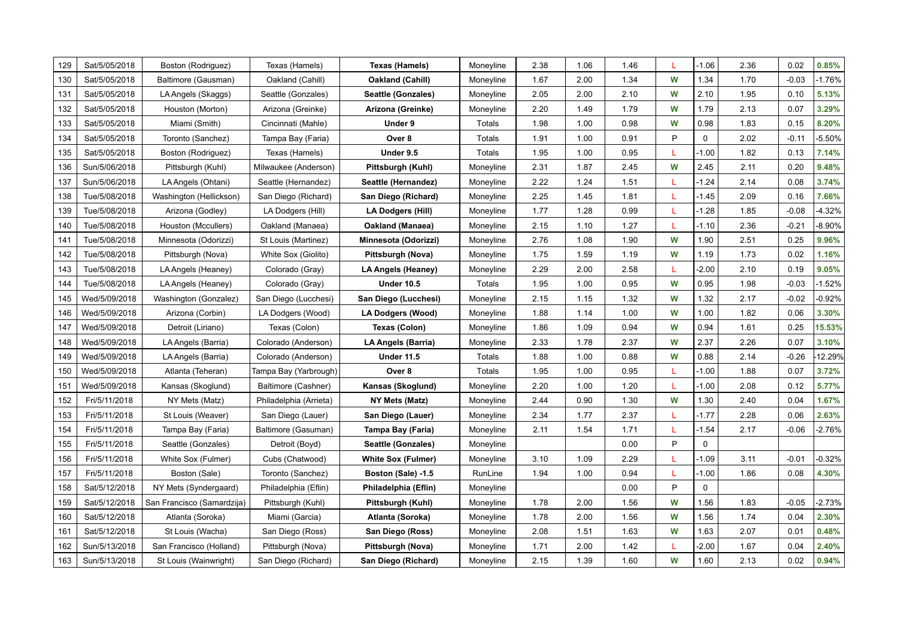| 129 | Sat/5/05/2018 | Boston (Rodriguez)         | Texas (Hamels)         | Texas (Hamels)            | Moneyline | 2.38 | 1.06 | 1.46 | L | $-1.06$     | 2.36 | 0.02    | 0.85%     |
|-----|---------------|----------------------------|------------------------|---------------------------|-----------|------|------|------|---|-------------|------|---------|-----------|
| 130 | Sat/5/05/2018 | Baltimore (Gausman)        | Oakland (Cahill)       | Oakland (Cahill)          | Moneyline | 1.67 | 2.00 | 1.34 | W | 1.34        | 1.70 | $-0.03$ | $-1.76%$  |
| 131 | Sat/5/05/2018 | LA Angels (Skaggs)         | Seattle (Gonzales)     | <b>Seattle (Gonzales)</b> | Moneyline | 2.05 | 2.00 | 2.10 | W | 2.10        | 1.95 | 0.10    | 5.13%     |
| 132 | Sat/5/05/2018 | Houston (Morton)           | Arizona (Greinke)      | Arizona (Greinke)         | Moneyline | 2.20 | 1.49 | 1.79 | W | 1.79        | 2.13 | 0.07    | 3.29%     |
| 133 | Sat/5/05/2018 | Miami (Smith)              | Cincinnati (Mahle)     | Under 9                   | Totals    | 1.98 | 1.00 | 0.98 | W | 0.98        | 1.83 | 0.15    | 8.20%     |
| 134 | Sat/5/05/2018 | Toronto (Sanchez)          | Tampa Bay (Faria)      | Over 8                    | Totals    | 1.91 | 1.00 | 0.91 | P | $\Omega$    | 2.02 | $-0.11$ | $-5.50%$  |
| 135 | Sat/5/05/2018 | Boston (Rodriguez)         | Texas (Hamels)         | Under 9.5                 | Totals    | 1.95 | 1.00 | 0.95 | L | $-1.00$     | 1.82 | 0.13    | 7.14%     |
| 136 | Sun/5/06/2018 | Pittsburgh (Kuhl)          | Milwaukee (Anderson)   | Pittsburgh (Kuhl)         | Moneyline | 2.31 | 1.87 | 2.45 | W | 2.45        | 2.11 | 0.20    | 9.48%     |
| 137 | Sun/5/06/2018 | LA Angels (Ohtani)         | Seattle (Hernandez)    | Seattle (Hernandez)       | Moneyline | 2.22 | 1.24 | 1.51 | L | $-1.24$     | 2.14 | 0.08    | 3.74%     |
| 138 | Tue/5/08/2018 | Washington (Hellickson)    | San Diego (Richard)    | San Diego (Richard)       | Moneyline | 2.25 | 1.45 | 1.81 | L | $-1.45$     | 2.09 | 0.16    | 7.66%     |
| 139 | Tue/5/08/2018 | Arizona (Godley)           | LA Dodgers (Hill)      | LA Dodgers (Hill)         | Moneyline | 1.77 | 1.28 | 0.99 | L | $-1.28$     | 1.85 | $-0.08$ | $-4.32%$  |
| 140 | Tue/5/08/2018 | Houston (Mccullers)        | Oakland (Manaea)       | Oakland (Manaea)          | Moneyline | 2.15 | 1.10 | 1.27 | L | $-1.10$     | 2.36 | $-0.21$ | $-8.90\%$ |
| 141 | Tue/5/08/2018 | Minnesota (Odorizzi)       | St Louis (Martinez)    | Minnesota (Odorizzi)      | Moneyline | 2.76 | 1.08 | 1.90 | W | 1.90        | 2.51 | 0.25    | 9.96%     |
| 142 | Tue/5/08/2018 | Pittsburgh (Nova)          | White Sox (Giolito)    | Pittsburgh (Nova)         | Moneyline | 1.75 | 1.59 | 1.19 | W | 1.19        | 1.73 | 0.02    | 1.16%     |
| 143 | Tue/5/08/2018 | LA Angels (Heaney)         | Colorado (Gray)        | LA Angels (Heaney)        | Moneyline | 2.29 | 2.00 | 2.58 | L | $-2.00$     | 2.10 | 0.19    | 9.05%     |
| 144 | Tue/5/08/2018 | LA Angels (Heaney)         | Colorado (Gray)        | <b>Under 10.5</b>         | Totals    | 1.95 | 1.00 | 0.95 | W | 0.95        | 1.98 | $-0.03$ | $-1.52%$  |
| 145 | Wed/5/09/2018 | Washington (Gonzalez)      | San Diego (Lucchesi)   | San Diego (Lucchesi)      | Moneyline | 2.15 | 1.15 | 1.32 | W | 1.32        | 2.17 | $-0.02$ | $-0.92%$  |
| 146 | Wed/5/09/2018 | Arizona (Corbin)           | LA Dodgers (Wood)      | LA Dodgers (Wood)         | Moneyline | 1.88 | 1.14 | 1.00 | W | 1.00        | 1.82 | 0.06    | 3.30%     |
| 147 | Wed/5/09/2018 | Detroit (Liriano)          | Texas (Colon)          | Texas (Colon)             | Moneyline | 1.86 | 1.09 | 0.94 | W | 0.94        | 1.61 | 0.25    | 15.53%    |
| 148 | Wed/5/09/2018 | LA Angels (Barria)         | Colorado (Anderson)    | LA Angels (Barria)        | Moneyline | 2.33 | 1.78 | 2.37 | W | 2.37        | 2.26 | 0.07    | 3.10%     |
| 149 | Wed/5/09/2018 | LA Angels (Barria)         | Colorado (Anderson)    | <b>Under 11.5</b>         | Totals    | 1.88 | 1.00 | 0.88 | W | 0.88        | 2.14 | $-0.26$ | 12.29%    |
| 150 | Wed/5/09/2018 | Atlanta (Teheran)          | Tampa Bay (Yarbrough)  | Over 8                    | Totals    | 1.95 | 1.00 | 0.95 | L | $-1.00$     | 1.88 | 0.07    | 3.72%     |
| 151 | Wed/5/09/2018 | Kansas (Skoglund)          | Baltimore (Cashner)    | Kansas (Skoglund)         | Moneyline | 2.20 | 1.00 | 1.20 | L | $-1.00$     | 2.08 | 0.12    | 5.77%     |
| 152 | Fri/5/11/2018 | NY Mets (Matz)             | Philadelphia (Arrieta) | NY Mets (Matz)            | Moneyline | 2.44 | 0.90 | 1.30 | W | 1.30        | 2.40 | 0.04    | 1.67%     |
| 153 | Fri/5/11/2018 | St Louis (Weaver)          | San Diego (Lauer)      | San Diego (Lauer)         | Moneyline | 2.34 | 1.77 | 2.37 | L | $-1.77$     | 2.28 | 0.06    | 2.63%     |
| 154 | Fri/5/11/2018 | Tampa Bay (Faria)          | Baltimore (Gasuman)    | Tampa Bay (Faria)         | Moneyline | 2.11 | 1.54 | 1.71 | L | $-1.54$     | 2.17 | $-0.06$ | $-2.76%$  |
| 155 | Fri/5/11/2018 | Seattle (Gonzales)         | Detroit (Boyd)         | Seattle (Gonzales)        | Moneyline |      |      | 0.00 | P | $\mathbf 0$ |      |         |           |
| 156 | Fri/5/11/2018 | White Sox (Fulmer)         | Cubs (Chatwood)        | <b>White Sox (Fulmer)</b> | Moneyline | 3.10 | 1.09 | 2.29 | L | $-1.09$     | 3.11 | $-0.01$ | $-0.32%$  |
| 157 | Fri/5/11/2018 | Boston (Sale)              | Toronto (Sanchez)      | Boston (Sale) -1.5        | RunLine   | 1.94 | 1.00 | 0.94 | L | $-1.00$     | 1.86 | 0.08    | 4.30%     |
| 158 | Sat/5/12/2018 | NY Mets (Syndergaard)      | Philadelphia (Eflin)   | Philadelphia (Eflin)      | Moneyline |      |      | 0.00 | P | 0           |      |         |           |
| 159 | Sat/5/12/2018 | San Francisco (Samardzija) | Pittsburgh (Kuhl)      | Pittsburgh (Kuhl)         | Moneyline | 1.78 | 2.00 | 1.56 | W | 1.56        | 1.83 | $-0.05$ | $-2.73%$  |
| 160 | Sat/5/12/2018 | Atlanta (Soroka)           | Miami (Garcia)         | Atlanta (Soroka)          | Moneyline | 1.78 | 2.00 | 1.56 | W | 1.56        | 1.74 | 0.04    | 2.30%     |
| 161 | Sat/5/12/2018 | St Louis (Wacha)           | San Diego (Ross)       | San Diego (Ross)          | Moneyline | 2.08 | 1.51 | 1.63 | W | 1.63        | 2.07 | 0.01    | 0.48%     |
| 162 | Sun/5/13/2018 | San Francisco (Holland)    | Pittsburgh (Nova)      | Pittsburgh (Nova)         | Moneyline | 1.71 | 2.00 | 1.42 | L | $-2.00$     | 1.67 | 0.04    | 2.40%     |
| 163 | Sun/5/13/2018 | St Louis (Wainwright)      | San Diego (Richard)    | San Diego (Richard)       | Moneyline | 2.15 | 1.39 | 1.60 | W | 1.60        | 2.13 | 0.02    | 0.94%     |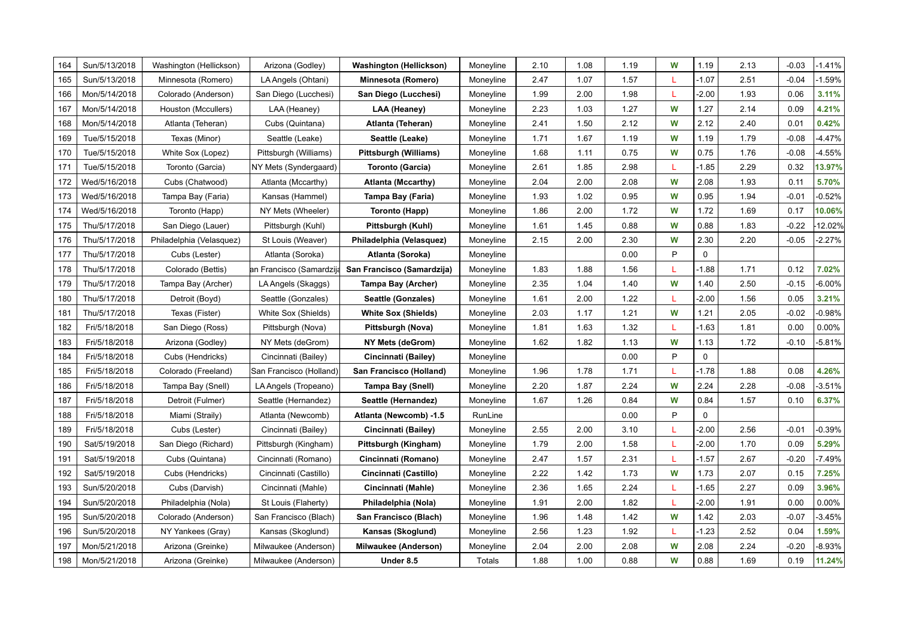| 164 | Sun/5/13/2018 | Washington (Hellickson)  | Arizona (Godley)         | Washington (Hellickson)     | Moneyline | 2.10 | 1.08 | 1.19 | W  | 1.19         | 2.13 | $-0.03$ | $-1.41%$  |
|-----|---------------|--------------------------|--------------------------|-----------------------------|-----------|------|------|------|----|--------------|------|---------|-----------|
| 165 | Sun/5/13/2018 | Minnesota (Romero)       | LA Angels (Ohtani)       | Minnesota (Romero)          | Moneyline | 2.47 | 1.07 | 1.57 |    | $-1.07$      | 2.51 | $-0.04$ | $-1.59%$  |
| 166 | Mon/5/14/2018 | Colorado (Anderson)      | San Diego (Lucchesi)     | San Diego (Lucchesi)        | Moneyline | 1.99 | 2.00 | 1.98 | L  | $-2.00$      | 1.93 | 0.06    | 3.11%     |
| 167 | Mon/5/14/2018 | Houston (Mccullers)      | LAA (Heaney)             | LAA (Heaney)                | Moneyline | 2.23 | 1.03 | 1.27 | W  | 1.27         | 2.14 | 0.09    | 4.21%     |
| 168 | Mon/5/14/2018 | Atlanta (Teheran)        | Cubs (Quintana)          | Atlanta (Teheran)           | Moneyline | 2.41 | 1.50 | 2.12 | W  | 2.12         | 2.40 | 0.01    | 0.42%     |
| 169 | Tue/5/15/2018 | Texas (Minor)            | Seattle (Leake)          | Seattle (Leake)             | Moneyline | 1.71 | 1.67 | 1.19 | W  | 1.19         | 1.79 | $-0.08$ | $-4.47%$  |
| 170 | Tue/5/15/2018 | White Sox (Lopez)        | Pittsburgh (Williams)    | Pittsburgh (Williams)       | Moneyline | 1.68 | 1.11 | 0.75 | W  | 0.75         | 1.76 | $-0.08$ | 4.55%     |
| 171 | Tue/5/15/2018 | Toronto (Garcia)         | NY Mets (Syndergaard)    | <b>Toronto (Garcia)</b>     | Moneyline | 2.61 | 1.85 | 2.98 | L  | $-1.85$      | 2.29 | 0.32    | 13.97%    |
| 172 | Wed/5/16/2018 | Cubs (Chatwood)          | Atlanta (Mccarthy)       | <b>Atlanta (Mccarthy)</b>   | Moneyline | 2.04 | 2.00 | 2.08 | W  | 2.08         | 1.93 | 0.11    | 5.70%     |
| 173 | Wed/5/16/2018 | Tampa Bay (Faria)        | Kansas (Hammel)          | Tampa Bay (Faria)           | Moneyline | 1.93 | 1.02 | 0.95 | W  | 0.95         | 1.94 | $-0.01$ | 0.52%     |
| 174 | Wed/5/16/2018 | Toronto (Happ)           | NY Mets (Wheeler)        | Toronto (Happ)              | Moneyline | 1.86 | 2.00 | 1.72 | W  | 1.72         | 1.69 | 0.17    | 10.06%    |
| 175 | Thu/5/17/2018 | San Diego (Lauer)        | Pittsburgh (Kuhl)        | Pittsburgh (Kuhl)           | Moneyline | 1.61 | 1.45 | 0.88 | W  | 0.88         | 1.83 | $-0.22$ | 12.02%    |
| 176 | Thu/5/17/2018 | Philadelphia (Velasquez) | St Louis (Weaver)        | Philadelphia (Velasquez)    | Moneyline | 2.15 | 2.00 | 2.30 | W  | 2.30         | 2.20 | $-0.05$ | $-2.27%$  |
| 177 | Thu/5/17/2018 | Cubs (Lester)            | Atlanta (Soroka)         | Atlanta (Soroka)            | Moneyline |      |      | 0.00 | P  | $\mathbf{0}$ |      |         |           |
| 178 | Thu/5/17/2018 | Colorado (Bettis)        | an Francisco (Samardzija | San Francisco (Samardzija)  | Moneyline | 1.83 | 1.88 | 1.56 | L  | $-1.88$      | 1.71 | 0.12    | 7.02%     |
| 179 | Thu/5/17/2018 | Tampa Bay (Archer)       | LA Angels (Skaggs)       | Tampa Bay (Archer)          | Moneyline | 2.35 | 1.04 | 1.40 | W  | 1.40         | 2.50 | $-0.15$ | $-6.00\%$ |
| 180 | Thu/5/17/2018 | Detroit (Boyd)           | Seattle (Gonzales)       | Seattle (Gonzales)          | Moneyline | 1.61 | 2.00 | 1.22 | T  | $-2.00$      | 1.56 | 0.05    | 3.21%     |
| 181 | Thu/5/17/2018 | Texas (Fister)           | White Sox (Shields)      | <b>White Sox (Shields)</b>  | Moneyline | 2.03 | 1.17 | 1.21 | W  | 1.21         | 2.05 | $-0.02$ | $-0.98%$  |
| 182 | Fri/5/18/2018 | San Diego (Ross)         | Pittsburgh (Nova)        | Pittsburgh (Nova)           | Moneyline | 1.81 | 1.63 | 1.32 | L  | $-1.63$      | 1.81 | 0.00    | 0.00%     |
| 183 | Fri/5/18/2018 | Arizona (Godley)         | NY Mets (deGrom)         | NY Mets (deGrom)            | Moneyline | 1.62 | 1.82 | 1.13 | W  | 1.13         | 1.72 | $-0.10$ | $-5.81%$  |
| 184 | Fri/5/18/2018 | Cubs (Hendricks)         | Cincinnati (Bailey)      | Cincinnati (Bailey)         | Moneyline |      |      | 0.00 | P  | $\mathbf 0$  |      |         |           |
| 185 | Fri/5/18/2018 | Colorado (Freeland)      | San Francisco (Holland)  | San Francisco (Holland)     | Moneyline | 1.96 | 1.78 | 1.71 | L  | $-1.78$      | 1.88 | 0.08    | 4.26%     |
| 186 | Fri/5/18/2018 | Tampa Bay (Snell)        | LA Angels (Tropeano)     | Tampa Bay (Snell)           | Moneyline | 2.20 | 1.87 | 2.24 | W  | 2.24         | 2.28 | $-0.08$ | $-3.51%$  |
| 187 | Fri/5/18/2018 | Detroit (Fulmer)         | Seattle (Hernandez)      | Seattle (Hernandez)         | Moneyline | 1.67 | 1.26 | 0.84 | W  | 0.84         | 1.57 | 0.10    | 6.37%     |
| 188 | Fri/5/18/2018 | Miami (Straily)          | Atlanta (Newcomb)        | Atlanta (Newcomb) -1.5      | RunLine   |      |      | 0.00 | P  | $\mathbf 0$  |      |         |           |
| 189 | Fri/5/18/2018 | Cubs (Lester)            | Cincinnati (Bailey)      | Cincinnati (Bailey)         | Moneyline | 2.55 | 2.00 | 3.10 |    | $-2.00$      | 2.56 | $-0.01$ | $-0.39%$  |
| 190 | Sat/5/19/2018 | San Diego (Richard)      | Pittsburgh (Kingham)     | Pittsburgh (Kingham)        | Moneyline | 1.79 | 2.00 | 1.58 | L  | $-2.00$      | 1.70 | 0.09    | 5.29%     |
| 191 | Sat/5/19/2018 | Cubs (Quintana)          | Cincinnati (Romano)      | Cincinnati (Romano)         | Moneyline | 2.47 | 1.57 | 2.31 | L  | $-1.57$      | 2.67 | $-0.20$ | $-7.49%$  |
| 192 | Sat/5/19/2018 | Cubs (Hendricks)         | Cincinnati (Castillo)    | Cincinnati (Castillo)       | Moneyline | 2.22 | 1.42 | 1.73 | W  | 1.73         | 2.07 | 0.15    | 7.25%     |
| 193 | Sun/5/20/2018 | Cubs (Darvish)           | Cincinnati (Mahle)       | Cincinnati (Mahle)          | Moneyline | 2.36 | 1.65 | 2.24 | L  | $-1.65$      | 2.27 | 0.09    | 3.96%     |
| 194 | Sun/5/20/2018 | Philadelphia (Nola)      | St Louis (Flaherty)      | Philadelphia (Nola)         | Moneyline | 1.91 | 2.00 | 1.82 | L. | $-2.00$      | 1.91 | 0.00    | 0.00%     |
| 195 | Sun/5/20/2018 | Colorado (Anderson)      | San Francisco (Blach)    | San Francisco (Blach)       | Moneyline | 1.96 | 1.48 | 1.42 | W  | 1.42         | 2.03 | $-0.07$ | $-3.45%$  |
| 196 | Sun/5/20/2018 | NY Yankees (Gray)        | Kansas (Skoglund)        | Kansas (Skoglund)           | Moneyline | 2.56 | 1.23 | 1.92 | L  | $-1.23$      | 2.52 | 0.04    | 1.59%     |
| 197 | Mon/5/21/2018 | Arizona (Greinke)        | Milwaukee (Anderson)     | <b>Milwaukee (Anderson)</b> | Moneyline | 2.04 | 2.00 | 2.08 | W  | 2.08         | 2.24 | $-0.20$ | $-8.93%$  |
| 198 | Mon/5/21/2018 | Arizona (Greinke)        | Milwaukee (Anderson)     | Under 8.5                   | Totals    | 1.88 | 1.00 | 0.88 | W  | 0.88         | 1.69 | 0.19    | 11.24%    |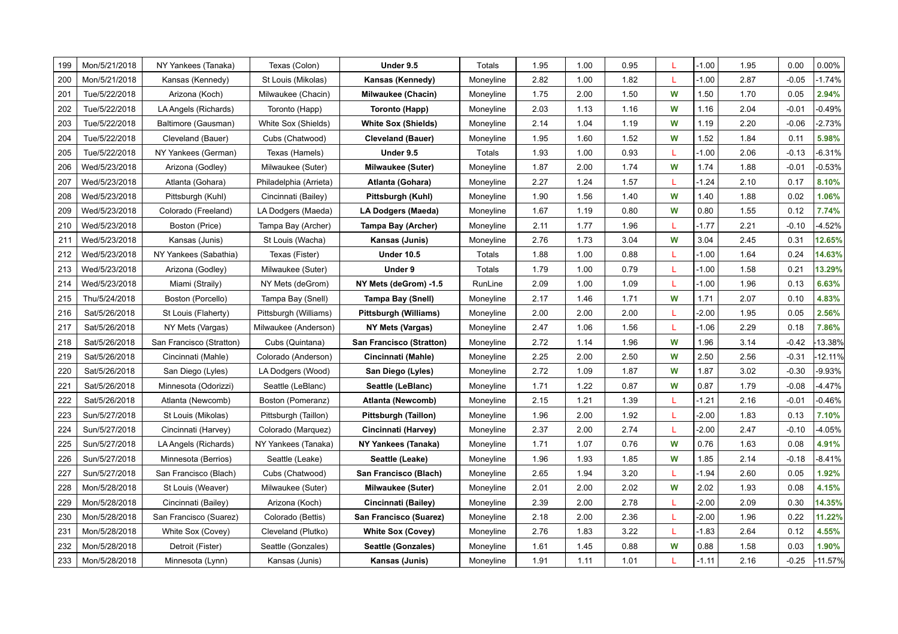| 199 | Mon/5/21/2018 | NY Yankees (Tanaka)      | Texas (Colon)          | Under 9.5                       | Totals    | 1.95 | 1.00 | 0.95 | L | $-1.00$ | 1.95 | 0.00    | 0.00%     |
|-----|---------------|--------------------------|------------------------|---------------------------------|-----------|------|------|------|---|---------|------|---------|-----------|
| 200 | Mon/5/21/2018 | Kansas (Kennedy)         | St Louis (Mikolas)     | Kansas (Kennedy)                | Moneyline | 2.82 | 1.00 | 1.82 | L | $-1.00$ | 2.87 | $-0.05$ | $-1.74%$  |
| 201 | Tue/5/22/2018 | Arizona (Koch)           | Milwaukee (Chacin)     | <b>Milwaukee (Chacin)</b>       | Moneyline | 1.75 | 2.00 | 1.50 | W | 1.50    | 1.70 | 0.05    | 2.94%     |
| 202 | Tue/5/22/2018 | LA Angels (Richards)     | Toronto (Happ)         | Toronto (Happ)                  | Moneyline | 2.03 | 1.13 | 1.16 | W | 1.16    | 2.04 | $-0.01$ | $-0.49%$  |
| 203 | Tue/5/22/2018 | Baltimore (Gausman)      | White Sox (Shields)    | <b>White Sox (Shields)</b>      | Moneyline | 2.14 | 1.04 | 1.19 | W | 1.19    | 2.20 | $-0.06$ | $-2.73%$  |
| 204 | Tue/5/22/2018 | Cleveland (Bauer)        | Cubs (Chatwood)        | <b>Cleveland (Bauer)</b>        | Moneyline | 1.95 | 1.60 | 1.52 | W | 1.52    | 1.84 | 0.11    | 5.98%     |
| 205 | Tue/5/22/2018 | NY Yankees (German)      | Texas (Hamels)         | Under 9.5                       | Totals    | 1.93 | 1.00 | 0.93 | L | $-1.00$ | 2.06 | $-0.13$ | $-6.31%$  |
| 206 | Wed/5/23/2018 | Arizona (Godley)         | Milwaukee (Suter)      | <b>Milwaukee (Suter)</b>        | Moneyline | 1.87 | 2.00 | 1.74 | W | 1.74    | 1.88 | $-0.01$ | $-0.53%$  |
| 207 | Wed/5/23/2018 | Atlanta (Gohara)         | Philadelphia (Arrieta) | Atlanta (Gohara)                | Moneyline | 2.27 | 1.24 | 1.57 | L | $-1.24$ | 2.10 | 0.17    | 8.10%     |
| 208 | Wed/5/23/2018 | Pittsburgh (Kuhl)        | Cincinnati (Bailey)    | Pittsburgh (Kuhl)               | Moneyline | 1.90 | 1.56 | 1.40 | W | 1.40    | 1.88 | 0.02    | 1.06%     |
| 209 | Wed/5/23/2018 | Colorado (Freeland)      | LA Dodgers (Maeda)     | LA Dodgers (Maeda)              | Moneyline | 1.67 | 1.19 | 0.80 | W | 0.80    | 1.55 | 0.12    | 7.74%     |
| 210 | Wed/5/23/2018 | Boston (Price)           | Tampa Bay (Archer)     | Tampa Bay (Archer)              | Moneyline | 2.11 | 1.77 | 1.96 | L | $-1.77$ | 2.21 | $-0.10$ | $-4.52%$  |
| 211 | Wed/5/23/2018 | Kansas (Junis)           | St Louis (Wacha)       | Kansas (Junis)                  | Moneyline | 2.76 | 1.73 | 3.04 | W | 3.04    | 2.45 | 0.31    | 12.65%    |
| 212 | Wed/5/23/2018 | NY Yankees (Sabathia)    | Texas (Fister)         | <b>Under 10.5</b>               | Totals    | 1.88 | 1.00 | 0.88 | L | $-1.00$ | 1.64 | 0.24    | 14.63%    |
| 213 | Wed/5/23/2018 | Arizona (Godley)         | Milwaukee (Suter)      | Under 9                         | Totals    | 1.79 | 1.00 | 0.79 | L | $-1.00$ | 1.58 | 0.21    | 13.29%    |
| 214 | Wed/5/23/2018 | Miami (Straily)          | NY Mets (deGrom)       | NY Mets (deGrom) -1.5           | RunLine   | 2.09 | 1.00 | 1.09 | L | $-1.00$ | 1.96 | 0.13    | 6.63%     |
| 215 | Thu/5/24/2018 | Boston (Porcello)        | Tampa Bay (Snell)      | <b>Tampa Bay (Snell)</b>        | Moneyline | 2.17 | 1.46 | 1.71 | W | 1.71    | 2.07 | 0.10    | 4.83%     |
| 216 | Sat/5/26/2018 | St Louis (Flaherty)      | Pittsburgh (Williams)  | Pittsburgh (Williams)           | Moneyline | 2.00 | 2.00 | 2.00 | L | $-2.00$ | 1.95 | 0.05    | 2.56%     |
| 217 | Sat/5/26/2018 | NY Mets (Vargas)         | Milwaukee (Anderson)   | NY Mets (Vargas)                | Moneyline | 2.47 | 1.06 | 1.56 | L | $-1.06$ | 2.29 | 0.18    | 7.86%     |
| 218 | Sat/5/26/2018 | San Francisco (Stratton) | Cubs (Quintana)        | <b>San Francisco (Stratton)</b> | Moneyline | 2.72 | 1.14 | 1.96 | W | 1.96    | 3.14 | $-0.42$ | -13.38%   |
| 219 | Sat/5/26/2018 | Cincinnati (Mahle)       | Colorado (Anderson)    | Cincinnati (Mahle)              | Moneyline | 2.25 | 2.00 | 2.50 | W | 2.50    | 2.56 | $-0.31$ | $-12.11%$ |
| 220 | Sat/5/26/2018 | San Diego (Lyles)        | LA Dodgers (Wood)      | San Diego (Lyles)               | Moneyline | 2.72 | 1.09 | 1.87 | W | 1.87    | 3.02 | $-0.30$ | $-9.93%$  |
| 221 | Sat/5/26/2018 | Minnesota (Odorizzi)     | Seattle (LeBlanc)      | Seattle (LeBlanc)               | Moneyline | 1.71 | 1.22 | 0.87 | W | 0.87    | 1.79 | $-0.08$ | $-4.47%$  |
| 222 | Sat/5/26/2018 | Atlanta (Newcomb)        | Boston (Pomeranz)      | Atlanta (Newcomb)               | Moneyline | 2.15 | 1.21 | 1.39 | L | $-1.21$ | 2.16 | $-0.01$ | $-0.46%$  |
| 223 | Sun/5/27/2018 | St Louis (Mikolas)       | Pittsburgh (Taillon)   | Pittsburgh (Taillon)            | Moneyline | 1.96 | 2.00 | 1.92 | L | $-2.00$ | 1.83 | 0.13    | 7.10%     |
| 224 | Sun/5/27/2018 | Cincinnati (Harvey)      | Colorado (Marquez)     | Cincinnati (Harvey)             | Moneyline | 2.37 | 2.00 | 2.74 | L | $-2.00$ | 2.47 | $-0.10$ | $-4.05%$  |
| 225 | Sun/5/27/2018 | LA Angels (Richards)     | NY Yankees (Tanaka)    | NY Yankees (Tanaka)             | Moneyline | 1.71 | 1.07 | 0.76 | W | 0.76    | 1.63 | 0.08    | 4.91%     |
| 226 | Sun/5/27/2018 | Minnesota (Berrios)      | Seattle (Leake)        | Seattle (Leake)                 | Moneyline | 1.96 | 1.93 | 1.85 | W | 1.85    | 2.14 | $-0.18$ | $-8.41%$  |
| 227 | Sun/5/27/2018 | San Francisco (Blach)    | Cubs (Chatwood)        | San Francisco (Blach)           | Moneyline | 2.65 | 1.94 | 3.20 | L | $-1.94$ | 2.60 | 0.05    | 1.92%     |
| 228 | Mon/5/28/2018 | St Louis (Weaver)        | Milwaukee (Suter)      | <b>Milwaukee (Suter)</b>        | Moneyline | 2.01 | 2.00 | 2.02 | W | 2.02    | 1.93 | 0.08    | 4.15%     |
| 229 | Mon/5/28/2018 | Cincinnati (Bailey)      | Arizona (Koch)         | Cincinnati (Bailey)             | Moneyline | 2.39 | 2.00 | 2.78 | L | $-2.00$ | 2.09 | 0.30    | 14.35%    |
| 230 | Mon/5/28/2018 | San Francisco (Suarez)   | Colorado (Bettis)      | San Francisco (Suarez)          | Moneyline | 2.18 | 2.00 | 2.36 | L | $-2.00$ | 1.96 | 0.22    | 11.22%    |
| 231 | Mon/5/28/2018 | White Sox (Covey)        | Cleveland (Plutko)     | <b>White Sox (Covey)</b>        | Moneyline | 2.76 | 1.83 | 3.22 | L | $-1.83$ | 2.64 | 0.12    | 4.55%     |
| 232 | Mon/5/28/2018 | Detroit (Fister)         | Seattle (Gonzales)     | Seattle (Gonzales)              | Moneyline | 1.61 | 1.45 | 0.88 | W | 0.88    | 1.58 | 0.03    | 1.90%     |
| 233 | Mon/5/28/2018 | Minnesota (Lynn)         | Kansas (Junis)         | Kansas (Junis)                  | Moneyline | 1.91 | 1.11 | 1.01 | L | $-1.11$ | 2.16 | $-0.25$ | $-11.57%$ |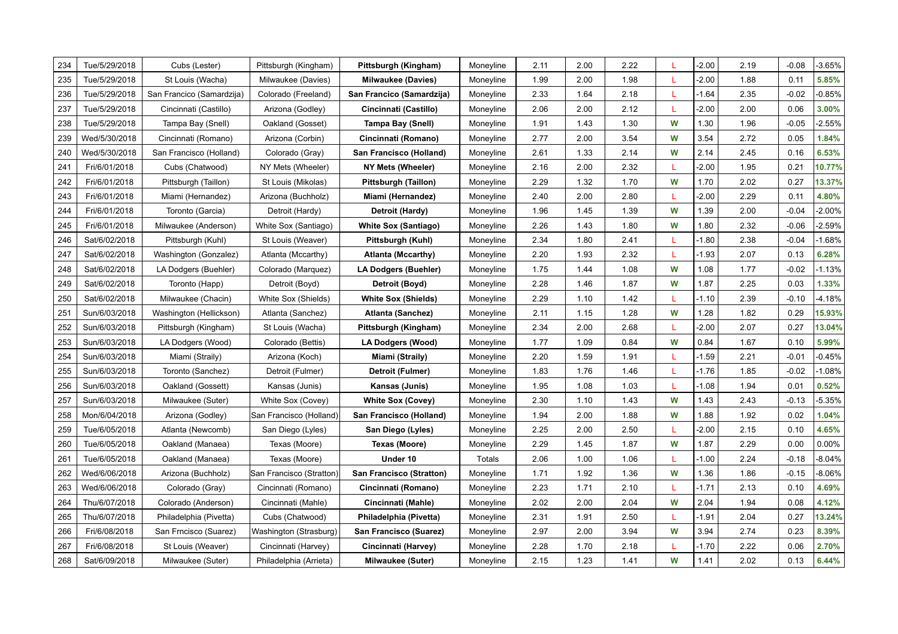| 234 | Tue/5/29/2018 | Cubs (Lester)             |                                            |                                                   | Moneyline | 2.11 | 2.00 | 2.22 | L  | $-2.00$ | 2.19 | $-0.08$ | $-3.65%$ |
|-----|---------------|---------------------------|--------------------------------------------|---------------------------------------------------|-----------|------|------|------|----|---------|------|---------|----------|
| 235 | Tue/5/29/2018 | St Louis (Wacha)          | Pittsburgh (Kingham)<br>Milwaukee (Davies) | Pittsburgh (Kingham)<br><b>Milwaukee (Davies)</b> | Moneyline | 1.99 | 2.00 | 1.98 |    | $-2.00$ | 1.88 | 0.11    | 5.85%    |
| 236 | Tue/5/29/2018 | San Francico (Samardzija) | Colorado (Freeland)                        | San Francico (Samardzija)                         | Moneyline | 2.33 | 1.64 | 2.18 | L  | $-1.64$ | 2.35 | $-0.02$ | $-0.85%$ |
| 237 | Tue/5/29/2018 | Cincinnati (Castillo)     | Arizona (Godley)                           | Cincinnati (Castillo)                             | Moneyline | 2.06 | 2.00 | 2.12 | L  | $-2.00$ | 2.00 | 0.06    | 3.00%    |
| 238 | Tue/5/29/2018 | Tampa Bay (Snell)         | Oakland (Gosset)                           | <b>Tampa Bay (Snell)</b>                          | Moneyline | 1.91 | 1.43 | 1.30 | W  | 1.30    | 1.96 | $-0.05$ | $-2.55%$ |
| 239 | Wed/5/30/2018 | Cincinnati (Romano)       | Arizona (Corbin)                           | Cincinnati (Romano)                               | Moneyline | 2.77 | 2.00 | 3.54 | W  | 3.54    | 2.72 | 0.05    | 1.84%    |
| 240 | Wed/5/30/2018 | San Francisco (Holland)   | Colorado (Gray)                            | San Francisco (Holland)                           | Moneyline | 2.61 | 1.33 | 2.14 | W  | 2.14    | 2.45 | 0.16    | 6.53%    |
| 241 | Fri/6/01/2018 | Cubs (Chatwood)           | NY Mets (Wheeler)                          | NY Mets (Wheeler)                                 | Moneyline | 2.16 | 2.00 | 2.32 | L  | $-2.00$ | 1.95 | 0.21    | 10.77%   |
| 242 | Fri/6/01/2018 | Pittsburgh (Taillon)      | St Louis (Mikolas)                         | Pittsburgh (Taillon)                              | Moneyline | 2.29 | 1.32 | 1.70 | W  | 1.70    | 2.02 | 0.27    | 13.37%   |
| 243 | Fri/6/01/2018 | Miami (Hernandez)         | Arizona (Buchholz)                         | Miami (Hernandez)                                 | Moneyline | 2.40 | 2.00 | 2.80 | L  | $-2.00$ | 2.29 | 0.11    | 4.80%    |
| 244 | Fri/6/01/2018 | Toronto (Garcia)          | Detroit (Hardy)                            | Detroit (Hardy)                                   | Moneyline | 1.96 | 1.45 | 1.39 | W  | 1.39    | 2.00 | $-0.04$ | $-2.00%$ |
| 245 | Fri/6/01/2018 | Milwaukee (Anderson)      | White Sox (Santiago)                       | <b>White Sox (Santiago)</b>                       | Moneyline | 2.26 | 1.43 | 1.80 | W  | 1.80    | 2.32 | $-0.06$ | $-2.59%$ |
| 246 | Sat/6/02/2018 | Pittsburgh (Kuhl)         | St Louis (Weaver)                          | Pittsburgh (Kuhl)                                 | Moneyline | 2.34 | 1.80 | 2.41 | L  | $-1.80$ | 2.38 | $-0.04$ | $-1.68%$ |
| 247 | Sat/6/02/2018 | Washington (Gonzalez)     | Atlanta (Mccarthy)                         | <b>Atlanta (Mccarthy)</b>                         | Moneyline | 2.20 | 1.93 | 2.32 | L  | $-1.93$ | 2.07 | 0.13    | 6.28%    |
| 248 | Sat/6/02/2018 | LA Dodgers (Buehler)      | Colorado (Marquez)                         | <b>LA Dodgers (Buehler)</b>                       | Moneyline | 1.75 | 1.44 | 1.08 | W  | 1.08    | 1.77 | $-0.02$ | $-1.13%$ |
| 249 | Sat/6/02/2018 | Toronto (Happ)            | Detroit (Boyd)                             | Detroit (Boyd)                                    | Moneyline | 2.28 | 1.46 | 1.87 | W  | 1.87    | 2.25 | 0.03    | 1.33%    |
| 250 | Sat/6/02/2018 | Milwaukee (Chacin)        | White Sox (Shields)                        | <b>White Sox (Shields)</b>                        | Moneyline | 2.29 | 1.10 | 1.42 | т  | $-1.10$ | 2.39 | $-0.10$ | $-4.18%$ |
| 251 | Sun/6/03/2018 | Washington (Hellickson)   | Atlanta (Sanchez)                          | Atlanta (Sanchez)                                 | Moneyline | 2.11 | 1.15 | 1.28 | W  | 1.28    | 1.82 | 0.29    | 15.93%   |
| 252 | Sun/6/03/2018 | Pittsburgh (Kingham)      | St Louis (Wacha)                           | Pittsburgh (Kingham)                              | Moneyline | 2.34 | 2.00 | 2.68 | L  | $-2.00$ | 2.07 | 0.27    | 13.04%   |
| 253 | Sun/6/03/2018 | LA Dodgers (Wood)         | Colorado (Bettis)                          | LA Dodgers (Wood)                                 | Moneyline | 1.77 | 1.09 | 0.84 | W  | 0.84    | 1.67 | 0.10    | 5.99%    |
| 254 | Sun/6/03/2018 | Miami (Straily)           | Arizona (Koch)                             | Miami (Straily)                                   | Moneyline | 2.20 | 1.59 | 1.91 |    | $-1.59$ | 2.21 | $-0.01$ | $-0.45%$ |
| 255 | Sun/6/03/2018 | Toronto (Sanchez)         | Detroit (Fulmer)                           | Detroit (Fulmer)                                  | Moneyline | 1.83 | 1.76 | 1.46 | L  | $-1.76$ | 1.85 | $-0.02$ | $-1.08%$ |
| 256 | Sun/6/03/2018 | Oakland (Gossett)         | Kansas (Junis)                             | Kansas (Junis)                                    | Moneyline | 1.95 | 1.08 | 1.03 | L  | $-1.08$ | 1.94 | 0.01    | 0.52%    |
| 257 | Sun/6/03/2018 | Milwaukee (Suter)         | White Sox (Covey)                          | <b>White Sox (Covey)</b>                          | Moneyline | 2.30 | 1.10 | 1.43 | W  | 1.43    | 2.43 | $-0.13$ | $-5.35%$ |
| 258 | Mon/6/04/2018 | Arizona (Godley)          | San Francisco (Holland)                    | San Francisco (Holland)                           | Moneyline | 1.94 | 2.00 | 1.88 | W  | 1.88    | 1.92 | 0.02    | 1.04%    |
| 259 | Tue/6/05/2018 | Atlanta (Newcomb)         | San Diego (Lyles)                          | San Diego (Lyles)                                 | Moneyline | 2.25 | 2.00 | 2.50 | L  | $-2.00$ | 2.15 | 0.10    | 4.65%    |
| 260 | Tue/6/05/2018 | Oakland (Manaea)          | Texas (Moore)                              | Texas (Moore)                                     | Moneyline | 2.29 | 1.45 | 1.87 | W  | 1.87    | 2.29 | 0.00    | 0.00%    |
| 261 | Tue/6/05/2018 | Oakland (Manaea)          | Texas (Moore)                              | Under 10                                          | Totals    | 2.06 | 1.00 | 1.06 | L  | $-1.00$ | 2.24 | $-0.18$ | $-8.04%$ |
| 262 | Wed/6/06/2018 | Arizona (Buchholz)        | San Francisco (Stratton)                   | <b>San Francisco (Stratton)</b>                   | Moneyline | 1.71 | 1.92 | 1.36 | W  | 1.36    | 1.86 | $-0.15$ | $-8.06%$ |
| 263 | Wed/6/06/2018 | Colorado (Gray)           | Cincinnati (Romano)                        | Cincinnati (Romano)                               | Moneyline | 2.23 | 1.71 | 2.10 | L  | $-1.71$ | 2.13 | 0.10    | 4.69%    |
| 264 | Thu/6/07/2018 | Colorado (Anderson)       | Cincinnati (Mahle)                         | Cincinnati (Mahle)                                | Moneyline | 2.02 | 2.00 | 2.04 | W  | 2.04    | 1.94 | 0.08    | 4.12%    |
| 265 | Thu/6/07/2018 | Philadelphia (Pivetta)    | Cubs (Chatwood)                            | Philadelphia (Pivetta)                            | Moneyline | 2.31 | 1.91 | 2.50 | L  | $-1.91$ | 2.04 | 0.27    | 13.24%   |
| 266 | Fri/6/08/2018 | San Frncisco (Suarez)     | Washington (Strasburg)                     | San Francisco (Suarez)                            | Moneyline | 2.97 | 2.00 | 3.94 | W  | 3.94    | 2.74 | 0.23    | 8.39%    |
| 267 | Fri/6/08/2018 | St Louis (Weaver)         | Cincinnati (Harvey)                        | Cincinnati (Harvey)                               | Moneyline | 2.28 | 1.70 | 2.18 | T. | $-1.70$ | 2.22 | 0.06    | 2.70%    |
| 268 | Sat/6/09/2018 | Milwaukee (Suter)         | Philadelphia (Arrieta)                     | Milwaukee (Suter)                                 | Moneyline | 2.15 | 1.23 | 1.41 | W  | 1.41    | 2.02 | 0.13    | 6.44%    |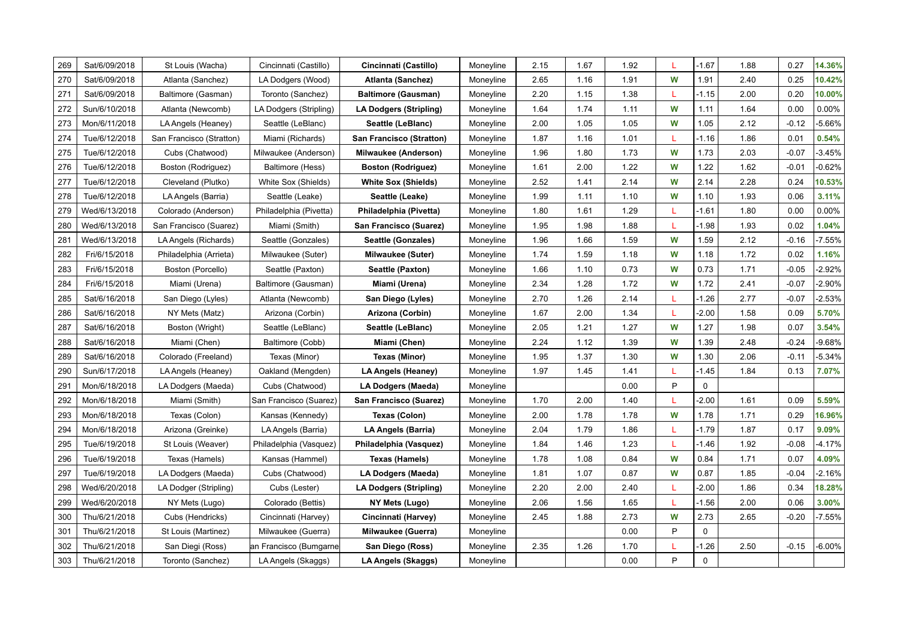| 269 | Sat/6/09/2018 | St Louis (Wacha)         | Cincinnati (Castillo)  | Cincinnati (Castillo)           | Moneyline | 2.15 | 1.67 | 1.92 | L | $-1.67$     | 1.88 | 0.27    | 14.36%   |
|-----|---------------|--------------------------|------------------------|---------------------------------|-----------|------|------|------|---|-------------|------|---------|----------|
| 270 | Sat/6/09/2018 | Atlanta (Sanchez)        | LA Dodgers (Wood)      | <b>Atlanta (Sanchez)</b>        | Moneyline | 2.65 | 1.16 | 1.91 | W | 1.91        | 2.40 | 0.25    | 10.42%   |
| 271 | Sat/6/09/2018 | Baltimore (Gasman)       | Toronto (Sanchez)      | <b>Baltimore (Gausman)</b>      | Moneyline | 2.20 | 1.15 | 1.38 | L | $-1.15$     | 2.00 | 0.20    | 10.00%   |
| 272 | Sun/6/10/2018 | Atlanta (Newcomb)        | LA Dodgers (Stripling) | LA Dodgers (Stripling)          | Moneyline | 1.64 | 1.74 | 1.11 | W | 1.11        | 1.64 | 0.00    | 0.00%    |
| 273 | Mon/6/11/2018 | LA Angels (Heaney)       | Seattle (LeBlanc)      | Seattle (LeBlanc)               | Moneyline | 2.00 | 1.05 | 1.05 | W | 1.05        | 2.12 | $-0.12$ | $-5.66%$ |
| 274 | Tue/6/12/2018 | San Francisco (Stratton) | Miami (Richards)       | <b>San Francisco (Stratton)</b> | Moneyline | 1.87 | 1.16 | 1.01 | L | $-1.16$     | 1.86 | 0.01    | 0.54%    |
| 275 | Tue/6/12/2018 | Cubs (Chatwood)          | Milwaukee (Anderson)   | <b>Milwaukee (Anderson)</b>     | Moneyline | 1.96 | 1.80 | 1.73 | W | 1.73        | 2.03 | $-0.07$ | $-3.45%$ |
| 276 | Tue/6/12/2018 | Boston (Rodriguez)       | Baltimore (Hess)       | <b>Boston (Rodriguez)</b>       | Moneyline | 1.61 | 2.00 | 1.22 | W | 1.22        | 1.62 | $-0.01$ | $-0.62%$ |
| 277 | Tue/6/12/2018 | Cleveland (Plutko)       | White Sox (Shields)    | <b>White Sox (Shields)</b>      | Moneyline | 2.52 | 1.41 | 2.14 | W | 2.14        | 2.28 | 0.24    | 10.53%   |
| 278 | Tue/6/12/2018 | LA Angels (Barria)       | Seattle (Leake)        | Seattle (Leake)                 | Moneyline | 1.99 | 1.11 | 1.10 | W | 1.10        | 1.93 | 0.06    | 3.11%    |
| 279 | Wed/6/13/2018 | Colorado (Anderson)      | Philadelphia (Pivetta) | Philadelphia (Pivetta)          | Moneyline | 1.80 | 1.61 | 1.29 | L | $-1.61$     | 1.80 | 0.00    | $0.00\%$ |
| 280 | Wed/6/13/2018 | San Francisco (Suarez)   | Miami (Smith)          | San Francisco (Suarez)          | Moneyline | 1.95 | 1.98 | 1.88 | L | $-1.98$     | 1.93 | 0.02    | 1.04%    |
| 281 | Wed/6/13/2018 | LA Angels (Richards)     | Seattle (Gonzales)     | Seattle (Gonzales)              | Moneyline | 1.96 | 1.66 | 1.59 | W | 1.59        | 2.12 | $-0.16$ | $-7.55%$ |
| 282 | Fri/6/15/2018 | Philadelphia (Arrieta)   | Milwaukee (Suter)      | Milwaukee (Suter)               | Moneyline | 1.74 | 1.59 | 1.18 | W | 1.18        | 1.72 | 0.02    | 1.16%    |
| 283 | Fri/6/15/2018 | Boston (Porcello)        | Seattle (Paxton)       | Seattle (Paxton)                | Moneyline | 1.66 | 1.10 | 0.73 | W | 0.73        | 1.71 | $-0.05$ | $-2.92%$ |
| 284 | Fri/6/15/2018 | Miami (Urena)            | Baltimore (Gausman)    | Miami (Urena)                   | Moneyline | 2.34 | 1.28 | 1.72 | W | 1.72        | 2.41 | $-0.07$ | $-2.90%$ |
| 285 | Sat/6/16/2018 | San Diego (Lyles)        | Atlanta (Newcomb)      | San Diego (Lyles)               | Moneyline | 2.70 | 1.26 | 2.14 | L | $-1.26$     | 2.77 | $-0.07$ | $-2.53%$ |
| 286 | Sat/6/16/2018 | NY Mets (Matz)           | Arizona (Corbin)       | Arizona (Corbin)                | Moneyline | 1.67 | 2.00 | 1.34 | L | $-2.00$     | 1.58 | 0.09    | 5.70%    |
| 287 | Sat/6/16/2018 | Boston (Wright)          | Seattle (LeBlanc)      | Seattle (LeBlanc)               | Moneyline | 2.05 | 1.21 | 1.27 | W | 1.27        | 1.98 | 0.07    | 3.54%    |
| 288 | Sat/6/16/2018 | Miami (Chen)             | Baltimore (Cobb)       | Miami (Chen)                    | Moneyline | 2.24 | 1.12 | 1.39 | W | 1.39        | 2.48 | $-0.24$ | $-9.68%$ |
| 289 | Sat/6/16/2018 | Colorado (Freeland)      | Texas (Minor)          | Texas (Minor)                   | Moneyline | 1.95 | 1.37 | 1.30 | W | 1.30        | 2.06 | $-0.11$ | $-5.34%$ |
| 290 | Sun/6/17/2018 | LA Angels (Heaney)       | Oakland (Mengden)      | LA Angels (Heaney)              | Moneyline | 1.97 | 1.45 | 1.41 | L | $-1.45$     | 1.84 | 0.13    | 7.07%    |
| 291 | Mon/6/18/2018 | LA Dodgers (Maeda)       | Cubs (Chatwood)        | LA Dodgers (Maeda)              | Moneyline |      |      | 0.00 | P | $\mathbf 0$ |      |         |          |
| 292 | Mon/6/18/2018 | Miami (Smith)            | San Francisco (Suarez) | San Francisco (Suarez)          | Moneyline | 1.70 | 2.00 | 1.40 | L | $-2.00$     | 1.61 | 0.09    | 5.59%    |
| 293 | Mon/6/18/2018 | Texas (Colon)            | Kansas (Kennedy)       | <b>Texas (Colon)</b>            | Moneyline | 2.00 | 1.78 | 1.78 | W | 1.78        | 1.71 | 0.29    | 16.96%   |
| 294 | Mon/6/18/2018 | Arizona (Greinke)        | LA Angels (Barria)     | LA Angels (Barria)              | Moneyline | 2.04 | 1.79 | 1.86 | L | $-1.79$     | 1.87 | 0.17    | 9.09%    |
| 295 | Tue/6/19/2018 | St Louis (Weaver)        | Philadelphia (Vasquez) | Philadelphia (Vasquez)          | Moneyline | 1.84 | 1.46 | 1.23 | L | $-1.46$     | 1.92 | $-0.08$ | $-4.17%$ |
| 296 | Tue/6/19/2018 | Texas (Hamels)           | Kansas (Hammel)        | Texas (Hamels)                  | Moneyline | 1.78 | 1.08 | 0.84 | W | 0.84        | 1.71 | 0.07    | 4.09%    |
| 297 | Tue/6/19/2018 | LA Dodgers (Maeda)       | Cubs (Chatwood)        | LA Dodgers (Maeda)              | Moneyline | 1.81 | 1.07 | 0.87 | W | 0.87        | 1.85 | $-0.04$ | $-2.16%$ |
| 298 | Wed/6/20/2018 | LA Dodger (Stripling)    | Cubs (Lester)          | LA Dodgers (Stripling)          | Moneyline | 2.20 | 2.00 | 2.40 | L | $-2.00$     | 1.86 | 0.34    | 18.28%   |
| 299 | Wed/6/20/2018 | NY Mets (Lugo)           | Colorado (Bettis)      | NY Mets (Lugo)                  | Moneyline | 2.06 | 1.56 | 1.65 | L | $-1.56$     | 2.00 | 0.06    | 3.00%    |
| 300 | Thu/6/21/2018 | Cubs (Hendricks)         | Cincinnati (Harvey)    | Cincinnati (Harvey)             | Moneyline | 2.45 | 1.88 | 2.73 | W | 2.73        | 2.65 | $-0.20$ | $-7.55%$ |
| 301 | Thu/6/21/2018 | St Louis (Martinez)      | Milwaukee (Guerra)     | Milwaukee (Guerra)              | Moneyline |      |      | 0.00 | P | 0           |      |         |          |
| 302 | Thu/6/21/2018 | San Diegi (Ross)         | an Francisco (Bumgarne | San Diego (Ross)                | Moneyline | 2.35 | 1.26 | 1.70 | L | $-1.26$     | 2.50 | $-0.15$ | $-6.00%$ |
| 303 | Thu/6/21/2018 | Toronto (Sanchez)        | LA Angels (Skaggs)     | LA Angels (Skaggs)              | Moneyline |      |      | 0.00 | P | 0           |      |         |          |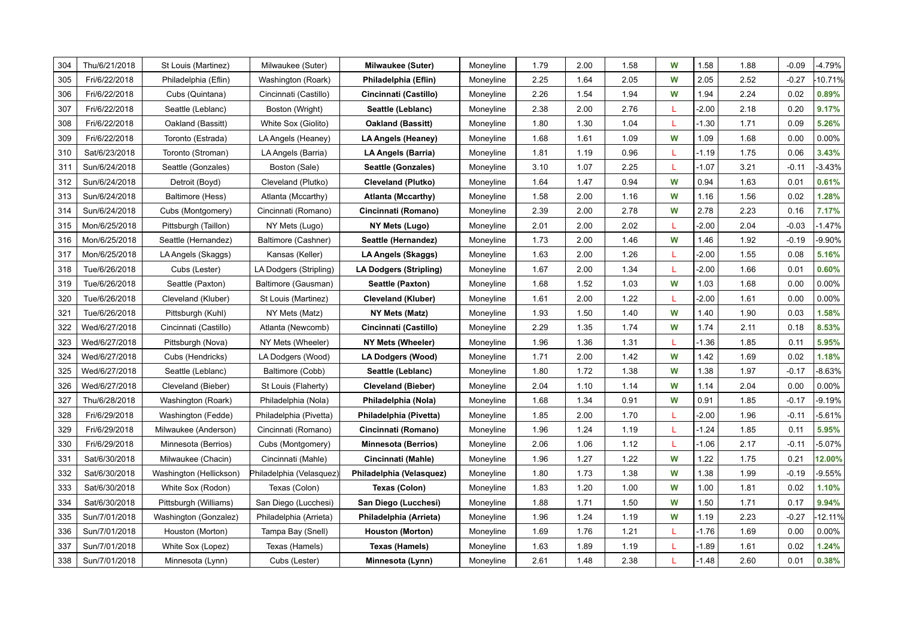| 304 | Thu/6/21/2018 | St Louis (Martinez)     | Milwaukee (Suter)        | <b>Milwaukee (Suter)</b>   | Moneyline | 1.79 | 2.00 | 1.58 | W  | 1.58    | 1.88 | $-0.09$ | $-4.79%$  |
|-----|---------------|-------------------------|--------------------------|----------------------------|-----------|------|------|------|----|---------|------|---------|-----------|
| 305 | Fri/6/22/2018 | Philadelphia (Eflin)    | Washington (Roark)       | Philadelphia (Eflin)       | Moneyline | 2.25 | 1.64 | 2.05 | W  | 2.05    | 2.52 | $-0.27$ | $-10.71%$ |
| 306 | Fri/6/22/2018 | Cubs (Quintana)         | Cincinnati (Castillo)    | Cincinnati (Castillo)      | Moneyline | 2.26 | 1.54 | 1.94 | W  | 1.94    | 2.24 | 0.02    | 0.89%     |
| 307 | Fri/6/22/2018 | Seattle (Leblanc)       | Boston (Wright)          | Seattle (Leblanc)          | Moneyline | 2.38 | 2.00 | 2.76 | -L | $-2.00$ | 2.18 | 0.20    | 9.17%     |
| 308 | Fri/6/22/2018 | Oakland (Bassitt)       | White Sox (Giolito)      | <b>Oakland (Bassitt)</b>   | Moneyline | 1.80 | 1.30 | 1.04 | L  | $-1.30$ | 1.71 | 0.09    | 5.26%     |
| 309 | Fri/6/22/2018 | Toronto (Estrada)       | LA Angels (Heaney)       | LA Angels (Heaney)         | Moneyline | 1.68 | 1.61 | 1.09 | W  | 1.09    | 1.68 | 0.00    | 0.00%     |
| 310 | Sat/6/23/2018 | Toronto (Stroman)       | LA Angels (Barria)       | LA Angels (Barria)         | Moneyline | 1.81 | 1.19 | 0.96 | L  | $-1.19$ | 1.75 | 0.06    | 3.43%     |
| 311 | Sun/6/24/2018 | Seattle (Gonzales)      | Boston (Sale)            | Seattle (Gonzales)         | Moneyline | 3.10 | 1.07 | 2.25 | L  | $-1.07$ | 3.21 | $-0.11$ | $-3.43%$  |
| 312 | Sun/6/24/2018 | Detroit (Boyd)          | Cleveland (Plutko)       | <b>Cleveland (Plutko)</b>  | Moneyline | 1.64 | 1.47 | 0.94 | W  | 0.94    | 1.63 | 0.01    | 0.61%     |
| 313 | Sun/6/24/2018 | Baltimore (Hess)        | Atlanta (Mccarthy)       | <b>Atlanta (Mccarthy)</b>  | Moneyline | 1.58 | 2.00 | 1.16 | W  | 1.16    | 1.56 | 0.02    | 1.28%     |
| 314 | Sun/6/24/2018 | Cubs (Montgomery)       | Cincinnati (Romano)      | Cincinnati (Romano)        | Moneyline | 2.39 | 2.00 | 2.78 | W  | 2.78    | 2.23 | 0.16    | 7.17%     |
| 315 | Mon/6/25/2018 | Pittsburgh (Taillon)    | NY Mets (Lugo)           | NY Mets (Lugo)             | Moneyline | 2.01 | 2.00 | 2.02 | L  | $-2.00$ | 2.04 | $-0.03$ | $-1.47%$  |
| 316 | Mon/6/25/2018 | Seattle (Hernandez)     | Baltimore (Cashner)      | Seattle (Hernandez)        | Moneyline | 1.73 | 2.00 | 1.46 | W  | 1.46    | 1.92 | $-0.19$ | $-9.90%$  |
| 317 | Mon/6/25/2018 | LA Angels (Skaggs)      | Kansas (Keller)          | LA Angels (Skaggs)         | Moneyline | 1.63 | 2.00 | 1.26 | L  | $-2.00$ | 1.55 | 0.08    | 5.16%     |
| 318 | Tue/6/26/2018 | Cubs (Lester)           | LA Dodgers (Stripling)   | LA Dodgers (Stripling)     | Moneyline | 1.67 | 2.00 | 1.34 | L  | $-2.00$ | 1.66 | 0.01    | 0.60%     |
| 319 | Tue/6/26/2018 | Seattle (Paxton)        | Baltimore (Gausman)      | Seattle (Paxton)           | Moneyline | 1.68 | 1.52 | 1.03 | W  | 1.03    | 1.68 | 0.00    | 0.00%     |
| 320 | Tue/6/26/2018 | Cleveland (Kluber)      | St Louis (Martinez)      | <b>Cleveland (Kluber)</b>  | Moneyline | 1.61 | 2.00 | 1.22 | т  | $-2.00$ | 1.61 | 0.00    | 0.00%     |
| 321 | Tue/6/26/2018 | Pittsburgh (Kuhl)       | NY Mets (Matz)           | NY Mets (Matz)             | Moneyline | 1.93 | 1.50 | 1.40 | W  | 1.40    | 1.90 | 0.03    | 1.58%     |
| 322 | Wed/6/27/2018 | Cincinnati (Castillo)   | Atlanta (Newcomb)        | Cincinnati (Castillo)      | Moneyline | 2.29 | 1.35 | 1.74 | W  | 1.74    | 2.11 | 0.18    | 8.53%     |
| 323 | Wed/6/27/2018 | Pittsburgh (Nova)       | NY Mets (Wheeler)        | NY Mets (Wheeler)          | Moneyline | 1.96 | 1.36 | 1.31 | L  | $-1.36$ | 1.85 | 0.11    | 5.95%     |
| 324 | Wed/6/27/2018 | Cubs (Hendricks)        | LA Dodgers (Wood)        | LA Dodgers (Wood)          | Moneyline | 1.71 | 2.00 | 1.42 | W  | 1.42    | 1.69 | 0.02    | 1.18%     |
| 325 | Wed/6/27/2018 | Seattle (Leblanc)       | Baltimore (Cobb)         | Seattle (Leblanc)          | Moneyline | 1.80 | 1.72 | 1.38 | W  | 1.38    | 1.97 | $-0.17$ | $-8.63%$  |
| 326 | Wed/6/27/2018 | Cleveland (Bieber)      | St Louis (Flaherty)      | <b>Cleveland (Bieber)</b>  | Moneyline | 2.04 | 1.10 | 1.14 | W  | 1.14    | 2.04 | 0.00    | 0.00%     |
| 327 | Thu/6/28/2018 | Washington (Roark)      | Philadelphia (Nola)      | Philadelphia (Nola)        | Moneyline | 1.68 | 1.34 | 0.91 | W  | 0.91    | 1.85 | $-0.17$ | $-9.19%$  |
| 328 | Fri/6/29/2018 | Washington (Fedde)      | Philadelphia (Pivetta)   | Philadelphia (Pivetta)     | Moneyline | 1.85 | 2.00 | 1.70 | L  | $-2.00$ | 1.96 | $-0.11$ | $-5.61%$  |
| 329 | Fri/6/29/2018 | Milwaukee (Anderson)    | Cincinnati (Romano)      | Cincinnati (Romano)        | Moneyline | 1.96 | 1.24 | 1.19 | L  | $-1.24$ | 1.85 | 0.11    | 5.95%     |
| 330 | Fri/6/29/2018 | Minnesota (Berrios)     | Cubs (Montgomery)        | <b>Minnesota (Berrios)</b> | Moneyline | 2.06 | 1.06 | 1.12 | L  | $-1.06$ | 2.17 | $-0.11$ | $-5.07%$  |
| 331 | Sat/6/30/2018 | Milwaukee (Chacin)      | Cincinnati (Mahle)       | Cincinnati (Mahle)         | Moneyline | 1.96 | 1.27 | 1.22 | W  | 1.22    | 1.75 | 0.21    | 12.00%    |
| 332 | Sat/6/30/2018 | Washington (Hellickson) | Philadelphia (Velasquez) | Philadelphia (Velasquez)   | Moneyline | 1.80 | 1.73 | 1.38 | W  | 1.38    | 1.99 | $-0.19$ | $-9.55%$  |
| 333 | Sat/6/30/2018 | White Sox (Rodon)       | Texas (Colon)            | Texas (Colon)              | Moneyline | 1.83 | 1.20 | 1.00 | W  | 1.00    | 1.81 | 0.02    | 1.10%     |
| 334 | Sat/6/30/2018 | Pittsburgh (Williams)   | San Diego (Lucchesi)     | San Diego (Lucchesi)       | Moneyline | 1.88 | 1.71 | 1.50 | W  | 1.50    | 1.71 | 0.17    | 9.94%     |
| 335 | Sun/7/01/2018 | Washington (Gonzalez)   | Philadelphia (Arrieta)   | Philadelphia (Arrieta)     | Moneyline | 1.96 | 1.24 | 1.19 | W  | 1.19    | 2.23 | $-0.27$ | $-12.11%$ |
| 336 | Sun/7/01/2018 | Houston (Morton)        | Tampa Bay (Snell)        | <b>Houston (Morton)</b>    | Moneyline | 1.69 | 1.76 | 1.21 | L  | $-1.76$ | 1.69 | 0.00    | 0.00%     |
| 337 | Sun/7/01/2018 | White Sox (Lopez)       | Texas (Hamels)           | Texas (Hamels)             | Moneyline | 1.63 | 1.89 | 1.19 | L  | $-1.89$ | 1.61 | 0.02    | 1.24%     |
| 338 | Sun/7/01/2018 | Minnesota (Lynn)        | Cubs (Lester)            | Minnesota (Lynn)           | Moneyline | 2.61 | 1.48 | 2.38 | L  | $-1.48$ | 2.60 | 0.01    | 0.38%     |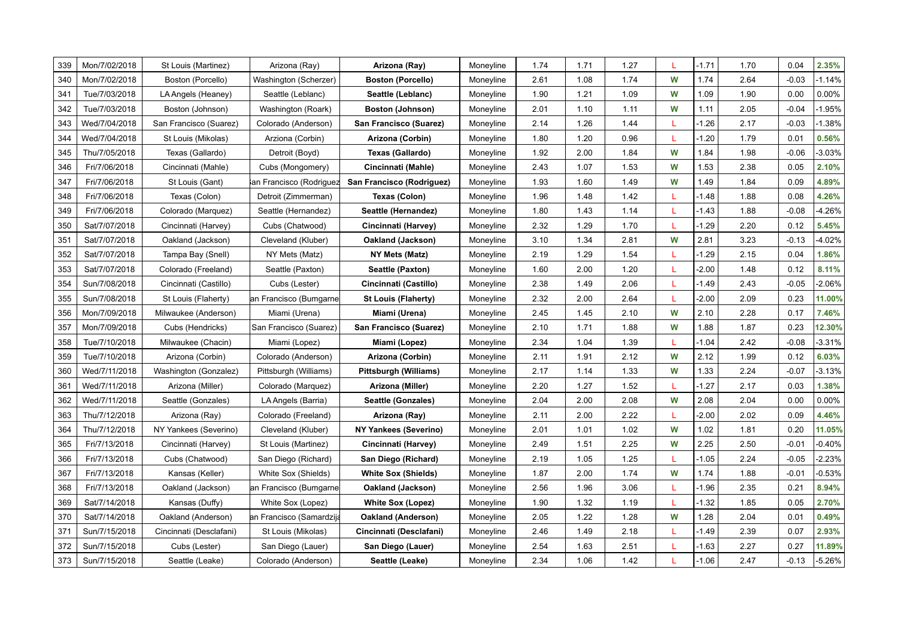| 339 | Mon/7/02/2018 | St Louis (Martinez)     | Arizona (Ray)            | Arizona (Ray)                | Moneyline | 1.74 | 1.71 | 1.27 | L | $-1.71$ | 1.70 | 0.04    | 2.35%    |
|-----|---------------|-------------------------|--------------------------|------------------------------|-----------|------|------|------|---|---------|------|---------|----------|
| 340 | Mon/7/02/2018 | Boston (Porcello)       | Washington (Scherzer)    | <b>Boston (Porcello)</b>     | Moneyline | 2.61 | 1.08 | 1.74 | W | 1.74    | 2.64 | $-0.03$ | $-1.14%$ |
| 341 | Tue/7/03/2018 | LA Angels (Heaney)      | Seattle (Leblanc)        | Seattle (Leblanc)            | Moneyline | 1.90 | 1.21 | 1.09 | W | 1.09    | 1.90 | 0.00    | 0.00%    |
| 342 | Tue/7/03/2018 | Boston (Johnson)        | Washington (Roark)       | <b>Boston (Johnson)</b>      | Moneyline | 2.01 | 1.10 | 1.11 | W | 1.11    | 2.05 | $-0.04$ | $-1.95%$ |
| 343 | Wed/7/04/2018 | San Francisco (Suarez)  | Colorado (Anderson)      | San Francisco (Suarez)       | Moneyline | 2.14 | 1.26 | 1.44 | L | $-1.26$ | 2.17 | $-0.03$ | $-1.38%$ |
| 344 | Wed/7/04/2018 | St Louis (Mikolas)      | Arziona (Corbin)         | Arizona (Corbin)             | Moneyline | 1.80 | 1.20 | 0.96 | L | $-1.20$ | 1.79 | 0.01    | 0.56%    |
| 345 | Thu/7/05/2018 | Texas (Gallardo)        | Detroit (Boyd)           | Texas (Gallardo)             | Moneyline | 1.92 | 2.00 | 1.84 | W | 1.84    | 1.98 | $-0.06$ | $-3.03%$ |
| 346 | Fri/7/06/2018 | Cincinnati (Mahle)      | Cubs (Mongomery)         | Cincinnati (Mahle)           | Moneyline | 2.43 | 1.07 | 1.53 | W | 1.53    | 2.38 | 0.05    | 2.10%    |
| 347 | Fri/7/06/2018 | St Louis (Gant)         | an Francisco (Rodriguez  | San Francisco (Rodriguez)    | Moneyline | 1.93 | 1.60 | 1.49 | W | 1.49    | 1.84 | 0.09    | 4.89%    |
| 348 | Fri/7/06/2018 | Texas (Colon)           | Detroit (Zimmerman)      | Texas (Colon)                | Moneyline | 1.96 | 1.48 | 1.42 |   | $-1.48$ | 1.88 | 0.08    | 4.26%    |
| 349 | Fri/7/06/2018 | Colorado (Marquez)      | Seattle (Hernandez)      | Seattle (Hernandez)          | Moneyline | 1.80 | 1.43 | 1.14 | L | $-1.43$ | 1.88 | $-0.08$ | $-4.26%$ |
| 350 | Sat/7/07/2018 | Cincinnati (Harvey)     | Cubs (Chatwood)          | Cincinnati (Harvey)          | Moneyline | 2.32 | 1.29 | 1.70 | L | $-1.29$ | 2.20 | 0.12    | 5.45%    |
| 351 | Sat/7/07/2018 | Oakland (Jackson)       | Cleveland (Kluber)       | Oakland (Jackson)            | Moneyline | 3.10 | 1.34 | 2.81 | W | 2.81    | 3.23 | $-0.13$ | $-4.02%$ |
| 352 | Sat/7/07/2018 | Tampa Bay (Snell)       | NY Mets (Matz)           | NY Mets (Matz)               | Moneyline | 2.19 | 1.29 | 1.54 | L | $-1.29$ | 2.15 | 0.04    | 1.86%    |
| 353 | Sat/7/07/2018 | Colorado (Freeland)     | Seattle (Paxton)         | Seattle (Paxton)             | Moneyline | 1.60 | 2.00 | 1.20 | L | $-2.00$ | 1.48 | 0.12    | 8.11%    |
| 354 | Sun/7/08/2018 | Cincinnati (Castillo)   | Cubs (Lester)            | Cincinnati (Castillo)        | Moneyline | 2.38 | 1.49 | 2.06 | L | $-1.49$ | 2.43 | $-0.05$ | $-2.06%$ |
| 355 | Sun/7/08/2018 | St Louis (Flaherty)     | an Francisco (Bumgarne   | <b>St Louis (Flaherty)</b>   | Moneyline | 2.32 | 2.00 | 2.64 | т | $-2.00$ | 2.09 | 0.23    | 11.00%   |
| 356 | Mon/7/09/2018 | Milwaukee (Anderson)    | Miami (Urena)            | Miami (Urena)                | Moneyline | 2.45 | 1.45 | 2.10 | W | 2.10    | 2.28 | 0.17    | 7.46%    |
| 357 | Mon/7/09/2018 | Cubs (Hendricks)        | San Francisco (Suarez)   | San Francisco (Suarez)       | Moneyline | 2.10 | 1.71 | 1.88 | W | 1.88    | 1.87 | 0.23    | 12.30%   |
| 358 | Tue/7/10/2018 | Milwaukee (Chacin)      | Miami (Lopez)            | Miami (Lopez)                | Moneyline | 2.34 | 1.04 | 1.39 | L | $-1.04$ | 2.42 | $-0.08$ | $-3.31%$ |
| 359 | Tue/7/10/2018 | Arizona (Corbin)        | Colorado (Anderson)      | Arizona (Corbin)             | Moneyline | 2.11 | 1.91 | 2.12 | W | 2.12    | 1.99 | 0.12    | 6.03%    |
| 360 | Wed/7/11/2018 | Washington (Gonzalez)   | Pittsburgh (Williams)    | Pittsburgh (Williams)        | Moneyline | 2.17 | 1.14 | 1.33 | W | 1.33    | 2.24 | $-0.07$ | $-3.13%$ |
| 361 | Wed/7/11/2018 | Arizona (Miller)        | Colorado (Marquez)       | Arizona (Miller)             | Moneyline | 2.20 | 1.27 | 1.52 | L | $-1.27$ | 2.17 | 0.03    | 1.38%    |
| 362 | Wed/7/11/2018 | Seattle (Gonzales)      | LA Angels (Barria)       | Seattle (Gonzales)           | Moneyline | 2.04 | 2.00 | 2.08 | W | 2.08    | 2.04 | 0.00    | 0.00%    |
| 363 | Thu/7/12/2018 | Arizona (Ray)           | Colorado (Freeland)      | Arizona (Ray)                | Moneyline | 2.11 | 2.00 | 2.22 | т | $-2.00$ | 2.02 | 0.09    | 4.46%    |
| 364 | Thu/7/12/2018 | NY Yankees (Severino)   | Cleveland (Kluber)       | <b>NY Yankees (Severino)</b> | Moneyline | 2.01 | 1.01 | 1.02 | W | 1.02    | 1.81 | 0.20    | 11.05%   |
| 365 | Fri/7/13/2018 | Cincinnati (Harvey)     | St Louis (Martinez)      | Cincinnati (Harvey)          | Moneyline | 2.49 | 1.51 | 2.25 | W | 2.25    | 2.50 | $-0.01$ | $-0.40%$ |
| 366 | Fri/7/13/2018 | Cubs (Chatwood)         | San Diego (Richard)      | San Diego (Richard)          | Moneyline | 2.19 | 1.05 | 1.25 | L | $-1.05$ | 2.24 | $-0.05$ | $-2.23%$ |
| 367 | Fri/7/13/2018 | Kansas (Keller)         | White Sox (Shields)      | <b>White Sox (Shields)</b>   | Moneyline | 1.87 | 2.00 | 1.74 | W | 1.74    | 1.88 | $-0.01$ | $-0.53%$ |
| 368 | Fri/7/13/2018 | Oakland (Jackson)       | an Francisco (Bumgarne   | Oakland (Jackson)            | Moneyline | 2.56 | 1.96 | 3.06 | L | $-1.96$ | 2.35 | 0.21    | 8.94%    |
| 369 | Sat/7/14/2018 | Kansas (Duffy)          | White Sox (Lopez)        | <b>White Sox (Lopez)</b>     | Moneyline | 1.90 | 1.32 | 1.19 | L | $-1.32$ | 1.85 | 0.05    | 2.70%    |
| 370 | Sat/7/14/2018 | Oakland (Anderson)      | an Francisco (Samardzija | <b>Oakland (Anderson)</b>    | Moneyline | 2.05 | 1.22 | 1.28 | W | 1.28    | 2.04 | 0.01    | 0.49%    |
| 371 | Sun/7/15/2018 | Cincinnati (Desclafani) | St Louis (Mikolas)       | Cincinnati (Desclafani)      | Moneyline | 2.46 | 1.49 | 2.18 | т | $-1.49$ | 2.39 | 0.07    | 2.93%    |
| 372 | Sun/7/15/2018 | Cubs (Lester)           | San Diego (Lauer)        | San Diego (Lauer)            | Moneyline | 2.54 | 1.63 | 2.51 |   | $-1.63$ | 2.27 | 0.27    | 11.89%   |
| 373 | Sun/7/15/2018 | Seattle (Leake)         | Colorado (Anderson)      | Seattle (Leake)              | Moneyline | 2.34 | 1.06 | 1.42 | L | $-1.06$ | 2.47 | $-0.13$ | $-5.26%$ |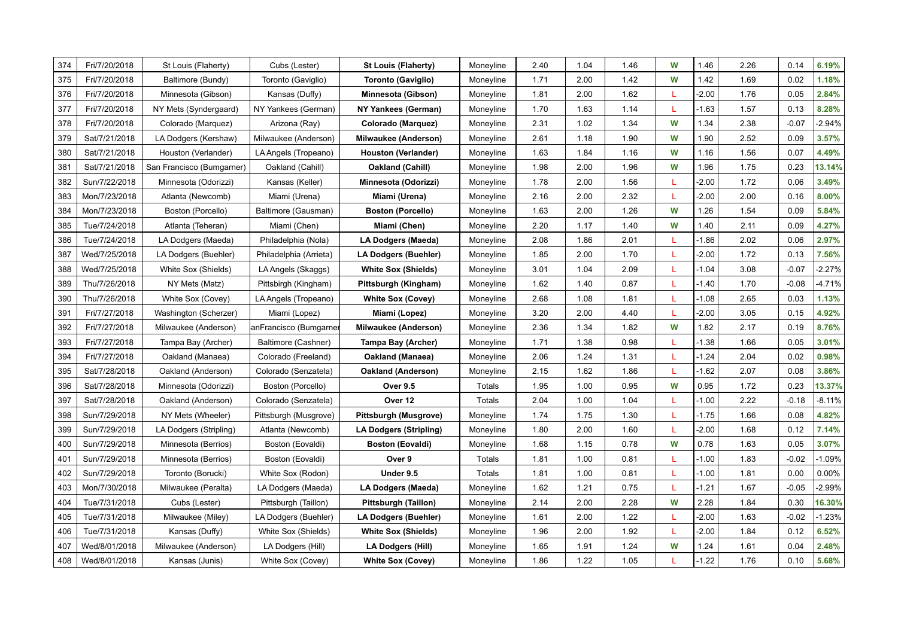| 374 | Fri/7/20/2018 | St Louis (Flaherty)       | Cubs (Lester)          | <b>St Louis (Flaherty)</b>    | Moneyline | 2.40 | 1.04 | 1.46 | W  | 1.46    | 2.26 | 0.14    | 6.19%    |
|-----|---------------|---------------------------|------------------------|-------------------------------|-----------|------|------|------|----|---------|------|---------|----------|
| 375 | Fri/7/20/2018 | Baltimore (Bundy)         | Toronto (Gaviglio)     | <b>Toronto (Gaviglio)</b>     | Moneyline | 1.71 | 2.00 | 1.42 | W  | 1.42    | 1.69 | 0.02    | 1.18%    |
| 376 | Fri/7/20/2018 | Minnesota (Gibson)        | Kansas (Duffy)         | Minnesota (Gibson)            | Moneyline | 1.81 | 2.00 | 1.62 |    | $-2.00$ | 1.76 | 0.05    | 2.84%    |
| 377 | Fri/7/20/2018 | NY Mets (Syndergaard)     | NY Yankees (German)    | NY Yankees (German)           | Moneyline | 1.70 | 1.63 | 1.14 |    | $-1.63$ | 1.57 | 0.13    | 8.28%    |
| 378 | Fri/7/20/2018 | Colorado (Marquez)        | Arizona (Ray)          | Colorado (Marquez)            | Moneyline | 2.31 | 1.02 | 1.34 | W  | 1.34    | 2.38 | $-0.07$ | $-2.94%$ |
| 379 | Sat/7/21/2018 | LA Dodgers (Kershaw)      | Milwaukee (Anderson)   | <b>Milwaukee (Anderson)</b>   | Moneyline | 2.61 | 1.18 | 1.90 | W  | 1.90    | 2.52 | 0.09    | 3.57%    |
| 380 | Sat/7/21/2018 | Houston (Verlander)       | LA Angels (Tropeano)   | Houston (Verlander)           | Moneyline | 1.63 | 1.84 | 1.16 | W  | 1.16    | 1.56 | 0.07    | 4.49%    |
| 381 | Sat/7/21/2018 | San Francisco (Bumgarner) | Oakland (Cahill)       | Oakland (Cahill)              | Moneyline | 1.98 | 2.00 | 1.96 | W  | 1.96    | 1.75 | 0.23    | 13.14%   |
| 382 | Sun/7/22/2018 | Minnesota (Odorizzi)      | Kansas (Keller)        | Minnesota (Odorizzi)          | Moneyline | 1.78 | 2.00 | 1.56 |    | $-2.00$ | 1.72 | 0.06    | 3.49%    |
| 383 | Mon/7/23/2018 | Atlanta (Newcomb)         | Miami (Urena)          | Miami (Urena)                 | Moneyline | 2.16 | 2.00 | 2.32 | L  | $-2.00$ | 2.00 | 0.16    | 8.00%    |
| 384 | Mon/7/23/2018 | Boston (Porcello)         | Baltimore (Gausman)    | <b>Boston (Porcello)</b>      | Moneyline | 1.63 | 2.00 | 1.26 | W  | 1.26    | 1.54 | 0.09    | 5.84%    |
| 385 | Tue/7/24/2018 | Atlanta (Teheran)         | Miami (Chen)           | Miami (Chen)                  | Moneyline | 2.20 | 1.17 | 1.40 | W  | 1.40    | 2.11 | 0.09    | 4.27%    |
| 386 | Tue/7/24/2018 | LA Dodgers (Maeda)        | Philadelphia (Nola)    | LA Dodgers (Maeda)            | Moneyline | 2.08 | 1.86 | 2.01 | L  | $-1.86$ | 2.02 | 0.06    | 2.97%    |
| 387 | Wed/7/25/2018 | LA Dodgers (Buehler)      | Philadelphia (Arrieta) | <b>LA Dodgers (Buehler)</b>   | Moneyline | 1.85 | 2.00 | 1.70 | L  | $-2.00$ | 1.72 | 0.13    | 7.56%    |
| 388 | Wed/7/25/2018 | White Sox (Shields)       | LA Angels (Skaggs)     | <b>White Sox (Shields)</b>    | Moneyline | 3.01 | 1.04 | 2.09 | L  | $-1.04$ | 3.08 | $-0.07$ | $-2.27%$ |
| 389 | Thu/7/26/2018 | NY Mets (Matz)            | Pittsbirgh (Kingham)   | Pittsburgh (Kingham)          | Moneyline | 1.62 | 1.40 | 0.87 | L  | $-1.40$ | 1.70 | $-0.08$ | $-4.71%$ |
| 390 | Thu/7/26/2018 | White Sox (Covey)         | LA Angels (Tropeano)   | <b>White Sox (Covey)</b>      | Moneyline | 2.68 | 1.08 | 1.81 | ÷  | $-1.08$ | 2.65 | 0.03    | 1.13%    |
| 391 | Fri/7/27/2018 | Washington (Scherzer)     | Miami (Lopez)          | Miami (Lopez)                 | Moneyline | 3.20 | 2.00 | 4.40 |    | $-2.00$ | 3.05 | 0.15    | 4.92%    |
| 392 | Fri/7/27/2018 | Milwaukee (Anderson)      | anFrancisco (Bumgarne  | <b>Milwaukee (Anderson)</b>   | Moneyline | 2.36 | 1.34 | 1.82 | W  | 1.82    | 2.17 | 0.19    | 8.76%    |
| 393 | Fri/7/27/2018 | Tampa Bay (Archer)        | Baltimore (Cashner)    | Tampa Bay (Archer)            | Moneyline | 1.71 | 1.38 | 0.98 | L  | $-1.38$ | 1.66 | 0.05    | 3.01%    |
| 394 | Fri/7/27/2018 | Oakland (Manaea)          | Colorado (Freeland)    | Oakland (Manaea)              | Moneyline | 2.06 | 1.24 | 1.31 | т. | $-1.24$ | 2.04 | 0.02    | 0.98%    |
| 395 | Sat/7/28/2018 | Oakland (Anderson)        | Colorado (Senzatela)   | Oakland (Anderson)            | Moneyline | 2.15 | 1.62 | 1.86 | ÷  | $-1.62$ | 2.07 | 0.08    | 3.86%    |
| 396 | Sat/7/28/2018 | Minnesota (Odorizzi)      | Boston (Porcello)      | <b>Over 9.5</b>               | Totals    | 1.95 | 1.00 | 0.95 | W  | 0.95    | 1.72 | 0.23    | 13.37%   |
| 397 | Sat/7/28/2018 | Oakland (Anderson)        | Colorado (Senzatela)   | Over 12                       | Totals    | 2.04 | 1.00 | 1.04 |    | $-1.00$ | 2.22 | $-0.18$ | $-8.11%$ |
| 398 | Sun/7/29/2018 | NY Mets (Wheeler)         | Pittsburgh (Musgrove)  | Pittsburgh (Musgrove)         | Moneyline | 1.74 | 1.75 | 1.30 |    | $-1.75$ | 1.66 | 0.08    | 4.82%    |
| 399 | Sun/7/29/2018 | LA Dodgers (Stripling)    | Atlanta (Newcomb)      | <b>LA Dodgers (Stripling)</b> | Moneyline | 1.80 | 2.00 | 1.60 | т. | $-2.00$ | 1.68 | 0.12    | 7.14%    |
| 400 | Sun/7/29/2018 | Minnesota (Berrios)       | Boston (Eovaldi)       | <b>Boston (Eovaldi)</b>       | Moneyline | 1.68 | 1.15 | 0.78 | W  | 0.78    | 1.63 | 0.05    | 3.07%    |
| 401 | Sun/7/29/2018 | Minnesota (Berrios)       | Boston (Eovaldi)       | Over 9                        | Totals    | 1.81 | 1.00 | 0.81 | L  | $-1.00$ | 1.83 | $-0.02$ | $-1.09%$ |
| 402 | Sun/7/29/2018 | Toronto (Borucki)         | White Sox (Rodon)      | Under 9.5                     | Totals    | 1.81 | 1.00 | 0.81 | т. | $-1.00$ | 1.81 | 0.00    | $0.00\%$ |
| 403 | Mon/7/30/2018 | Milwaukee (Peralta)       | LA Dodgers (Maeda)     | LA Dodgers (Maeda)            | Moneyline | 1.62 | 1.21 | 0.75 | L  | $-1.21$ | 1.67 | $-0.05$ | $-2.99%$ |
| 404 | Tue/7/31/2018 | Cubs (Lester)             | Pittsburgh (Taillon)   | Pittsburgh (Taillon)          | Moneyline | 2.14 | 2.00 | 2.28 | W  | 2.28    | 1.84 | 0.30    | 16.30%   |
| 405 | Tue/7/31/2018 | Milwaukee (Miley)         | LA Dodgers (Buehler)   | <b>LA Dodgers (Buehler)</b>   | Moneyline | 1.61 | 2.00 | 1.22 |    | $-2.00$ | 1.63 | $-0.02$ | $-1.23%$ |
| 406 | Tue/7/31/2018 | Kansas (Duffy)            | White Sox (Shields)    | <b>White Sox (Shields)</b>    | Moneyline | 1.96 | 2.00 | 1.92 |    | $-2.00$ | 1.84 | 0.12    | 6.52%    |
| 407 | Wed/8/01/2018 | Milwaukee (Anderson)      | LA Dodgers (Hill)      | <b>LA Dodgers (Hill)</b>      | Moneyline | 1.65 | 1.91 | 1.24 | W  | 1.24    | 1.61 | 0.04    | 2.48%    |
| 408 | Wed/8/01/2018 | Kansas (Junis)            | White Sox (Covey)      | <b>White Sox (Covey)</b>      | Moneyline | 1.86 | 1.22 | 1.05 |    | $-1.22$ | 1.76 | 0.10    | 5.68%    |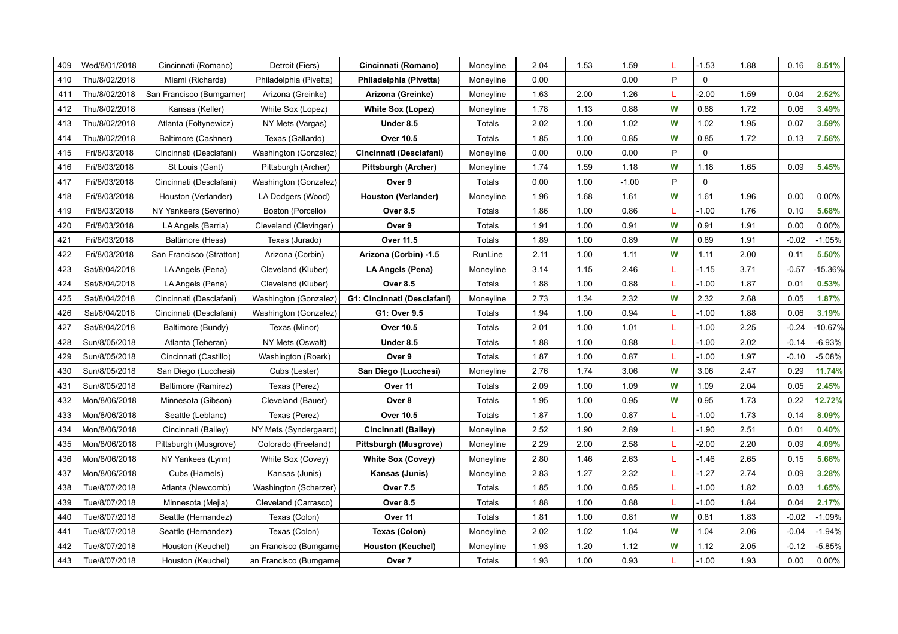| 409 | Wed/8/01/2018 | Cincinnati (Romano)       | Detroit (Fiers)        | Cincinnati (Romano)         | Moneyline | 2.04 | 1.53 | 1.59    | L | $-1.53$     | 1.88 | 0.16    | 8.51%    |
|-----|---------------|---------------------------|------------------------|-----------------------------|-----------|------|------|---------|---|-------------|------|---------|----------|
| 410 | Thu/8/02/2018 | Miami (Richards)          | Philadelphia (Pivetta) | Philadelphia (Pivetta)      | Moneyline | 0.00 |      | 0.00    | P | $\mathbf 0$ |      |         |          |
| 411 | Thu/8/02/2018 | San Francisco (Bumgarner) | Arizona (Greinke)      | Arizona (Greinke)           | Moneyline | 1.63 | 2.00 | 1.26    | т | $-2.00$     | 1.59 | 0.04    | 2.52%    |
| 412 | Thu/8/02/2018 | Kansas (Keller)           | White Sox (Lopez)      | <b>White Sox (Lopez)</b>    | Moneyline | 1.78 | 1.13 | 0.88    | W | 0.88        | 1.72 | 0.06    | 3.49%    |
| 413 | Thu/8/02/2018 | Atlanta (Foltynewicz)     | NY Mets (Vargas)       | Under 8.5                   | Totals    | 2.02 | 1.00 | 1.02    | W | 1.02        | 1.95 | 0.07    | 3.59%    |
| 414 | Thu/8/02/2018 | Baltimore (Cashner)       | Texas (Gallardo)       | <b>Over 10.5</b>            | Totals    | 1.85 | 1.00 | 0.85    | W | 0.85        | 1.72 | 0.13    | 7.56%    |
| 415 | Fri/8/03/2018 | Cincinnati (Desclafani)   | Washington (Gonzalez)  | Cincinnati (Desclafani)     | Moneyline | 0.00 | 0.00 | 0.00    | P | $\mathbf 0$ |      |         |          |
| 416 | Fri/8/03/2018 | St Louis (Gant)           | Pittsburgh (Archer)    | <b>Pittsburgh (Archer)</b>  | Moneyline | 1.74 | 1.59 | 1.18    | W | 1.18        | 1.65 | 0.09    | 5.45%    |
| 417 | Fri/8/03/2018 | Cincinnati (Desclafani)   | Washington (Gonzalez)  | Over 9                      | Totals    | 0.00 | 1.00 | $-1.00$ | P | $\mathbf 0$ |      |         |          |
| 418 | Fri/8/03/2018 | Houston (Verlander)       | LA Dodgers (Wood)      | Houston (Verlander)         | Moneyline | 1.96 | 1.68 | 1.61    | W | 1.61        | 1.96 | 0.00    | 0.00%    |
| 419 | Fri/8/03/2018 | NY Yankeers (Severino)    | Boston (Porcello)      | <b>Over 8.5</b>             | Totals    | 1.86 | 1.00 | 0.86    | L | $-1.00$     | 1.76 | 0.10    | 5.68%    |
| 420 | Fri/8/03/2018 | LA Angels (Barria)        | Cleveland (Clevinger)  | Over 9                      | Totals    | 1.91 | 1.00 | 0.91    | W | 0.91        | 1.91 | 0.00    | 0.00%    |
| 421 | Fri/8/03/2018 | Baltimore (Hess)          | Texas (Jurado)         | Over 11.5                   | Totals    | 1.89 | 1.00 | 0.89    | W | 0.89        | 1.91 | $-0.02$ | $-1.05%$ |
| 422 | Fri/8/03/2018 | San Francisco (Stratton)  | Arizona (Corbin)       | Arizona (Corbin) -1.5       | RunLine   | 2.11 | 1.00 | 1.11    | W | 1.11        | 2.00 | 0.11    | 5.50%    |
| 423 | Sat/8/04/2018 | LA Angels (Pena)          | Cleveland (Kluber)     | LA Angels (Pena)            | Moneyline | 3.14 | 1.15 | 2.46    | L | $-1.15$     | 3.71 | $-0.57$ | 15.36%   |
| 424 | Sat/8/04/2018 | LA Angels (Pena)          | Cleveland (Kluber)     | <b>Over 8.5</b>             | Totals    | 1.88 | 1.00 | 0.88    | L | $-1.00$     | 1.87 | 0.01    | 0.53%    |
| 425 | Sat/8/04/2018 | Cincinnati (Desclafani)   | Washington (Gonzalez)  | G1: Cincinnati (Desclafani) | Moneyline | 2.73 | 1.34 | 2.32    | W | 2.32        | 2.68 | 0.05    | 1.87%    |
| 426 | Sat/8/04/2018 | Cincinnati (Desclafani)   | Washington (Gonzalez)  | G1: Over 9.5                | Totals    | 1.94 | 1.00 | 0.94    |   | $-1.00$     | 1.88 | 0.06    | 3.19%    |
| 427 | Sat/8/04/2018 | Baltimore (Bundy)         | Texas (Minor)          | <b>Over 10.5</b>            | Totals    | 2.01 | 1.00 | 1.01    |   | $-1.00$     | 2.25 | $-0.24$ | 10.67%   |
| 428 | Sun/8/05/2018 | Atlanta (Teheran)         | NY Mets (Oswalt)       | Under 8.5                   | Totals    | 1.88 | 1.00 | 0.88    | L | $-1.00$     | 2.02 | $-0.14$ | $-6.93%$ |
| 429 | Sun/8/05/2018 | Cincinnati (Castillo)     | Washington (Roark)     | Over 9                      | Totals    | 1.87 | 1.00 | 0.87    | L | $-1.00$     | 1.97 | $-0.10$ | $-5.08%$ |
| 430 | Sun/8/05/2018 | San Diego (Lucchesi)      | Cubs (Lester)          | San Diego (Lucchesi)        | Moneyline | 2.76 | 1.74 | 3.06    | W | 3.06        | 2.47 | 0.29    | 11.74%   |
| 431 | Sun/8/05/2018 | Baltimore (Ramirez)       | Texas (Perez)          | Over 11                     | Totals    | 2.09 | 1.00 | 1.09    | W | 1.09        | 2.04 | 0.05    | 2.45%    |
| 432 | Mon/8/06/2018 | Minnesota (Gibson)        | Cleveland (Bauer)      | Over 8                      | Totals    | 1.95 | 1.00 | 0.95    | W | 0.95        | 1.73 | 0.22    | 12.72%   |
| 433 | Mon/8/06/2018 | Seattle (Leblanc)         | Texas (Perez)          | <b>Over 10.5</b>            | Totals    | 1.87 | 1.00 | 0.87    | L | $-1.00$     | 1.73 | 0.14    | 8.09%    |
| 434 | Mon/8/06/2018 | Cincinnati (Bailey)       | NY Mets (Syndergaard)  | Cincinnati (Bailey)         | Moneyline | 2.52 | 1.90 | 2.89    | L | $-1.90$     | 2.51 | 0.01    | 0.40%    |
| 435 | Mon/8/06/2018 | Pittsburgh (Musgrove)     | Colorado (Freeland)    | Pittsburgh (Musgrove)       | Moneyline | 2.29 | 2.00 | 2.58    | L | $-2.00$     | 2.20 | 0.09    | 4.09%    |
| 436 | Mon/8/06/2018 | NY Yankees (Lynn)         | White Sox (Covey)      | <b>White Sox (Covey)</b>    | Moneyline | 2.80 | 1.46 | 2.63    | L | $-1.46$     | 2.65 | 0.15    | 5.66%    |
| 437 | Mon/8/06/2018 | Cubs (Hamels)             | Kansas (Junis)         | Kansas (Junis)              | Moneyline | 2.83 | 1.27 | 2.32    | L | $-1.27$     | 2.74 | 0.09    | 3.28%    |
| 438 | Tue/8/07/2018 | Atlanta (Newcomb)         | Washington (Scherzer)  | <b>Over 7.5</b>             | Totals    | 1.85 | 1.00 | 0.85    | L | $-1.00$     | 1.82 | 0.03    | 1.65%    |
| 439 | Tue/8/07/2018 | Minnesota (Mejia)         | Cleveland (Carrasco)   | <b>Over 8.5</b>             | Totals    | 1.88 | 1.00 | 0.88    | L | $-1.00$     | 1.84 | 0.04    | 2.17%    |
| 440 | Tue/8/07/2018 | Seattle (Hernandez)       | Texas (Colon)          | Over 11                     | Totals    | 1.81 | 1.00 | 0.81    | W | 0.81        | 1.83 | $-0.02$ | $-1.09%$ |
| 441 | Tue/8/07/2018 | Seattle (Hernandez)       | Texas (Colon)          | Texas (Colon)               | Moneyline | 2.02 | 1.02 | 1.04    | W | 1.04        | 2.06 | $-0.04$ | $-1.94%$ |
| 442 | Tue/8/07/2018 | Houston (Keuchel)         | an Francisco (Bumgarne | <b>Houston (Keuchel)</b>    | Moneyline | 1.93 | 1.20 | 1.12    | W | 1.12        | 2.05 | $-0.12$ | $-5.85%$ |
| 443 | Tue/8/07/2018 | Houston (Keuchel)         | an Francisco (Bumgarne | Over 7                      | Totals    | 1.93 | 1.00 | 0.93    | L | $-1.00$     | 1.93 | 0.00    | 0.00%    |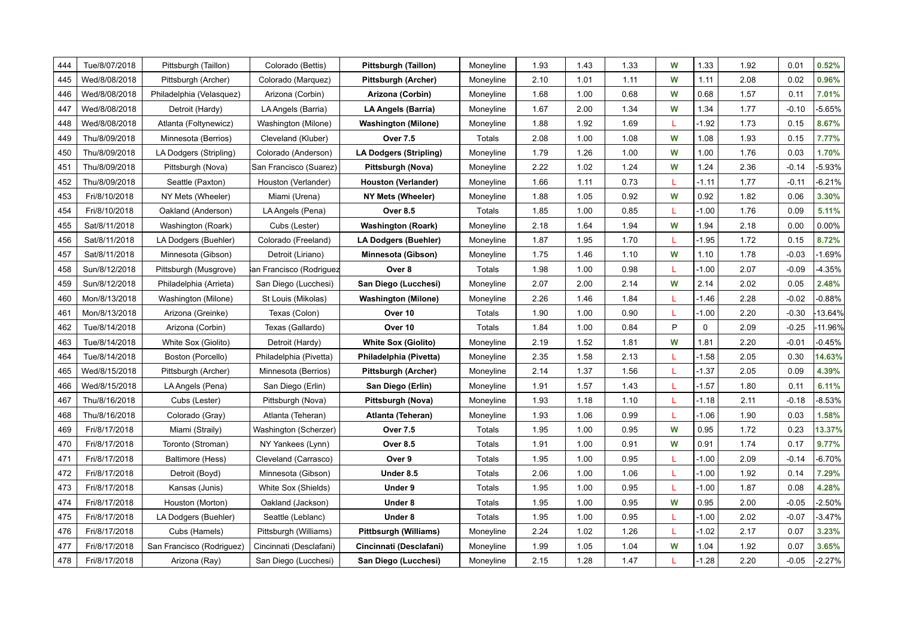| 444 | Tue/8/07/2018 | Pittsburgh (Taillon)      | Colorado (Bettis)       | Pittsburgh (Taillon)         | Moneyline | 1.93 | 1.43 | 1.33 | W  | 1.33        | 1.92 | 0.01    | 0.52%     |
|-----|---------------|---------------------------|-------------------------|------------------------------|-----------|------|------|------|----|-------------|------|---------|-----------|
| 445 | Wed/8/08/2018 | Pittsburgh (Archer)       | Colorado (Marquez)      | Pittsburgh (Archer)          | Moneyline | 2.10 | 1.01 | 1.11 | W  | 1.11        | 2.08 | 0.02    | 0.96%     |
| 446 | Wed/8/08/2018 | Philadelphia (Velasquez)  | Arizona (Corbin)        | Arizona (Corbin)             | Moneyline | 1.68 | 1.00 | 0.68 | W  | 0.68        | 1.57 | 0.11    | 7.01%     |
| 447 | Wed/8/08/2018 | Detroit (Hardy)           | LA Angels (Barria)      | LA Angels (Barria)           | Moneyline | 1.67 | 2.00 | 1.34 | W  | 1.34        | 1.77 | $-0.10$ | $-5.65%$  |
| 448 | Wed/8/08/2018 | Atlanta (Foltynewicz)     | Washington (Milone)     | <b>Washington (Milone)</b>   | Moneyline | 1.88 | 1.92 | 1.69 | L  | $-1.92$     | 1.73 | 0.15    | 8.67%     |
| 449 | Thu/8/09/2018 | Minnesota (Berrios)       | Cleveland (Kluber)      | <b>Over 7.5</b>              | Totals    | 2.08 | 1.00 | 1.08 | W  | 1.08        | 1.93 | 0.15    | 7.77%     |
| 450 | Thu/8/09/2018 | LA Dodgers (Stripling)    | Colorado (Anderson)     | LA Dodgers (Stripling)       | Moneyline | 1.79 | 1.26 | 1.00 | W  | 1.00        | 1.76 | 0.03    | 1.70%     |
| 451 | Thu/8/09/2018 | Pittsburgh (Nova)         | San Francisco (Suarez)  | Pittsburgh (Nova)            | Moneyline | 2.22 | 1.02 | 1.24 | W  | 1.24        | 2.36 | $-0.14$ | $-5.93%$  |
| 452 | Thu/8/09/2018 | Seattle (Paxton)          | Houston (Verlander)     | Houston (Verlander)          | Moneyline | 1.66 | 1.11 | 0.73 | L  | $-1.11$     | 1.77 | $-0.11$ | $-6.21%$  |
| 453 | Fri/8/10/2018 | NY Mets (Wheeler)         | Miami (Urena)           | NY Mets (Wheeler)            | Moneyline | 1.88 | 1.05 | 0.92 | W  | 0.92        | 1.82 | 0.06    | 3.30%     |
| 454 | Fri/8/10/2018 | Oakland (Anderson)        | LA Angels (Pena)        | <b>Over 8.5</b>              | Totals    | 1.85 | 1.00 | 0.85 | L  | $-1.00$     | 1.76 | 0.09    | 5.11%     |
| 455 | Sat/8/11/2018 | Washington (Roark)        | Cubs (Lester)           | <b>Washington (Roark)</b>    | Moneyline | 2.18 | 1.64 | 1.94 | W  | 1.94        | 2.18 | 0.00    | 0.00%     |
| 456 | Sat/8/11/2018 | LA Dodgers (Buehler)      | Colorado (Freeland)     | <b>LA Dodgers (Buehler)</b>  | Moneyline | 1.87 | 1.95 | 1.70 | L  | $-1.95$     | 1.72 | 0.15    | 8.72%     |
| 457 | Sat/8/11/2018 | Minnesota (Gibson)        | Detroit (Liriano)       | Minnesota (Gibson)           | Moneyline | 1.75 | 1.46 | 1.10 | W  | 1.10        | 1.78 | $-0.03$ | $-1.69%$  |
| 458 | Sun/8/12/2018 | Pittsburgh (Musgrove)     | an Francisco (Rodriguez | Over 8                       | Totals    | 1.98 | 1.00 | 0.98 | L  | $-1.00$     | 2.07 | $-0.09$ | $-4.35%$  |
| 459 | Sun/8/12/2018 | Philadelphia (Arrieta)    | San Diego (Lucchesi)    | San Diego (Lucchesi)         | Moneyline | 2.07 | 2.00 | 2.14 | W  | 2.14        | 2.02 | 0.05    | 2.48%     |
| 460 | Mon/8/13/2018 | Washington (Milone)       | St Louis (Mikolas)      | <b>Washington (Milone)</b>   | Moneyline | 2.26 | 1.46 | 1.84 | т  | $-1.46$     | 2.28 | $-0.02$ | $-0.88%$  |
| 461 | Mon/8/13/2018 | Arizona (Greinke)         | Texas (Colon)           | Over 10                      | Totals    | 1.90 | 1.00 | 0.90 | L  | $-1.00$     | 2.20 | $-0.30$ | $-13.64%$ |
| 462 | Tue/8/14/2018 | Arizona (Corbin)          | Texas (Gallardo)        | Over 10                      | Totals    | 1.84 | 1.00 | 0.84 | P  | $\mathbf 0$ | 2.09 | $-0.25$ | -11.96%   |
| 463 | Tue/8/14/2018 | White Sox (Giolito)       | Detroit (Hardy)         | <b>White Sox (Giolito)</b>   | Moneyline | 2.19 | 1.52 | 1.81 | W  | 1.81        | 2.20 | $-0.01$ | $-0.45%$  |
| 464 | Tue/8/14/2018 | Boston (Porcello)         | Philadelphia (Pivetta)  | Philadelphia (Pivetta)       | Moneyline | 2.35 | 1.58 | 2.13 | -L | $-1.58$     | 2.05 | 0.30    | 14.63%    |
| 465 | Wed/8/15/2018 | Pittsburgh (Archer)       | Minnesota (Berrios)     | Pittsburgh (Archer)          | Moneyline | 2.14 | 1.37 | 1.56 | -L | $-1.37$     | 2.05 | 0.09    | 4.39%     |
| 466 | Wed/8/15/2018 | LA Angels (Pena)          | San Diego (Erlin)       | San Diego (Erlin)            | Moneyline | 1.91 | 1.57 | 1.43 | -L | $-1.57$     | 1.80 | 0.11    | 6.11%     |
| 467 | Thu/8/16/2018 | Cubs (Lester)             | Pittsburgh (Nova)       | Pittsburgh (Nova)            | Moneyline | 1.93 | 1.18 | 1.10 | L  | $-1.18$     | 2.11 | $-0.18$ | $-8.53%$  |
| 468 | Thu/8/16/2018 | Colorado (Gray)           | Atlanta (Teheran)       | Atlanta (Teheran)            | Moneyline | 1.93 | 1.06 | 0.99 | L  | $-1.06$     | 1.90 | 0.03    | 1.58%     |
| 469 | Fri/8/17/2018 | Miami (Straily)           | Washington (Scherzer)   | <b>Over 7.5</b>              | Totals    | 1.95 | 1.00 | 0.95 | W  | 0.95        | 1.72 | 0.23    | 13.37%    |
| 470 | Fri/8/17/2018 | Toronto (Stroman)         | NY Yankees (Lynn)       | <b>Over 8.5</b>              | Totals    | 1.91 | 1.00 | 0.91 | W  | 0.91        | 1.74 | 0.17    | 9.77%     |
| 471 | Fri/8/17/2018 | Baltimore (Hess)          | Cleveland (Carrasco)    | Over 9                       | Totals    | 1.95 | 1.00 | 0.95 | L  | $-1.00$     | 2.09 | $-0.14$ | $-6.70%$  |
| 472 | Fri/8/17/2018 | Detroit (Boyd)            | Minnesota (Gibson)      | Under 8.5                    | Totals    | 2.06 | 1.00 | 1.06 | L  | $-1.00$     | 1.92 | 0.14    | 7.29%     |
| 473 | Fri/8/17/2018 | Kansas (Junis)            | White Sox (Shields)     | Under 9                      | Totals    | 1.95 | 1.00 | 0.95 | L  | $-1.00$     | 1.87 | 0.08    | 4.28%     |
| 474 | Fri/8/17/2018 | Houston (Morton)          | Oakland (Jackson)       | Under 8                      | Totals    | 1.95 | 1.00 | 0.95 | W  | 0.95        | 2.00 | $-0.05$ | $-2.50%$  |
| 475 | Fri/8/17/2018 | LA Dodgers (Buehler)      | Seattle (Leblanc)       | Under 8                      | Totals    | 1.95 | 1.00 | 0.95 | L  | $-1.00$     | 2.02 | $-0.07$ | $-3.47%$  |
| 476 | Fri/8/17/2018 | Cubs (Hamels)             | Pittsburgh (Williams)   | <b>Pittbsurgh (Williams)</b> | Moneyline | 2.24 | 1.02 | 1.26 | L  | $-1.02$     | 2.17 | 0.07    | 3.23%     |
| 477 | Fri/8/17/2018 | San Francisco (Rodriguez) | Cincinnati (Desclafani) | Cincinnati (Desclafani)      | Moneyline | 1.99 | 1.05 | 1.04 | W  | 1.04        | 1.92 | 0.07    | 3.65%     |
| 478 | Fri/8/17/2018 | Arizona (Ray)             | San Diego (Lucchesi)    | San Diego (Lucchesi)         | Moneyline | 2.15 | 1.28 | 1.47 | L  | $-1.28$     | 2.20 | $-0.05$ | $-2.27%$  |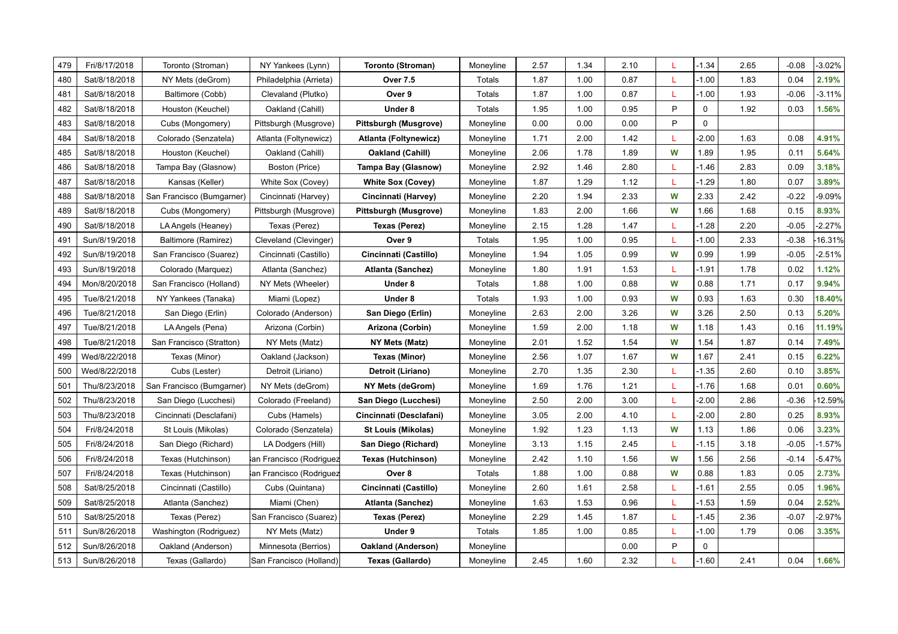| 479 | Fri/8/17/2018 |                           |                          |                           |           |      |      |      | L | $-1.34$     |      | $-0.08$ | $-3.02%$ |
|-----|---------------|---------------------------|--------------------------|---------------------------|-----------|------|------|------|---|-------------|------|---------|----------|
|     |               | Toronto (Stroman)         | NY Yankees (Lynn)        | Toronto (Stroman)         | Moneyline | 2.57 | 1.34 | 2.10 | L |             | 2.65 | 0.04    | 2.19%    |
| 480 | Sat/8/18/2018 | NY Mets (deGrom)          | Philadelphia (Arrieta)   | <b>Over 7.5</b>           | Totals    | 1.87 | 1.00 | 0.87 |   | $-1.00$     | 1.83 |         |          |
| 481 | Sat/8/18/2018 | Baltimore (Cobb)          | Clevaland (Plutko)       | Over 9                    | Totals    | 1.87 | 1.00 | 0.87 | L | $-1.00$     | 1.93 | $-0.06$ | $-3.11%$ |
| 482 | Sat/8/18/2018 | Houston (Keuchel)         | Oakland (Cahill)         | Under 8                   | Totals    | 1.95 | 1.00 | 0.95 | P | $\mathbf 0$ | 1.92 | 0.03    | 1.56%    |
| 483 | Sat/8/18/2018 | Cubs (Mongomery)          | Pittsburgh (Musgrove)    | Pittsburgh (Musgrove)     | Moneyline | 0.00 | 0.00 | 0.00 | P | $\mathbf 0$ |      |         |          |
| 484 | Sat/8/18/2018 | Colorado (Senzatela)      | Atlanta (Foltynewicz)    | Atlanta (Foltynewicz)     | Moneyline | 1.71 | 2.00 | 1.42 | L | $-2.00$     | 1.63 | 0.08    | 4.91%    |
| 485 | Sat/8/18/2018 | Houston (Keuchel)         | Oakland (Cahill)         | Oakland (Cahill)          | Moneyline | 2.06 | 1.78 | 1.89 | W | 1.89        | 1.95 | 0.11    | 5.64%    |
| 486 | Sat/8/18/2018 | Tampa Bay (Glasnow)       | Boston (Price)           | Tampa Bay (Glasnow)       | Moneyline | 2.92 | 1.46 | 2.80 | L | $-1.46$     | 2.83 | 0.09    | 3.18%    |
| 487 | Sat/8/18/2018 | Kansas (Keller)           | White Sox (Covey)        | <b>White Sox (Covey)</b>  | Moneyline | 1.87 | 1.29 | 1.12 | L | $-1.29$     | 1.80 | 0.07    | 3.89%    |
| 488 | Sat/8/18/2018 | San Francisco (Bumgarner) | Cincinnati (Harvey)      | Cincinnati (Harvey)       | Moneyline | 2.20 | 1.94 | 2.33 | W | 2.33        | 2.42 | $-0.22$ | $-9.09%$ |
| 489 | Sat/8/18/2018 | Cubs (Mongomery)          | Pittsburgh (Musgrove)    | Pittsburgh (Musgrove)     | Moneyline | 1.83 | 2.00 | 1.66 | W | 1.66        | 1.68 | 0.15    | 8.93%    |
| 490 | Sat/8/18/2018 | LA Angels (Heaney)        | Texas (Perez)            | Texas (Perez)             | Moneyline | 2.15 | 1.28 | 1.47 | L | $-1.28$     | 2.20 | $-0.05$ | $-2.27%$ |
| 491 | Sun/8/19/2018 | Baltimore (Ramirez)       | Cleveland (Clevinger)    | Over 9                    | Totals    | 1.95 | 1.00 | 0.95 | L | $-1.00$     | 2.33 | $-0.38$ | 16.31%   |
| 492 | Sun/8/19/2018 | San Francisco (Suarez)    | Cincinnati (Castillo)    | Cincinnati (Castillo)     | Moneyline | 1.94 | 1.05 | 0.99 | W | 0.99        | 1.99 | $-0.05$ | $-2.51%$ |
| 493 | Sun/8/19/2018 | Colorado (Marquez)        | Atlanta (Sanchez)        | Atlanta (Sanchez)         | Moneyline | 1.80 | 1.91 | 1.53 | L | $-1.91$     | 1.78 | 0.02    | 1.12%    |
| 494 | Mon/8/20/2018 | San Francisco (Holland)   | NY Mets (Wheeler)        | Under 8                   | Totals    | 1.88 | 1.00 | 0.88 | W | 0.88        | 1.71 | 0.17    | 9.94%    |
| 495 | Tue/8/21/2018 | NY Yankees (Tanaka)       | Miami (Lopez)            | Under 8                   | Totals    | 1.93 | 1.00 | 0.93 | W | 0.93        | 1.63 | 0.30    | 18.40%   |
| 496 | Tue/8/21/2018 | San Diego (Erlin)         | Colorado (Anderson)      | San Diego (Erlin)         | Moneyline | 2.63 | 2.00 | 3.26 | W | 3.26        | 2.50 | 0.13    | 5.20%    |
| 497 | Tue/8/21/2018 | LA Angels (Pena)          | Arizona (Corbin)         | Arizona (Corbin)          | Moneyline | 1.59 | 2.00 | 1.18 | W | 1.18        | 1.43 | 0.16    | 11.19%   |
| 498 | Tue/8/21/2018 | San Francisco (Stratton)  | NY Mets (Matz)           | NY Mets (Matz)            | Moneyline | 2.01 | 1.52 | 1.54 | W | 1.54        | 1.87 | 0.14    | 7.49%    |
| 499 | Wed/8/22/2018 | Texas (Minor)             | Oakland (Jackson)        | Texas (Minor)             | Moneyline | 2.56 | 1.07 | 1.67 | W | 1.67        | 2.41 | 0.15    | 6.22%    |
| 500 | Wed/8/22/2018 | Cubs (Lester)             | Detroit (Liriano)        | Detroit (Liriano)         | Moneyline | 2.70 | 1.35 | 2.30 | L | $-1.35$     | 2.60 | 0.10    | 3.85%    |
| 501 | Thu/8/23/2018 | San Francisco (Bumgarner) | NY Mets (deGrom)         | NY Mets (deGrom)          | Moneyline | 1.69 | 1.76 | 1.21 | L | $-1.76$     | 1.68 | 0.01    | 0.60%    |
| 502 | Thu/8/23/2018 | San Diego (Lucchesi)      | Colorado (Freeland)      | San Diego (Lucchesi)      | Moneyline | 2.50 | 2.00 | 3.00 | L | $-2.00$     | 2.86 | $-0.36$ | 12.59%   |
| 503 | Thu/8/23/2018 | Cincinnati (Desclafani)   | Cubs (Hamels)            | Cincinnati (Desclafani)   | Moneyline | 3.05 | 2.00 | 4.10 | L | $-2.00$     | 2.80 | 0.25    | 8.93%    |
| 504 | Fri/8/24/2018 | St Louis (Mikolas)        | Colorado (Senzatela)     | <b>St Louis (Mikolas)</b> | Moneyline | 1.92 | 1.23 | 1.13 | W | 1.13        | 1.86 | 0.06    | 3.23%    |
| 505 | Fri/8/24/2018 | San Diego (Richard)       | LA Dodgers (Hill)        | San Diego (Richard)       | Moneyline | 3.13 | 1.15 | 2.45 | L | $-1.15$     | 3.18 | $-0.05$ | $-1.57%$ |
| 506 | Fri/8/24/2018 | Texas (Hutchinson)        | lan Francisco (Rodriguez | Texas (Hutchinson)        | Moneyline | 2.42 | 1.10 | 1.56 | W | 1.56        | 2.56 | $-0.14$ | $-5.47%$ |
| 507 | Fri/8/24/2018 | Texas (Hutchinson)        | an Francisco (Rodriguez  | Over 8                    | Totals    | 1.88 | 1.00 | 0.88 | W | 0.88        | 1.83 | 0.05    | 2.73%    |
| 508 | Sat/8/25/2018 | Cincinnati (Castillo)     | Cubs (Quintana)          | Cincinnati (Castillo)     | Moneyline | 2.60 | 1.61 | 2.58 | L | $-1.61$     | 2.55 | 0.05    | 1.96%    |
| 509 | Sat/8/25/2018 | Atlanta (Sanchez)         | Miami (Chen)             | Atlanta (Sanchez)         | Moneyline | 1.63 | 1.53 | 0.96 | L | $-1.53$     | 1.59 | 0.04    | 2.52%    |
| 510 | Sat/8/25/2018 | Texas (Perez)             | San Francisco (Suarez)   | <b>Texas (Perez)</b>      | Moneyline | 2.29 | 1.45 | 1.87 | L | $-1.45$     | 2.36 | $-0.07$ | $-2.97%$ |
| 511 | Sun/8/26/2018 | Washington (Rodriguez)    | NY Mets (Matz)           | Under 9                   | Totals    | 1.85 | 1.00 | 0.85 | L | $-1.00$     | 1.79 | 0.06    | 3.35%    |
| 512 | Sun/8/26/2018 | Oakland (Anderson)        | Minnesota (Berrios)      | <b>Oakland (Anderson)</b> | Moneyline |      |      | 0.00 | P | 0           |      |         |          |
| 513 | Sun/8/26/2018 | Texas (Gallardo)          | San Francisco (Holland)  | Texas (Gallardo)          | Moneyline | 2.45 | 1.60 | 2.32 |   | $-1.60$     | 2.41 | 0.04    | 1.66%    |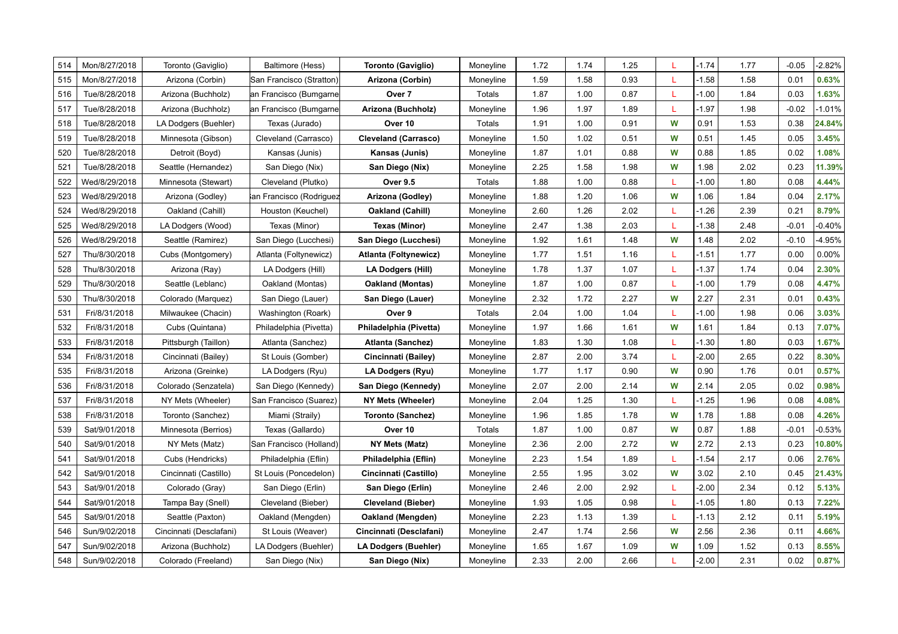| 514 | Mon/8/27/2018 | Toronto (Gaviglio)      | Baltimore (Hess)         | Toronto (Gaviglio)          | Moneyline | 1.72 | 1.74 | 1.25 | L  | $-1.74$ | 1.77 | $-0.05$ | $-2.82%$ |
|-----|---------------|-------------------------|--------------------------|-----------------------------|-----------|------|------|------|----|---------|------|---------|----------|
| 515 | Mon/8/27/2018 | Arizona (Corbin)        | San Francisco (Stratton) | Arizona (Corbin)            | Moneyline | 1.59 | 1.58 | 0.93 |    | $-1.58$ | 1.58 | 0.01    | 0.63%    |
| 516 | Tue/8/28/2018 | Arizona (Buchholz)      | an Francisco (Bumgarne   | Over 7                      | Totals    | 1.87 | 1.00 | 0.87 |    | $-1.00$ | 1.84 | 0.03    | 1.63%    |
| 517 | Tue/8/28/2018 | Arizona (Buchholz)      | an Francisco (Bumgarne   | Arizona (Buchholz)          | Moneyline | 1.96 | 1.97 | 1.89 | L  | $-1.97$ | 1.98 | $-0.02$ | $-1.01%$ |
| 518 | Tue/8/28/2018 | LA Dodgers (Buehler)    | Texas (Jurado)           | Over 10                     | Totals    | 1.91 | 1.00 | 0.91 | W  | 0.91    | 1.53 | 0.38    | 24.84%   |
| 519 | Tue/8/28/2018 | Minnesota (Gibson)      | Cleveland (Carrasco)     | <b>Cleveland (Carrasco)</b> | Moneyline | 1.50 | 1.02 | 0.51 | W  | 0.51    | 1.45 | 0.05    | 3.45%    |
| 520 | Tue/8/28/2018 | Detroit (Boyd)          | Kansas (Junis)           | Kansas (Junis)              | Moneyline | 1.87 | 1.01 | 0.88 | W  | 0.88    | 1.85 | 0.02    | 1.08%    |
| 521 | Tue/8/28/2018 | Seattle (Hernandez)     | San Diego (Nix)          | San Diego (Nix)             | Moneyline | 2.25 | 1.58 | 1.98 | W  | 1.98    | 2.02 | 0.23    | 11.39%   |
| 522 | Wed/8/29/2018 | Minnesota (Stewart)     | Cleveland (Plutko)       | <b>Over 9.5</b>             | Totals    | 1.88 | 1.00 | 0.88 | T. | $-1.00$ | 1.80 | 0.08    | 4.44%    |
| 523 | Wed/8/29/2018 | Arizona (Godley)        | an Francisco (Rodriguez  | Arizona (Godley)            | Moneyline | 1.88 | 1.20 | 1.06 | W  | 1.06    | 1.84 | 0.04    | 2.17%    |
| 524 | Wed/8/29/2018 | Oakland (Cahill)        | Houston (Keuchel)        | Oakland (Cahill)            | Moneyline | 2.60 | 1.26 | 2.02 |    | $-1.26$ | 2.39 | 0.21    | 8.79%    |
| 525 | Wed/8/29/2018 | LA Dodgers (Wood)       | Texas (Minor)            | Texas (Minor)               | Moneyline | 2.47 | 1.38 | 2.03 | L  | $-1.38$ | 2.48 | $-0.01$ | $-0.40%$ |
| 526 | Wed/8/29/2018 | Seattle (Ramirez)       | San Diego (Lucchesi)     | San Diego (Lucchesi)        | Moneyline | 1.92 | 1.61 | 1.48 | W  | 1.48    | 2.02 | $-0.10$ | $-4.95%$ |
| 527 | Thu/8/30/2018 | Cubs (Montgomery)       | Atlanta (Foltynewicz)    | Atlanta (Foltynewicz)       | Moneyline | 1.77 | 1.51 | 1.16 | L  | $-1.51$ | 1.77 | 0.00    | 0.00%    |
| 528 | Thu/8/30/2018 | Arizona (Ray)           | LA Dodgers (Hill)        | LA Dodgers (Hill)           | Moneyline | 1.78 | 1.37 | 1.07 | L  | $-1.37$ | 1.74 | 0.04    | 2.30%    |
| 529 | Thu/8/30/2018 | Seattle (Leblanc)       | Oakland (Montas)         | <b>Oakland (Montas)</b>     | Moneyline | 1.87 | 1.00 | 0.87 | L  | $-1.00$ | 1.79 | 0.08    | 4.47%    |
| 530 | Thu/8/30/2018 | Colorado (Marquez)      | San Diego (Lauer)        | San Diego (Lauer)           | Moneyline | 2.32 | 1.72 | 2.27 | W  | 2.27    | 2.31 | 0.01    | 0.43%    |
| 531 | Fri/8/31/2018 | Milwaukee (Chacin)      | Washington (Roark)       | Over 9                      | Totals    | 2.04 | 1.00 | 1.04 | L  | $-1.00$ | 1.98 | 0.06    | 3.03%    |
| 532 | Fri/8/31/2018 | Cubs (Quintana)         | Philadelphia (Pivetta)   | Philadelphia (Pivetta)      | Moneyline | 1.97 | 1.66 | 1.61 | W  | 1.61    | 1.84 | 0.13    | 7.07%    |
| 533 | Fri/8/31/2018 | Pittsburgh (Taillon)    | Atlanta (Sanchez)        | Atlanta (Sanchez)           | Moneyline | 1.83 | 1.30 | 1.08 | L  | $-1.30$ | 1.80 | 0.03    | 1.67%    |
| 534 | Fri/8/31/2018 | Cincinnati (Bailey)     | St Louis (Gomber)        | Cincinnati (Bailey)         | Moneyline | 2.87 | 2.00 | 3.74 | L  | $-2.00$ | 2.65 | 0.22    | 8.30%    |
| 535 | Fri/8/31/2018 | Arizona (Greinke)       | LA Dodgers (Ryu)         | LA Dodgers (Ryu)            | Moneyline | 1.77 | 1.17 | 0.90 | W  | 0.90    | 1.76 | 0.01    | 0.57%    |
| 536 | Fri/8/31/2018 | Colorado (Senzatela)    | San Diego (Kennedy)      | San Diego (Kennedy)         | Moneyline | 2.07 | 2.00 | 2.14 | W  | 2.14    | 2.05 | 0.02    | 0.98%    |
| 537 | Fri/8/31/2018 | NY Mets (Wheeler)       | San Francisco (Suarez)   | NY Mets (Wheeler)           | Moneyline | 2.04 | 1.25 | 1.30 | L  | $-1.25$ | 1.96 | 0.08    | 4.08%    |
| 538 | Fri/8/31/2018 | Toronto (Sanchez)       | Miami (Straily)          | <b>Toronto (Sanchez)</b>    | Moneyline | 1.96 | 1.85 | 1.78 | W  | 1.78    | 1.88 | 0.08    | 4.26%    |
| 539 | Sat/9/01/2018 | Minnesota (Berrios)     | Texas (Gallardo)         | Over 10                     | Totals    | 1.87 | 1.00 | 0.87 | W  | 0.87    | 1.88 | $-0.01$ | $-0.53%$ |
| 540 | Sat/9/01/2018 | NY Mets (Matz)          | San Francisco (Holland)  | NY Mets (Matz)              | Moneyline | 2.36 | 2.00 | 2.72 | W  | 2.72    | 2.13 | 0.23    | 10.80%   |
| 541 | Sat/9/01/2018 | Cubs (Hendricks)        | Philadelphia (Eflin)     | Philadelphia (Eflin)        | Moneyline | 2.23 | 1.54 | 1.89 | L  | $-1.54$ | 2.17 | 0.06    | 2.76%    |
| 542 | Sat/9/01/2018 | Cincinnati (Castillo)   | St Louis (Poncedelon)    | Cincinnati (Castillo)       | Moneyline | 2.55 | 1.95 | 3.02 | W  | 3.02    | 2.10 | 0.45    | 21.43%   |
| 543 | Sat/9/01/2018 | Colorado (Gray)         | San Diego (Erlin)        | San Diego (Erlin)           | Moneyline | 2.46 | 2.00 | 2.92 | L  | $-2.00$ | 2.34 | 0.12    | 5.13%    |
| 544 | Sat/9/01/2018 | Tampa Bay (Snell)       | Cleveland (Bieber)       | <b>Cleveland (Bieber)</b>   | Moneyline | 1.93 | 1.05 | 0.98 | L  | $-1.05$ | 1.80 | 0.13    | 7.22%    |
| 545 | Sat/9/01/2018 | Seattle (Paxton)        | Oakland (Mengden)        | Oakland (Mengden)           | Moneyline | 2.23 | 1.13 | 1.39 | L  | $-1.13$ | 2.12 | 0.11    | 5.19%    |
| 546 | Sun/9/02/2018 | Cincinnati (Desclafani) | St Louis (Weaver)        | Cincinnati (Desclafani)     | Moneyline | 2.47 | 1.74 | 2.56 | W  | 2.56    | 2.36 | 0.11    | 4.66%    |
| 547 | Sun/9/02/2018 | Arizona (Buchholz)      | LA Dodgers (Buehler)     | <b>LA Dodgers (Buehler)</b> | Moneyline | 1.65 | 1.67 | 1.09 | W  | 1.09    | 1.52 | 0.13    | 8.55%    |
| 548 | Sun/9/02/2018 | Colorado (Freeland)     | San Diego (Nix)          | San Diego (Nix)             | Moneyline | 2.33 | 2.00 | 2.66 | L  | $-2.00$ | 2.31 | 0.02    | 0.87%    |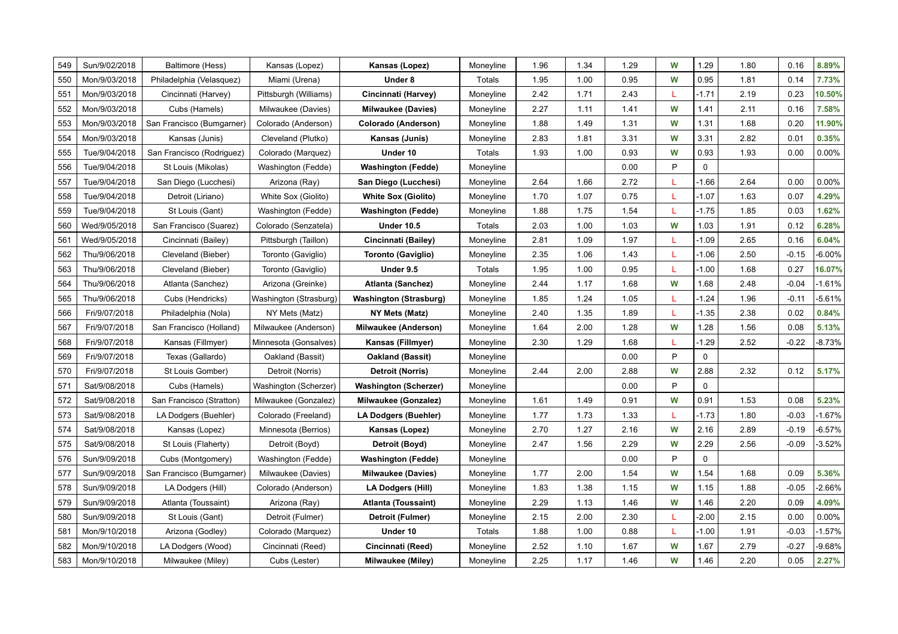| 549 | Sun/9/02/2018 | Baltimore (Hess)          | Kansas (Lopez)         | Kansas (Lopez)                | Moneyline | 1.96 | 1.34 | 1.29 | W | 1.29        | 1.80 | 0.16    | 8.89%    |
|-----|---------------|---------------------------|------------------------|-------------------------------|-----------|------|------|------|---|-------------|------|---------|----------|
| 550 | Mon/9/03/2018 | Philadelphia (Velasquez)  | Miami (Urena)          | Under 8                       | Totals    | 1.95 | 1.00 | 0.95 | W | 0.95        | 1.81 | 0.14    | 7.73%    |
| 551 | Mon/9/03/2018 | Cincinnati (Harvey)       | Pittsburgh (Williams)  | Cincinnati (Harvey)           | Moneyline | 2.42 | 1.71 | 2.43 |   | $-1.71$     | 2.19 | 0.23    | 10.50%   |
| 552 | Mon/9/03/2018 | Cubs (Hamels)             | Milwaukee (Davies)     | <b>Milwaukee (Davies)</b>     | Moneyline | 2.27 | 1.11 | 1.41 | W | 1.41        | 2.11 | 0.16    | 7.58%    |
| 553 | Mon/9/03/2018 | San Francisco (Bumgarner) | Colorado (Anderson)    | Colorado (Anderson)           | Moneyline | 1.88 | 1.49 | 1.31 | W | 1.31        | 1.68 | 0.20    | 11.90%   |
| 554 | Mon/9/03/2018 | Kansas (Junis)            | Cleveland (Plutko)     | Kansas (Junis)                | Moneyline | 2.83 | 1.81 | 3.31 | W | 3.31        | 2.82 | 0.01    | 0.35%    |
| 555 | Tue/9/04/2018 | San Francisco (Rodriguez) | Colorado (Marquez)     | Under 10                      | Totals    | 1.93 | 1.00 | 0.93 | W | 0.93        | 1.93 | 0.00    | 0.00%    |
| 556 | Tue/9/04/2018 | St Louis (Mikolas)        | Washington (Fedde)     | <b>Washington (Fedde)</b>     | Moneyline |      |      | 0.00 | P | $\mathbf 0$ |      |         |          |
| 557 | Tue/9/04/2018 | San Diego (Lucchesi)      | Arizona (Ray)          | San Diego (Lucchesi)          | Moneyline | 2.64 | 1.66 | 2.72 |   | $-1.66$     | 2.64 | 0.00    | 0.00%    |
| 558 | Tue/9/04/2018 | Detroit (Liriano)         | White Sox (Giolito)    | <b>White Sox (Giolito)</b>    | Moneyline | 1.70 | 1.07 | 0.75 |   | $-1.07$     | 1.63 | 0.07    | 4.29%    |
| 559 | Tue/9/04/2018 | St Louis (Gant)           | Washington (Fedde)     | <b>Washington (Fedde)</b>     | Moneyline | 1.88 | 1.75 | 1.54 | L | $-1.75$     | 1.85 | 0.03    | 1.62%    |
| 560 | Wed/9/05/2018 | San Francisco (Suarez)    | Colorado (Senzatela)   | <b>Under 10.5</b>             | Totals    | 2.03 | 1.00 | 1.03 | W | 1.03        | 1.91 | 0.12    | 6.28%    |
| 561 | Wed/9/05/2018 | Cincinnati (Bailey)       | Pittsburgh (Taillon)   | Cincinnati (Bailey)           | Moneyline | 2.81 | 1.09 | 1.97 | L | $-1.09$     | 2.65 | 0.16    | 6.04%    |
| 562 | Thu/9/06/2018 | Cleveland (Bieber)        | Toronto (Gaviglio)     | <b>Toronto (Gaviglio)</b>     | Moneyline | 2.35 | 1.06 | 1.43 | L | $-1.06$     | 2.50 | $-0.15$ | $-6.00%$ |
| 563 | Thu/9/06/2018 | Cleveland (Bieber)        | Toronto (Gaviglio)     | Under 9.5                     | Totals    | 1.95 | 1.00 | 0.95 | L | $-1.00$     | 1.68 | 0.27    | 16.07%   |
| 564 | Thu/9/06/2018 | Atlanta (Sanchez)         | Arizona (Greinke)      | Atlanta (Sanchez)             | Moneyline | 2.44 | 1.17 | 1.68 | W | 1.68        | 2.48 | $-0.04$ | $-1.61%$ |
| 565 | Thu/9/06/2018 | Cubs (Hendricks)          | Washington (Strasburg) | <b>Washington (Strasburg)</b> | Moneyline | 1.85 | 1.24 | 1.05 |   | $-1.24$     | 1.96 | $-0.11$ | $-5.61%$ |
| 566 | Fri/9/07/2018 | Philadelphia (Nola)       | NY Mets (Matz)         | NY Mets (Matz)                | Moneyline | 2.40 | 1.35 | 1.89 | L | $-1.35$     | 2.38 | 0.02    | 0.84%    |
| 567 | Fri/9/07/2018 | San Francisco (Holland)   | Milwaukee (Anderson)   | <b>Milwaukee (Anderson)</b>   | Moneyline | 1.64 | 2.00 | 1.28 | W | 1.28        | 1.56 | 0.08    | 5.13%    |
| 568 | Fri/9/07/2018 | Kansas (Fillmyer)         | Minnesota (Gonsalves)  | Kansas (Fillmyer)             | Moneyline | 2.30 | 1.29 | 1.68 | L | $-1.29$     | 2.52 | $-0.22$ | $-8.73%$ |
| 569 | Fri/9/07/2018 | Texas (Gallardo)          | Oakland (Bassit)       | <b>Oakland (Bassit)</b>       | Moneyline |      |      | 0.00 | P | $\mathbf 0$ |      |         |          |
| 570 | Fri/9/07/2018 | St Louis Gomber)          | Detroit (Norris)       | Detroit (Norris)              | Moneyline | 2.44 | 2.00 | 2.88 | W | 2.88        | 2.32 | 0.12    | 5.17%    |
| 571 | Sat/9/08/2018 | Cubs (Hamels)             | Washington (Scherzer)  | <b>Washington (Scherzer)</b>  | Moneyline |      |      | 0.00 | P | $\mathbf 0$ |      |         |          |
| 572 | Sat/9/08/2018 | San Francisco (Stratton)  | Milwaukee (Gonzalez)   | Milwaukee (Gonzalez)          | Moneyline | 1.61 | 1.49 | 0.91 | W | 0.91        | 1.53 | 0.08    | 5.23%    |
| 573 | Sat/9/08/2018 | LA Dodgers (Buehler)      | Colorado (Freeland)    | <b>LA Dodgers (Buehler)</b>   | Moneyline | 1.77 | 1.73 | 1.33 |   | $-1.73$     | 1.80 | $-0.03$ | $-1.67%$ |
| 574 | Sat/9/08/2018 | Kansas (Lopez)            | Minnesota (Berrios)    | Kansas (Lopez)                | Moneyline | 2.70 | 1.27 | 2.16 | W | 2.16        | 2.89 | $-0.19$ | $-6.57%$ |
| 575 | Sat/9/08/2018 | St Louis (Flaherty)       | Detroit (Boyd)         | Detroit (Boyd)                | Moneyline | 2.47 | 1.56 | 2.29 | W | 2.29        | 2.56 | $-0.09$ | $-3.52%$ |
| 576 | Sun/9/09/2018 | Cubs (Montgomery)         | Washington (Fedde)     | <b>Washington (Fedde)</b>     | Moneyline |      |      | 0.00 | P | $\Omega$    |      |         |          |
| 577 | Sun/9/09/2018 | San Francisco (Bumgarner) | Milwaukee (Davies)     | <b>Milwaukee (Davies)</b>     | Moneyline | 1.77 | 2.00 | 1.54 | W | 1.54        | 1.68 | 0.09    | 5.36%    |
| 578 | Sun/9/09/2018 | LA Dodgers (Hill)         | Colorado (Anderson)    | <b>LA Dodgers (Hill)</b>      | Moneyline | 1.83 | 1.38 | 1.15 | W | 1.15        | 1.88 | $-0.05$ | $-2.66%$ |
| 579 | Sun/9/09/2018 | Atlanta (Toussaint)       | Arizona (Ray)          | Atlanta (Toussaint)           | Moneyline | 2.29 | 1.13 | 1.46 | W | 1.46        | 2.20 | 0.09    | 4.09%    |
| 580 | Sun/9/09/2018 | St Louis (Gant)           | Detroit (Fulmer)       | Detroit (Fulmer)              | Moneyline | 2.15 | 2.00 | 2.30 |   | $-2.00$     | 2.15 | 0.00    | 0.00%    |
| 581 | Mon/9/10/2018 | Arizona (Godley)          | Colorado (Marquez)     | Under 10                      | Totals    | 1.88 | 1.00 | 0.88 | L | $-1.00$     | 1.91 | $-0.03$ | $-1.57%$ |
| 582 | Mon/9/10/2018 | LA Dodgers (Wood)         | Cincinnati (Reed)      | Cincinnati (Reed)             | Moneyline | 2.52 | 1.10 | 1.67 | W | 1.67        | 2.79 | $-0.27$ | $-9.68%$ |
| 583 | Mon/9/10/2018 | Milwaukee (Miley)         | Cubs (Lester)          | Milwaukee (Miley)             | Moneyline | 2.25 | 1.17 | 1.46 | W | 1.46        | 2.20 | 0.05    | 2.27%    |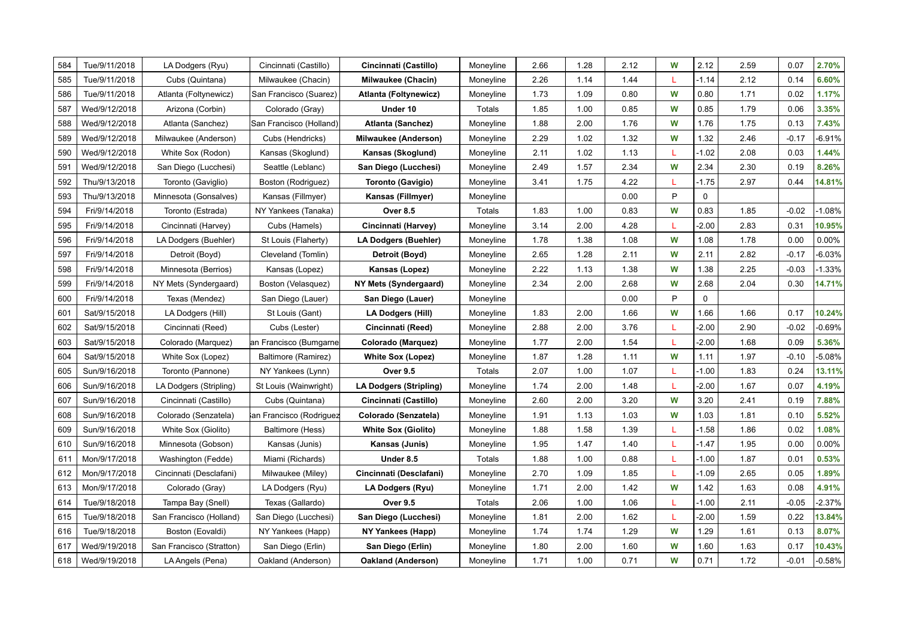| 584 | Tue/9/11/2018 | LA Dodgers (Ryu)         | Cincinnati (Castillo)   | Cincinnati (Castillo)         | Moneyline | 2.66 | 1.28 | 2.12 | W | 2.12        | 2.59 | 0.07    | 2.70%    |
|-----|---------------|--------------------------|-------------------------|-------------------------------|-----------|------|------|------|---|-------------|------|---------|----------|
| 585 | Tue/9/11/2018 | Cubs (Quintana)          | Milwaukee (Chacin)      | <b>Milwaukee (Chacin)</b>     | Moneyline | 2.26 | 1.14 | 1.44 | L | $-1.14$     | 2.12 | 0.14    | 6.60%    |
| 586 | Tue/9/11/2018 | Atlanta (Foltynewicz)    | San Francisco (Suarez)  | Atlanta (Foltynewicz)         | Moneyline | 1.73 | 1.09 | 0.80 | W | 0.80        | 1.71 | 0.02    | 1.17%    |
| 587 | Wed/9/12/2018 | Arizona (Corbin)         | Colorado (Gray)         | Under 10                      | Totals    | 1.85 | 1.00 | 0.85 | W | 0.85        | 1.79 | 0.06    | 3.35%    |
| 588 | Wed/9/12/2018 | Atlanta (Sanchez)        | San Francisco (Holland) | <b>Atlanta (Sanchez)</b>      | Moneyline | 1.88 | 2.00 | 1.76 | W | 1.76        | 1.75 | 0.13    | 7.43%    |
| 589 | Wed/9/12/2018 | Milwaukee (Anderson)     | Cubs (Hendricks)        | <b>Milwaukee (Anderson)</b>   | Moneyline | 2.29 | 1.02 | 1.32 | W | 1.32        | 2.46 | $-0.17$ | $-6.91%$ |
| 590 | Wed/9/12/2018 | White Sox (Rodon)        | Kansas (Skoglund)       | Kansas (Skoglund)             | Moneyline | 2.11 | 1.02 | 1.13 | L | $-1.02$     | 2.08 | 0.03    | 1.44%    |
| 591 | Wed/9/12/2018 | San Diego (Lucchesi)     | Seattle (Leblanc)       | San Diego (Lucchesi)          | Moneyline | 2.49 | 1.57 | 2.34 | W | 2.34        | 2.30 | 0.19    | 8.26%    |
| 592 | Thu/9/13/2018 | Toronto (Gaviglio)       | Boston (Rodriguez)      | <b>Toronto (Gavigio)</b>      | Moneyline | 3.41 | 1.75 | 4.22 | L | $-1.75$     | 2.97 | 0.44    | 14.81%   |
| 593 | Thu/9/13/2018 | Minnesota (Gonsalves)    | Kansas (Fillmyer)       | Kansas (Fillmyer)             | Moneyline |      |      | 0.00 | P | $\mathbf 0$ |      |         |          |
| 594 | Fri/9/14/2018 | Toronto (Estrada)        | NY Yankees (Tanaka)     | <b>Over 8.5</b>               | Totals    | 1.83 | 1.00 | 0.83 | W | 0.83        | 1.85 | $-0.02$ | $-1.08%$ |
| 595 | Fri/9/14/2018 | Cincinnati (Harvey)      | Cubs (Hamels)           | Cincinnati (Harvey)           | Moneyline | 3.14 | 2.00 | 4.28 | L | $-2.00$     | 2.83 | 0.31    | 10.95%   |
| 596 | Fri/9/14/2018 | LA Dodgers (Buehler)     | St Louis (Flaherty)     | <b>LA Dodgers (Buehler)</b>   | Moneyline | 1.78 | 1.38 | 1.08 | W | 1.08        | 1.78 | 0.00    | 0.00%    |
| 597 | Fri/9/14/2018 | Detroit (Boyd)           | Cleveland (Tomlin)      | Detroit (Boyd)                | Moneyline | 2.65 | 1.28 | 2.11 | W | 2.11        | 2.82 | $-0.17$ | $-6.03%$ |
| 598 | Fri/9/14/2018 | Minnesota (Berrios)      | Kansas (Lopez)          | Kansas (Lopez)                | Moneyline | 2.22 | 1.13 | 1.38 | W | 1.38        | 2.25 | $-0.03$ | $-1.33%$ |
| 599 | Fri/9/14/2018 | NY Mets (Syndergaard)    | Boston (Velasquez)      | NY Mets (Syndergaard)         | Moneyline | 2.34 | 2.00 | 2.68 | W | 2.68        | 2.04 | 0.30    | 14.71%   |
| 600 | Fri/9/14/2018 | Texas (Mendez)           | San Diego (Lauer)       | San Diego (Lauer)             | Moneyline |      |      | 0.00 | P | $\Omega$    |      |         |          |
| 601 | Sat/9/15/2018 | LA Dodgers (Hill)        | St Louis (Gant)         | <b>LA Dodgers (Hill)</b>      | Moneyline | 1.83 | 2.00 | 1.66 | W | 1.66        | 1.66 | 0.17    | 10.24%   |
| 602 | Sat/9/15/2018 | Cincinnati (Reed)        | Cubs (Lester)           | Cincinnati (Reed)             | Moneyline | 2.88 | 2.00 | 3.76 | L | $-2.00$     | 2.90 | $-0.02$ | $-0.69%$ |
| 603 | Sat/9/15/2018 | Colorado (Marquez)       | an Francisco (Bumgarne  | Colorado (Marquez)            | Moneyline | 1.77 | 2.00 | 1.54 | L | $-2.00$     | 1.68 | 0.09    | 5.36%    |
| 604 | Sat/9/15/2018 | White Sox (Lopez)        | Baltimore (Ramirez)     | <b>White Sox (Lopez)</b>      | Moneyline | 1.87 | 1.28 | 1.11 | W | 1.11        | 1.97 | $-0.10$ | $-5.08%$ |
| 605 | Sun/9/16/2018 | Toronto (Pannone)        | NY Yankees (Lynn)       | <b>Over 9.5</b>               | Totals    | 2.07 | 1.00 | 1.07 | L | $-1.00$     | 1.83 | 0.24    | 13.11%   |
| 606 | Sun/9/16/2018 | LA Dodgers (Stripling)   | St Louis (Wainwright)   | <b>LA Dodgers (Stripling)</b> | Moneyline | 1.74 | 2.00 | 1.48 | L | $-2.00$     | 1.67 | 0.07    | 4.19%    |
| 607 | Sun/9/16/2018 | Cincinnati (Castillo)    | Cubs (Quintana)         | Cincinnati (Castillo)         | Moneyline | 2.60 | 2.00 | 3.20 | W | 3.20        | 2.41 | 0.19    | 7.88%    |
| 608 | Sun/9/16/2018 | Colorado (Senzatela)     | an Francisco (Rodriguez | Colorado (Senzatela)          | Moneyline | 1.91 | 1.13 | 1.03 | W | 1.03        | 1.81 | 0.10    | 5.52%    |
| 609 | Sun/9/16/2018 | White Sox (Giolito)      | Baltimore (Hess)        | <b>White Sox (Giolito)</b>    | Moneyline | 1.88 | 1.58 | 1.39 | L | $-1.58$     | 1.86 | 0.02    | 1.08%    |
| 610 | Sun/9/16/2018 | Minnesota (Gobson)       | Kansas (Junis)          | Kansas (Junis)                | Moneyline | 1.95 | 1.47 | 1.40 | L | $-1.47$     | 1.95 | 0.00    | 0.00%    |
| 611 | Mon/9/17/2018 | Washington (Fedde)       | Miami (Richards)        | Under 8.5                     | Totals    | 1.88 | 1.00 | 0.88 | L | $-1.00$     | 1.87 | 0.01    | 0.53%    |
| 612 | Mon/9/17/2018 | Cincinnati (Desclafani)  | Milwaukee (Miley)       | Cincinnati (Desclafani)       | Moneyline | 2.70 | 1.09 | 1.85 | L | $-1.09$     | 2.65 | 0.05    | 1.89%    |
| 613 | Mon/9/17/2018 | Colorado (Gray)          | LA Dodgers (Ryu)        | LA Dodgers (Ryu)              | Moneyline | 1.71 | 2.00 | 1.42 | W | 1.42        | 1.63 | 0.08    | 4.91%    |
| 614 | Tue/9/18/2018 | Tampa Bay (Snell)        | Texas (Gallardo)        | <b>Over 9.5</b>               | Totals    | 2.06 | 1.00 | 1.06 | L | $-1.00$     | 2.11 | $-0.05$ | $-2.37%$ |
| 615 | Tue/9/18/2018 | San Francisco (Holland)  | San Diego (Lucchesi)    | San Diego (Lucchesi)          | Moneyline | 1.81 | 2.00 | 1.62 | L | $-2.00$     | 1.59 | 0.22    | 13.84%   |
| 616 | Tue/9/18/2018 | Boston (Eovaldi)         | NY Yankees (Happ)       | NY Yankees (Happ)             | Moneyline | 1.74 | 1.74 | 1.29 | W | 1.29        | 1.61 | 0.13    | 8.07%    |
| 617 | Wed/9/19/2018 | San Francisco (Stratton) | San Diego (Erlin)       | San Diego (Erlin)             | Moneyline | 1.80 | 2.00 | 1.60 | W | 1.60        | 1.63 | 0.17    | 10.43%   |
| 618 | Wed/9/19/2018 | LA Angels (Pena)         | Oakland (Anderson)      | Oakland (Anderson)            | Moneyline | 1.71 | 1.00 | 0.71 | W | 0.71        | 1.72 | $-0.01$ | $-0.58%$ |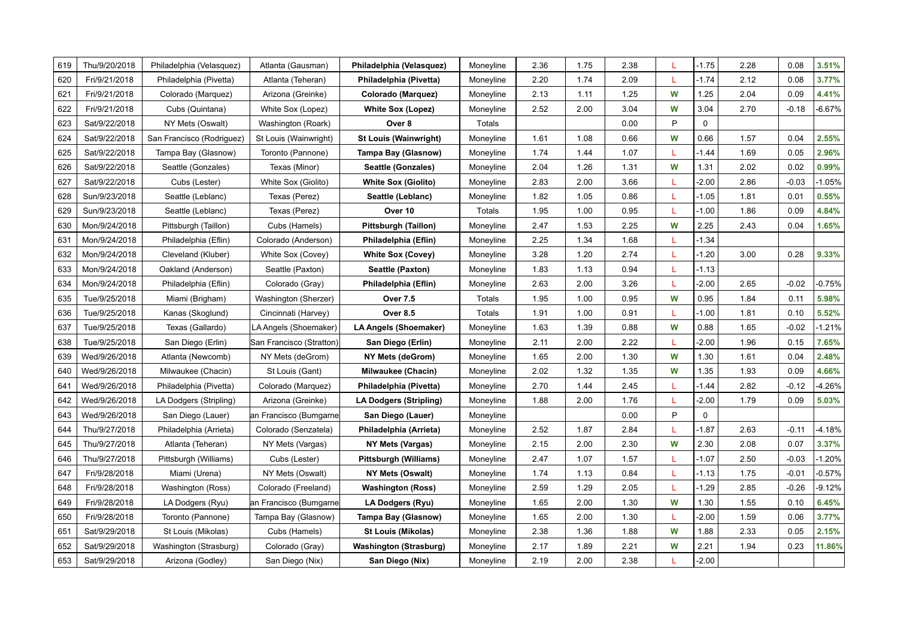| 619 | Thu/9/20/2018 | Philadelphia (Velasquez)  | Atlanta (Gausman)        | Philadelphia (Velasquez)      | Moneyline | 2.36 | 1.75 | 2.38 | L | $-1.75$     | 2.28 | 0.08    | 3.51%    |
|-----|---------------|---------------------------|--------------------------|-------------------------------|-----------|------|------|------|---|-------------|------|---------|----------|
| 620 | Fri/9/21/2018 | Philadelphia (Pivetta)    | Atlanta (Teheran)        | Philadelphia (Pivetta)        | Moneyline | 2.20 | 1.74 | 2.09 | т | $-1.74$     | 2.12 | 0.08    | 3.77%    |
| 621 | Fri/9/21/2018 | Colorado (Marquez)        | Arizona (Greinke)        | Colorado (Marquez)            | Moneyline | 2.13 | 1.11 | 1.25 | W | 1.25        | 2.04 | 0.09    | 4.41%    |
| 622 | Fri/9/21/2018 | Cubs (Quintana)           | White Sox (Lopez)        | <b>White Sox (Lopez)</b>      | Moneyline | 2.52 | 2.00 | 3.04 | W | 3.04        | 2.70 | $-0.18$ | $-6.67%$ |
| 623 | Sat/9/22/2018 | NY Mets (Oswalt)          | Washington (Roark)       | Over 8                        | Totals    |      |      | 0.00 | P | $\mathbf 0$ |      |         |          |
| 624 | Sat/9/22/2018 | San Francisco (Rodriguez) | St Louis (Wainwright)    | <b>St Louis (Wainwright)</b>  | Moneyline | 1.61 | 1.08 | 0.66 | W | 0.66        | 1.57 | 0.04    | 2.55%    |
| 625 | Sat/9/22/2018 | Tampa Bay (Glasnow)       | Toronto (Pannone)        | Tampa Bay (Glasnow)           | Moneyline | 1.74 | 1.44 | 1.07 | L | $-1.44$     | 1.69 | 0.05    | 2.96%    |
| 626 | Sat/9/22/2018 | Seattle (Gonzales)        | Texas (Minor)            | Seattle (Gonzales)            | Moneyline | 2.04 | 1.26 | 1.31 | W | 1.31        | 2.02 | 0.02    | 0.99%    |
| 627 | Sat/9/22/2018 | Cubs (Lester)             | White Sox (Giolito)      | <b>White Sox (Giolito)</b>    | Moneyline | 2.83 | 2.00 | 3.66 |   | $-2.00$     | 2.86 | $-0.03$ | $-1.05%$ |
| 628 | Sun/9/23/2018 | Seattle (Leblanc)         | Texas (Perez)            | Seattle (Leblanc)             | Moneyline | 1.82 | 1.05 | 0.86 | L | $-1.05$     | 1.81 | 0.01    | 0.55%    |
| 629 | Sun/9/23/2018 | Seattle (Leblanc)         | Texas (Perez)            | Over 10                       | Totals    | 1.95 | 1.00 | 0.95 | L | $-1.00$     | 1.86 | 0.09    | 4.84%    |
| 630 | Mon/9/24/2018 | Pittsburgh (Taillon)      | Cubs (Hamels)            | Pittsburgh (Taillon)          | Moneyline | 2.47 | 1.53 | 2.25 | W | 2.25        | 2.43 | 0.04    | 1.65%    |
| 631 | Mon/9/24/2018 | Philadelphia (Eflin)      | Colorado (Anderson)      | Philadelphia (Eflin)          | Moneyline | 2.25 | 1.34 | 1.68 | L | $-1.34$     |      |         |          |
| 632 | Mon/9/24/2018 | Cleveland (Kluber)        | White Sox (Covey)        | <b>White Sox (Covey)</b>      | Moneyline | 3.28 | 1.20 | 2.74 | L | $-1.20$     | 3.00 | 0.28    | 9.33%    |
| 633 | Mon/9/24/2018 | Oakland (Anderson)        | Seattle (Paxton)         | Seattle (Paxton)              | Moneyline | 1.83 | 1.13 | 0.94 | L | $-1.13$     |      |         |          |
| 634 | Mon/9/24/2018 | Philadelphia (Eflin)      | Colorado (Gray)          | Philadelphia (Eflin)          | Moneyline | 2.63 | 2.00 | 3.26 | L | $-2.00$     | 2.65 | $-0.02$ | $-0.75%$ |
| 635 | Tue/9/25/2018 | Miami (Brigham)           | Washington (Sherzer)     | <b>Over 7.5</b>               | Totals    | 1.95 | 1.00 | 0.95 | W | 0.95        | 1.84 | 0.11    | 5.98%    |
| 636 | Tue/9/25/2018 | Kanas (Skoglund)          | Cincinnati (Harvey)      | <b>Over 8.5</b>               | Totals    | 1.91 | 1.00 | 0.91 | L | $-1.00$     | 1.81 | 0.10    | 5.52%    |
| 637 | Tue/9/25/2018 | Texas (Gallardo)          | LA Angels (Shoemaker)    | LA Angels (Shoemaker)         | Moneyline | 1.63 | 1.39 | 0.88 | W | 0.88        | 1.65 | $-0.02$ | $-1.21%$ |
| 638 | Tue/9/25/2018 | San Diego (Erlin)         | San Francisco (Stratton) | San Diego (Erlin)             | Moneyline | 2.11 | 2.00 | 2.22 | L | $-2.00$     | 1.96 | 0.15    | 7.65%    |
| 639 | Wed/9/26/2018 | Atlanta (Newcomb)         | NY Mets (deGrom)         | NY Mets (deGrom)              | Moneyline | 1.65 | 2.00 | 1.30 | W | 1.30        | 1.61 | 0.04    | 2.48%    |
| 640 | Wed/9/26/2018 | Milwaukee (Chacin)        | St Louis (Gant)          | <b>Milwaukee (Chacin)</b>     | Moneyline | 2.02 | 1.32 | 1.35 | W | 1.35        | 1.93 | 0.09    | 4.66%    |
| 641 | Wed/9/26/2018 | Philadelphia (Pivetta)    | Colorado (Marquez)       | Philadelphia (Pivetta)        | Moneyline | 2.70 | 1.44 | 2.45 | L | $-1.44$     | 2.82 | $-0.12$ | $-4.26%$ |
| 642 | Wed/9/26/2018 | LA Dodgers (Stripling)    | Arizona (Greinke)        | LA Dodgers (Stripling)        | Moneyline | 1.88 | 2.00 | 1.76 | L | $-2.00$     | 1.79 | 0.09    | 5.03%    |
| 643 | Wed/9/26/2018 | San Diego (Lauer)         | an Francisco (Bumgarne   | San Diego (Lauer)             | Moneyline |      |      | 0.00 | P | $\mathbf 0$ |      |         |          |
| 644 | Thu/9/27/2018 | Philadelphia (Arrieta)    | Colorado (Senzatela)     | Philadelphia (Arrieta)        | Moneyline | 2.52 | 1.87 | 2.84 |   | $-1.87$     | 2.63 | $-0.11$ | $-4.18%$ |
| 645 | Thu/9/27/2018 | Atlanta (Teheran)         | NY Mets (Vargas)         | NY Mets (Vargas)              | Moneyline | 2.15 | 2.00 | 2.30 | W | 2.30        | 2.08 | 0.07    | 3.37%    |
| 646 | Thu/9/27/2018 | Pittsburgh (Williams)     | Cubs (Lester)            | Pittsburgh (Williams)         | Moneyline | 2.47 | 1.07 | 1.57 | L | $-1.07$     | 2.50 | $-0.03$ | $-1.20%$ |
| 647 | Fri/9/28/2018 | Miami (Urena)             | NY Mets (Oswalt)         | NY Mets (Oswalt)              | Moneyline | 1.74 | 1.13 | 0.84 | L | $-1.13$     | 1.75 | $-0.01$ | $-0.57%$ |
| 648 | Fri/9/28/2018 | Washington (Ross)         | Colorado (Freeland)      | Washington (Ross)             | Moneyline | 2.59 | 1.29 | 2.05 | L | $-1.29$     | 2.85 | $-0.26$ | $-9.12%$ |
| 649 | Fri/9/28/2018 | LA Dodgers (Ryu)          | an Francisco (Bumgarne   | LA Dodgers (Ryu)              | Moneyline | 1.65 | 2.00 | 1.30 | W | 1.30        | 1.55 | 0.10    | 6.45%    |
| 650 | Fri/9/28/2018 | Toronto (Pannone)         | Tampa Bay (Glasnow)      | Tampa Bay (Glasnow)           | Moneyline | 1.65 | 2.00 | 1.30 | L | $-2.00$     | 1.59 | 0.06    | 3.77%    |
| 651 | Sat/9/29/2018 | St Louis (Mikolas)        | Cubs (Hamels)            | St Louis (Mikolas)            | Moneyline | 2.38 | 1.36 | 1.88 | W | 1.88        | 2.33 | 0.05    | 2.15%    |
| 652 | Sat/9/29/2018 | Washington (Strasburg)    | Colorado (Gray)          | <b>Washington (Strasburg)</b> | Moneyline | 2.17 | 1.89 | 2.21 | W | 2.21        | 1.94 | 0.23    | 11.86%   |
| 653 | Sat/9/29/2018 | Arizona (Godley)          | San Diego (Nix)          | San Diego (Nix)               | Moneyline | 2.19 | 2.00 | 2.38 | L | $-2.00$     |      |         |          |